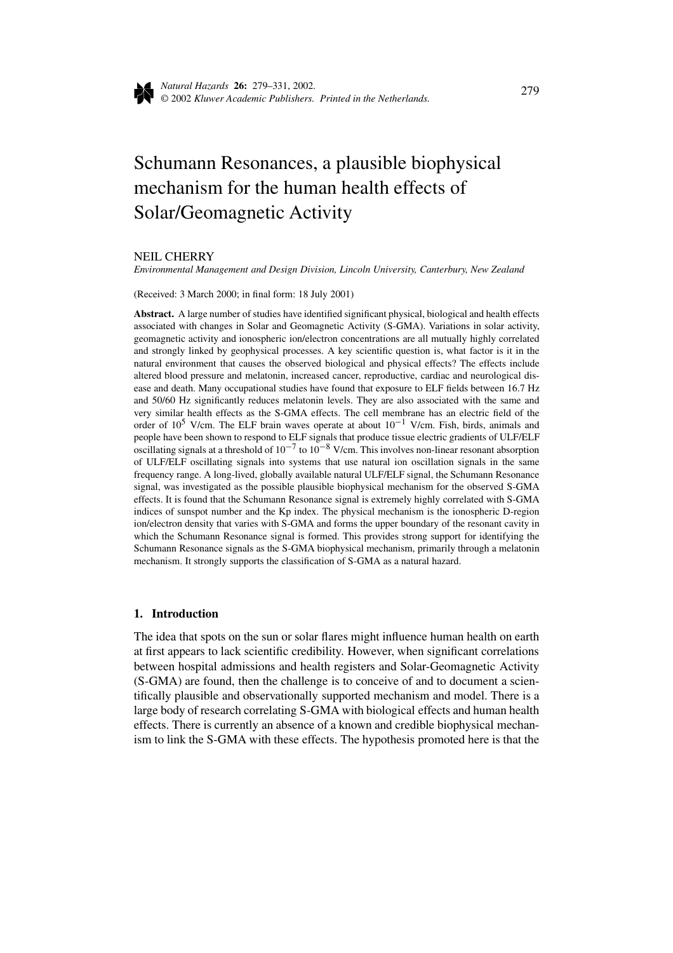

# Schumann Resonances, a plausible biophysical mechanism for the human health effects of Solar/Geomagnetic Activity

#### NEIL CHERRY

*Environmental Management and Design Division, Lincoln University, Canterbury, New Zealand*

(Received: 3 March 2000; in final form: 18 July 2001)

**Abstract.** A large number of studies have identified significant physical, biological and health effects associated with changes in Solar and Geomagnetic Activity (S-GMA). Variations in solar activity, geomagnetic activity and ionospheric ion/electron concentrations are all mutually highly correlated and strongly linked by geophysical processes. A key scientific question is, what factor is it in the natural environment that causes the observed biological and physical effects? The effects include altered blood pressure and melatonin, increased cancer, reproductive, cardiac and neurological disease and death. Many occupational studies have found that exposure to ELF fields between 16.7 Hz and 50/60 Hz significantly reduces melatonin levels. They are also associated with the same and very similar health effects as the S-GMA effects. The cell membrane has an electric field of the order of 10<sup>5</sup> V/cm. The ELF brain waves operate at about  $10^{-1}$  V/cm. Fish, birds, animals and people have been shown to respond to ELF signals that produce tissue electric gradients of ULF/ELF oscillating signals at a threshold of  $10^{-7}$  to  $10^{-8}$  V/cm. This involves non-linear resonant absorption of ULF/ELF oscillating signals into systems that use natural ion oscillation signals in the same frequency range. A long-lived, globally available natural ULF/ELF signal, the Schumann Resonance signal, was investigated as the possible plausible biophysical mechanism for the observed S-GMA effects. It is found that the Schumann Resonance signal is extremely highly correlated with S-GMA indices of sunspot number and the Kp index. The physical mechanism is the ionospheric D-region ion/electron density that varies with S-GMA and forms the upper boundary of the resonant cavity in which the Schumann Resonance signal is formed. This provides strong support for identifying the Schumann Resonance signals as the S-GMA biophysical mechanism, primarily through a melatonin mechanism. It strongly supports the classification of S-GMA as a natural hazard.

# **1. Introduction**

The idea that spots on the sun or solar flares might influence human health on earth at first appears to lack scientific credibility. However, when significant correlations between hospital admissions and health registers and Solar-Geomagnetic Activity (S-GMA) are found, then the challenge is to conceive of and to document a scientifically plausible and observationally supported mechanism and model. There is a large body of research correlating S-GMA with biological effects and human health effects. There is currently an absence of a known and credible biophysical mechanism to link the S-GMA with these effects. The hypothesis promoted here is that the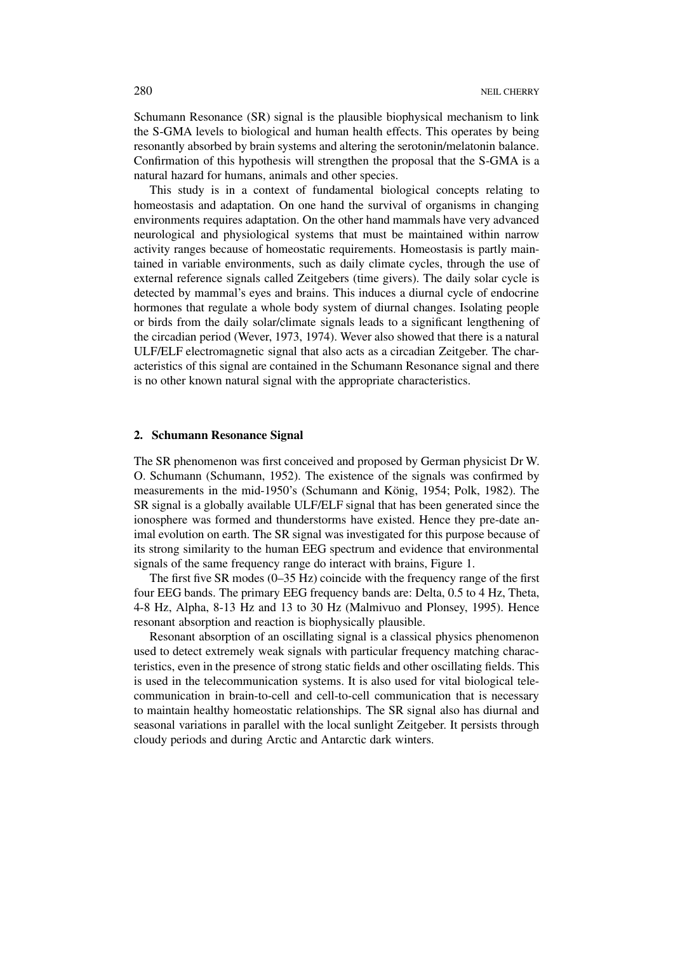Schumann Resonance (SR) signal is the plausible biophysical mechanism to link the S-GMA levels to biological and human health effects. This operates by being resonantly absorbed by brain systems and altering the serotonin/melatonin balance. Confirmation of this hypothesis will strengthen the proposal that the S-GMA is a natural hazard for humans, animals and other species.

This study is in a context of fundamental biological concepts relating to homeostasis and adaptation. On one hand the survival of organisms in changing environments requires adaptation. On the other hand mammals have very advanced neurological and physiological systems that must be maintained within narrow activity ranges because of homeostatic requirements. Homeostasis is partly maintained in variable environments, such as daily climate cycles, through the use of external reference signals called Zeitgebers (time givers). The daily solar cycle is detected by mammal's eyes and brains. This induces a diurnal cycle of endocrine hormones that regulate a whole body system of diurnal changes. Isolating people or birds from the daily solar/climate signals leads to a significant lengthening of the circadian period (Wever, 1973, 1974). Wever also showed that there is a natural ULF/ELF electromagnetic signal that also acts as a circadian Zeitgeber. The characteristics of this signal are contained in the Schumann Resonance signal and there is no other known natural signal with the appropriate characteristics.

## **2. Schumann Resonance Signal**

The SR phenomenon was first conceived and proposed by German physicist Dr W. O. Schumann (Schumann, 1952). The existence of the signals was confirmed by measurements in the mid-1950's (Schumann and König, 1954; Polk, 1982). The SR signal is a globally available ULF/ELF signal that has been generated since the ionosphere was formed and thunderstorms have existed. Hence they pre-date animal evolution on earth. The SR signal was investigated for this purpose because of its strong similarity to the human EEG spectrum and evidence that environmental signals of the same frequency range do interact with brains, Figure 1.

The first five SR modes (0–35 Hz) coincide with the frequency range of the first four EEG bands. The primary EEG frequency bands are: Delta, 0.5 to 4 Hz, Theta, 4-8 Hz, Alpha, 8-13 Hz and 13 to 30 Hz (Malmivuo and Plonsey, 1995). Hence resonant absorption and reaction is biophysically plausible.

Resonant absorption of an oscillating signal is a classical physics phenomenon used to detect extremely weak signals with particular frequency matching characteristics, even in the presence of strong static fields and other oscillating fields. This is used in the telecommunication systems. It is also used for vital biological telecommunication in brain-to-cell and cell-to-cell communication that is necessary to maintain healthy homeostatic relationships. The SR signal also has diurnal and seasonal variations in parallel with the local sunlight Zeitgeber. It persists through cloudy periods and during Arctic and Antarctic dark winters.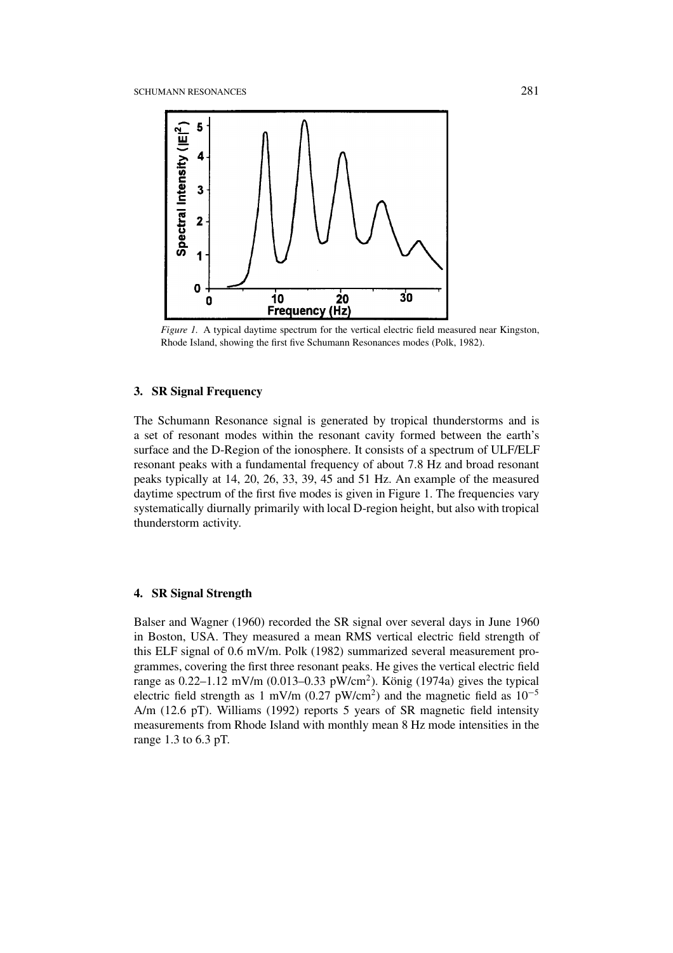

*Figure 1.* A typical daytime spectrum for the vertical electric field measured near Kingston, Rhode Island, showing the first five Schumann Resonances modes (Polk, 1982).

# **3. SR Signal Frequency**

The Schumann Resonance signal is generated by tropical thunderstorms and is a set of resonant modes within the resonant cavity formed between the earth's surface and the D-Region of the ionosphere. It consists of a spectrum of ULF/ELF resonant peaks with a fundamental frequency of about 7.8 Hz and broad resonant peaks typically at 14, 20, 26, 33, 39, 45 and 51 Hz. An example of the measured daytime spectrum of the first five modes is given in Figure 1. The frequencies vary systematically diurnally primarily with local D-region height, but also with tropical thunderstorm activity.

# **4. SR Signal Strength**

Balser and Wagner (1960) recorded the SR signal over several days in June 1960 in Boston, USA. They measured a mean RMS vertical electric field strength of this ELF signal of 0.6 mV/m. Polk (1982) summarized several measurement programmes, covering the first three resonant peaks. He gives the vertical electric field range as  $0.22 - 1.12$  mV/m (0.013–0.33 pW/cm<sup>2</sup>). König (1974a) gives the typical electric field strength as 1 mV/m (0.27 pW/cm<sup>2</sup>) and the magnetic field as  $10^{-5}$ A/m (12.6 pT). Williams (1992) reports 5 years of SR magnetic field intensity measurements from Rhode Island with monthly mean 8 Hz mode intensities in the range 1.3 to 6.3 pT.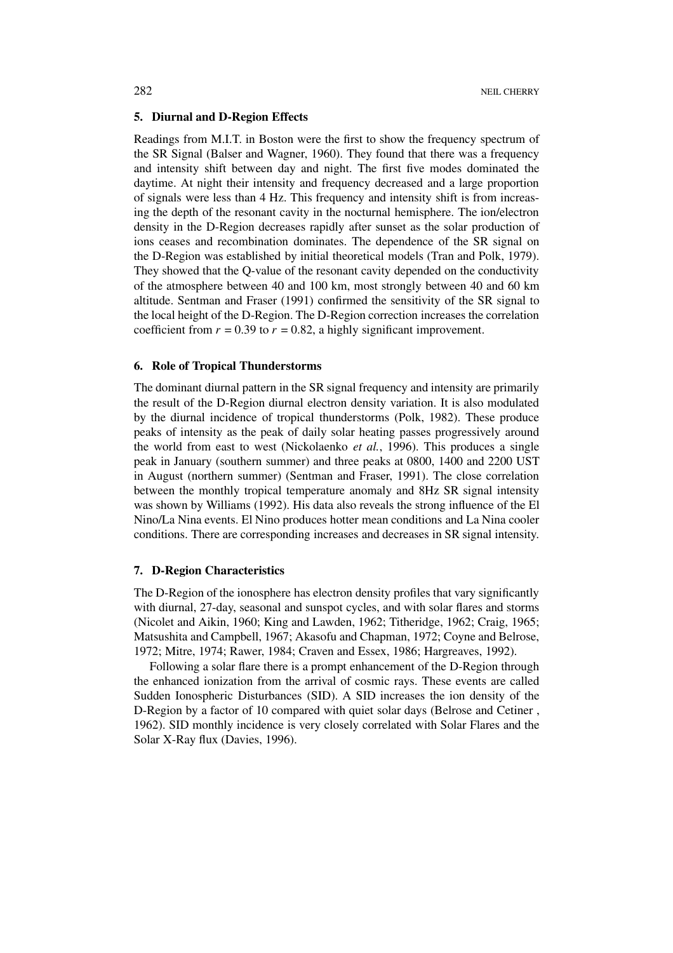# **5. Diurnal and D-Region Effects**

Readings from M.I.T. in Boston were the first to show the frequency spectrum of the SR Signal (Balser and Wagner, 1960). They found that there was a frequency and intensity shift between day and night. The first five modes dominated the daytime. At night their intensity and frequency decreased and a large proportion of signals were less than 4 Hz. This frequency and intensity shift is from increasing the depth of the resonant cavity in the nocturnal hemisphere. The ion/electron density in the D-Region decreases rapidly after sunset as the solar production of ions ceases and recombination dominates. The dependence of the SR signal on the D-Region was established by initial theoretical models (Tran and Polk, 1979). They showed that the Q-value of the resonant cavity depended on the conductivity of the atmosphere between 40 and 100 km, most strongly between 40 and 60 km altitude. Sentman and Fraser (1991) confirmed the sensitivity of the SR signal to the local height of the D-Region. The D-Region correction increases the correlation coefficient from  $r = 0.39$  to  $r = 0.82$ , a highly significant improvement.

## **6. Role of Tropical Thunderstorms**

The dominant diurnal pattern in the SR signal frequency and intensity are primarily the result of the D-Region diurnal electron density variation. It is also modulated by the diurnal incidence of tropical thunderstorms (Polk, 1982). These produce peaks of intensity as the peak of daily solar heating passes progressively around the world from east to west (Nickolaenko *et al.*, 1996). This produces a single peak in January (southern summer) and three peaks at 0800, 1400 and 2200 UST in August (northern summer) (Sentman and Fraser, 1991). The close correlation between the monthly tropical temperature anomaly and 8Hz SR signal intensity was shown by Williams (1992). His data also reveals the strong influence of the El Nino/La Nina events. El Nino produces hotter mean conditions and La Nina cooler conditions. There are corresponding increases and decreases in SR signal intensity.

# **7. D-Region Characteristics**

The D-Region of the ionosphere has electron density profiles that vary significantly with diurnal, 27-day, seasonal and sunspot cycles, and with solar flares and storms (Nicolet and Aikin, 1960; King and Lawden, 1962; Titheridge, 1962; Craig, 1965; Matsushita and Campbell, 1967; Akasofu and Chapman, 1972; Coyne and Belrose, 1972; Mitre, 1974; Rawer, 1984; Craven and Essex, 1986; Hargreaves, 1992).

Following a solar flare there is a prompt enhancement of the D-Region through the enhanced ionization from the arrival of cosmic rays. These events are called Sudden Ionospheric Disturbances (SID). A SID increases the ion density of the D-Region by a factor of 10 compared with quiet solar days (Belrose and Cetiner , 1962). SID monthly incidence is very closely correlated with Solar Flares and the Solar X-Ray flux (Davies, 1996).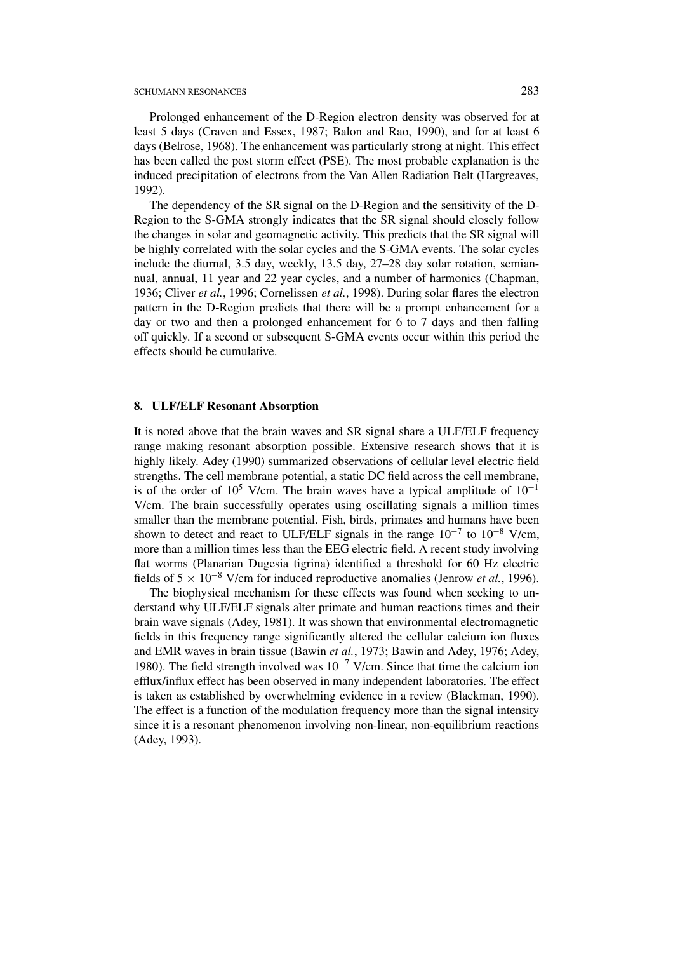Prolonged enhancement of the D-Region electron density was observed for at least 5 days (Craven and Essex, 1987; Balon and Rao, 1990), and for at least 6 days (Belrose, 1968). The enhancement was particularly strong at night. This effect has been called the post storm effect (PSE). The most probable explanation is the induced precipitation of electrons from the Van Allen Radiation Belt (Hargreaves, 1992).

The dependency of the SR signal on the D-Region and the sensitivity of the D-Region to the S-GMA strongly indicates that the SR signal should closely follow the changes in solar and geomagnetic activity. This predicts that the SR signal will be highly correlated with the solar cycles and the S-GMA events. The solar cycles include the diurnal, 3.5 day, weekly, 13.5 day, 27–28 day solar rotation, semiannual, annual, 11 year and 22 year cycles, and a number of harmonics (Chapman, 1936; Cliver *et al.*, 1996; Cornelissen *et al.*, 1998). During solar flares the electron pattern in the D-Region predicts that there will be a prompt enhancement for a day or two and then a prolonged enhancement for 6 to 7 days and then falling off quickly. If a second or subsequent S-GMA events occur within this period the effects should be cumulative.

## **8. ULF/ELF Resonant Absorption**

It is noted above that the brain waves and SR signal share a ULF/ELF frequency range making resonant absorption possible. Extensive research shows that it is highly likely. Adey (1990) summarized observations of cellular level electric field strengths. The cell membrane potential, a static DC field across the cell membrane, is of the order of  $10^5$  V/cm. The brain waves have a typical amplitude of  $10^{-1}$ V/cm. The brain successfully operates using oscillating signals a million times smaller than the membrane potential. Fish, birds, primates and humans have been shown to detect and react to ULF/ELF signals in the range  $10^{-7}$  to  $10^{-8}$  V/cm, more than a million times less than the EEG electric field. A recent study involving flat worms (Planarian Dugesia tigrina) identified a threshold for 60 Hz electric fields of  $5 \times 10^{-8}$  V/cm for induced reproductive anomalies (Jenrow *et al.*, 1996).

The biophysical mechanism for these effects was found when seeking to understand why ULF/ELF signals alter primate and human reactions times and their brain wave signals (Adey, 1981). It was shown that environmental electromagnetic fields in this frequency range significantly altered the cellular calcium ion fluxes and EMR waves in brain tissue (Bawin *et al.*, 1973; Bawin and Adey, 1976; Adey, 1980). The field strength involved was  $10^{-7}$  V/cm. Since that time the calcium ion efflux/influx effect has been observed in many independent laboratories. The effect is taken as established by overwhelming evidence in a review (Blackman, 1990). The effect is a function of the modulation frequency more than the signal intensity since it is a resonant phenomenon involving non-linear, non-equilibrium reactions (Adey, 1993).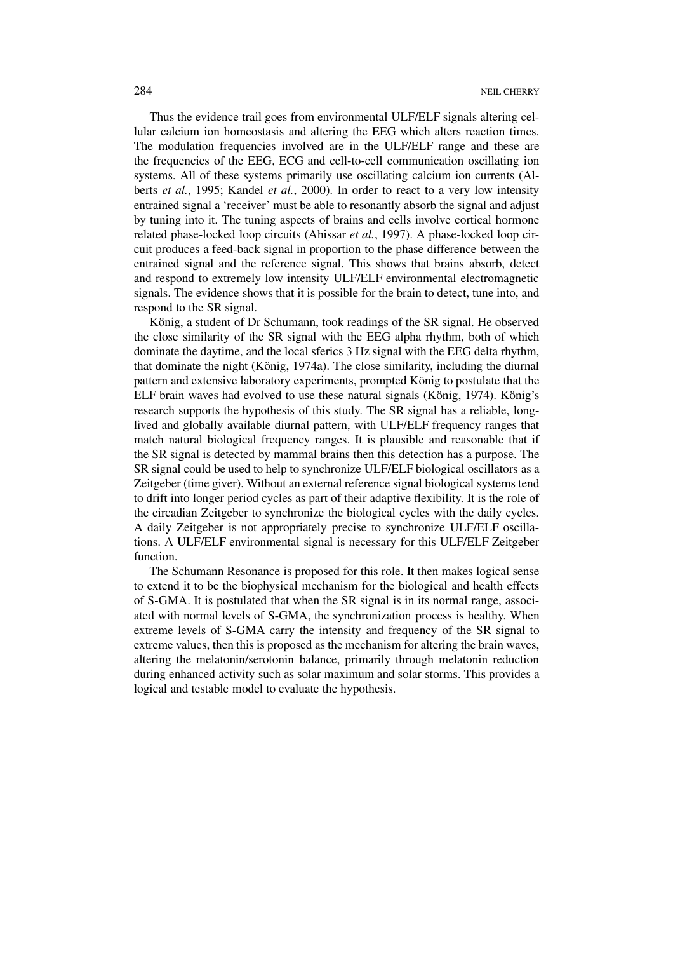Thus the evidence trail goes from environmental ULF/ELF signals altering cellular calcium ion homeostasis and altering the EEG which alters reaction times. The modulation frequencies involved are in the ULF/ELF range and these are the frequencies of the EEG, ECG and cell-to-cell communication oscillating ion systems. All of these systems primarily use oscillating calcium ion currents (Alberts *et al.*, 1995; Kandel *et al.*, 2000). In order to react to a very low intensity entrained signal a 'receiver' must be able to resonantly absorb the signal and adjust by tuning into it. The tuning aspects of brains and cells involve cortical hormone related phase-locked loop circuits (Ahissar *et al.*, 1997). A phase-locked loop circuit produces a feed-back signal in proportion to the phase difference between the entrained signal and the reference signal. This shows that brains absorb, detect and respond to extremely low intensity ULF/ELF environmental electromagnetic signals. The evidence shows that it is possible for the brain to detect, tune into, and respond to the SR signal.

König, a student of Dr Schumann, took readings of the SR signal. He observed the close similarity of the SR signal with the EEG alpha rhythm, both of which dominate the daytime, and the local sferics 3 Hz signal with the EEG delta rhythm, that dominate the night (König, 1974a). The close similarity, including the diurnal pattern and extensive laboratory experiments, prompted König to postulate that the ELF brain waves had evolved to use these natural signals (König, 1974). König's research supports the hypothesis of this study. The SR signal has a reliable, longlived and globally available diurnal pattern, with ULF/ELF frequency ranges that match natural biological frequency ranges. It is plausible and reasonable that if the SR signal is detected by mammal brains then this detection has a purpose. The SR signal could be used to help to synchronize ULF/ELF biological oscillators as a Zeitgeber (time giver). Without an external reference signal biological systems tend to drift into longer period cycles as part of their adaptive flexibility. It is the role of the circadian Zeitgeber to synchronize the biological cycles with the daily cycles. A daily Zeitgeber is not appropriately precise to synchronize ULF/ELF oscillations. A ULF/ELF environmental signal is necessary for this ULF/ELF Zeitgeber function.

The Schumann Resonance is proposed for this role. It then makes logical sense to extend it to be the biophysical mechanism for the biological and health effects of S-GMA. It is postulated that when the SR signal is in its normal range, associated with normal levels of S-GMA, the synchronization process is healthy. When extreme levels of S-GMA carry the intensity and frequency of the SR signal to extreme values, then this is proposed as the mechanism for altering the brain waves, altering the melatonin/serotonin balance, primarily through melatonin reduction during enhanced activity such as solar maximum and solar storms. This provides a logical and testable model to evaluate the hypothesis.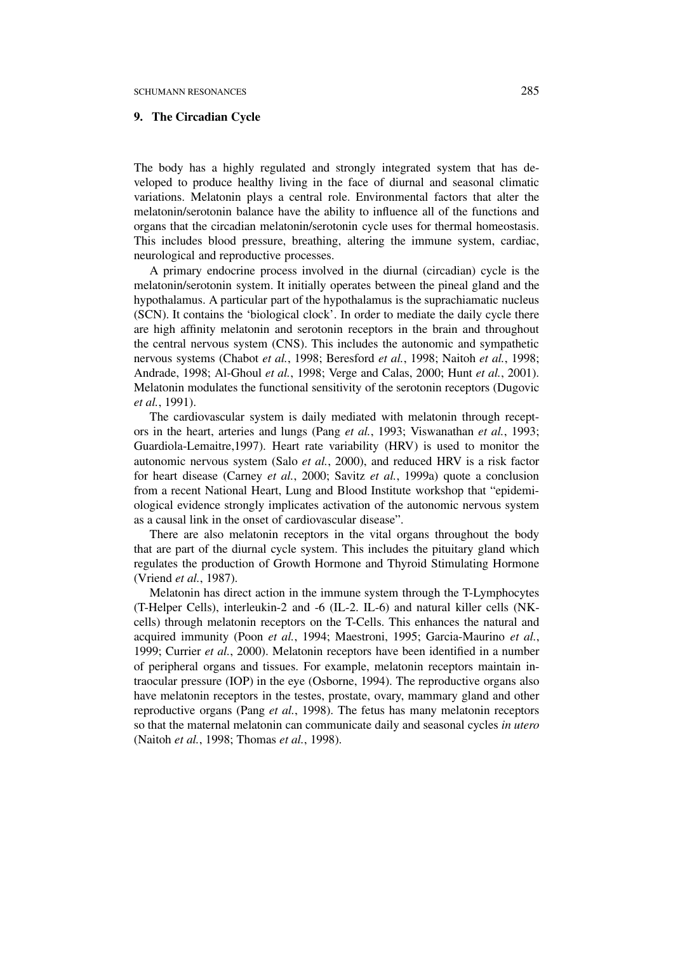# **9. The Circadian Cycle**

The body has a highly regulated and strongly integrated system that has developed to produce healthy living in the face of diurnal and seasonal climatic variations. Melatonin plays a central role. Environmental factors that alter the melatonin/serotonin balance have the ability to influence all of the functions and organs that the circadian melatonin/serotonin cycle uses for thermal homeostasis. This includes blood pressure, breathing, altering the immune system, cardiac, neurological and reproductive processes.

A primary endocrine process involved in the diurnal (circadian) cycle is the melatonin/serotonin system. It initially operates between the pineal gland and the hypothalamus. A particular part of the hypothalamus is the suprachiamatic nucleus (SCN). It contains the 'biological clock'. In order to mediate the daily cycle there are high affinity melatonin and serotonin receptors in the brain and throughout the central nervous system (CNS). This includes the autonomic and sympathetic nervous systems (Chabot *et al.*, 1998; Beresford *et al.*, 1998; Naitoh *et al.*, 1998; Andrade, 1998; Al-Ghoul *et al.*, 1998; Verge and Calas, 2000; Hunt *et al.*, 2001). Melatonin modulates the functional sensitivity of the serotonin receptors (Dugovic *et al.*, 1991).

The cardiovascular system is daily mediated with melatonin through receptors in the heart, arteries and lungs (Pang *et al.*, 1993; Viswanathan *et al.*, 1993; Guardiola-Lemaitre,1997). Heart rate variability (HRV) is used to monitor the autonomic nervous system (Salo *et al.*, 2000), and reduced HRV is a risk factor for heart disease (Carney *et al.*, 2000; Savitz *et al.*, 1999a) quote a conclusion from a recent National Heart, Lung and Blood Institute workshop that "epidemiological evidence strongly implicates activation of the autonomic nervous system as a causal link in the onset of cardiovascular disease".

There are also melatonin receptors in the vital organs throughout the body that are part of the diurnal cycle system. This includes the pituitary gland which regulates the production of Growth Hormone and Thyroid Stimulating Hormone (Vriend *et al.*, 1987).

Melatonin has direct action in the immune system through the T-Lymphocytes (T-Helper Cells), interleukin-2 and -6 (IL-2. IL-6) and natural killer cells (NKcells) through melatonin receptors on the T-Cells. This enhances the natural and acquired immunity (Poon *et al.*, 1994; Maestroni, 1995; Garcia-Maurino *et al.*, 1999; Currier *et al.*, 2000). Melatonin receptors have been identified in a number of peripheral organs and tissues. For example, melatonin receptors maintain intraocular pressure (IOP) in the eye (Osborne, 1994). The reproductive organs also have melatonin receptors in the testes, prostate, ovary, mammary gland and other reproductive organs (Pang *et al.*, 1998). The fetus has many melatonin receptors so that the maternal melatonin can communicate daily and seasonal cycles *in utero* (Naitoh *et al.*, 1998; Thomas *et al.*, 1998).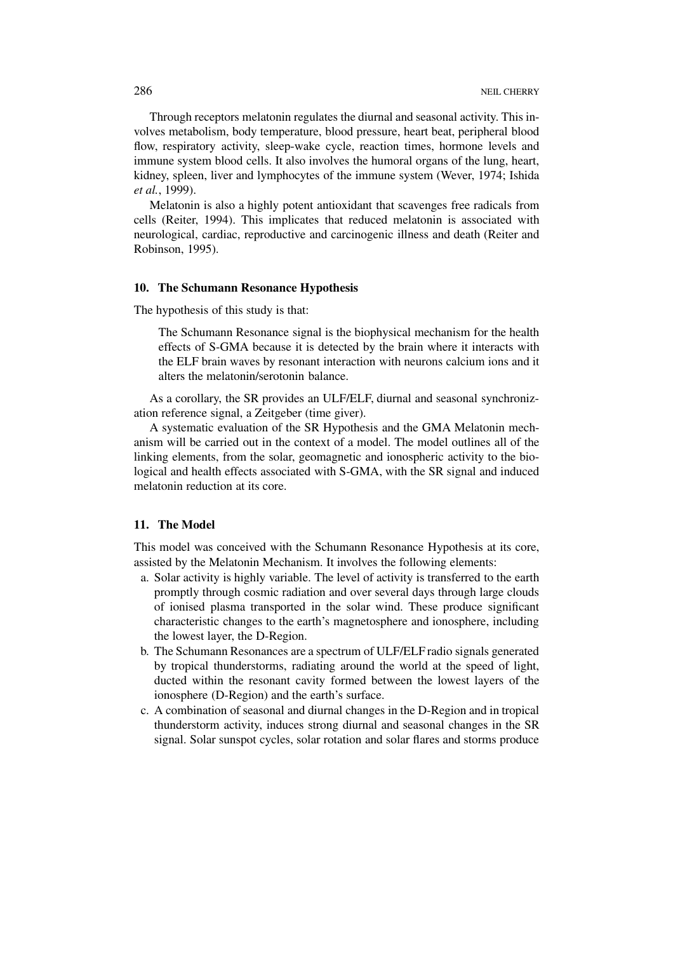Through receptors melatonin regulates the diurnal and seasonal activity. This involves metabolism, body temperature, blood pressure, heart beat, peripheral blood flow, respiratory activity, sleep-wake cycle, reaction times, hormone levels and immune system blood cells. It also involves the humoral organs of the lung, heart, kidney, spleen, liver and lymphocytes of the immune system (Wever, 1974; Ishida *et al.*, 1999).

Melatonin is also a highly potent antioxidant that scavenges free radicals from cells (Reiter, 1994). This implicates that reduced melatonin is associated with neurological, cardiac, reproductive and carcinogenic illness and death (Reiter and Robinson, 1995).

# **10. The Schumann Resonance Hypothesis**

The hypothesis of this study is that:

The Schumann Resonance signal is the biophysical mechanism for the health effects of S-GMA because it is detected by the brain where it interacts with the ELF brain waves by resonant interaction with neurons calcium ions and it alters the melatonin/serotonin balance.

As a corollary, the SR provides an ULF/ELF, diurnal and seasonal synchronization reference signal, a Zeitgeber (time giver).

A systematic evaluation of the SR Hypothesis and the GMA Melatonin mechanism will be carried out in the context of a model. The model outlines all of the linking elements, from the solar, geomagnetic and ionospheric activity to the biological and health effects associated with S-GMA, with the SR signal and induced melatonin reduction at its core.

# **11. The Model**

This model was conceived with the Schumann Resonance Hypothesis at its core, assisted by the Melatonin Mechanism. It involves the following elements:

- a. Solar activity is highly variable. The level of activity is transferred to the earth promptly through cosmic radiation and over several days through large clouds of ionised plasma transported in the solar wind. These produce significant characteristic changes to the earth's magnetosphere and ionosphere, including the lowest layer, the D-Region.
- b. The Schumann Resonances are a spectrum of ULF/ELF radio signals generated by tropical thunderstorms, radiating around the world at the speed of light, ducted within the resonant cavity formed between the lowest layers of the ionosphere (D-Region) and the earth's surface.
- c. A combination of seasonal and diurnal changes in the D-Region and in tropical thunderstorm activity, induces strong diurnal and seasonal changes in the SR signal. Solar sunspot cycles, solar rotation and solar flares and storms produce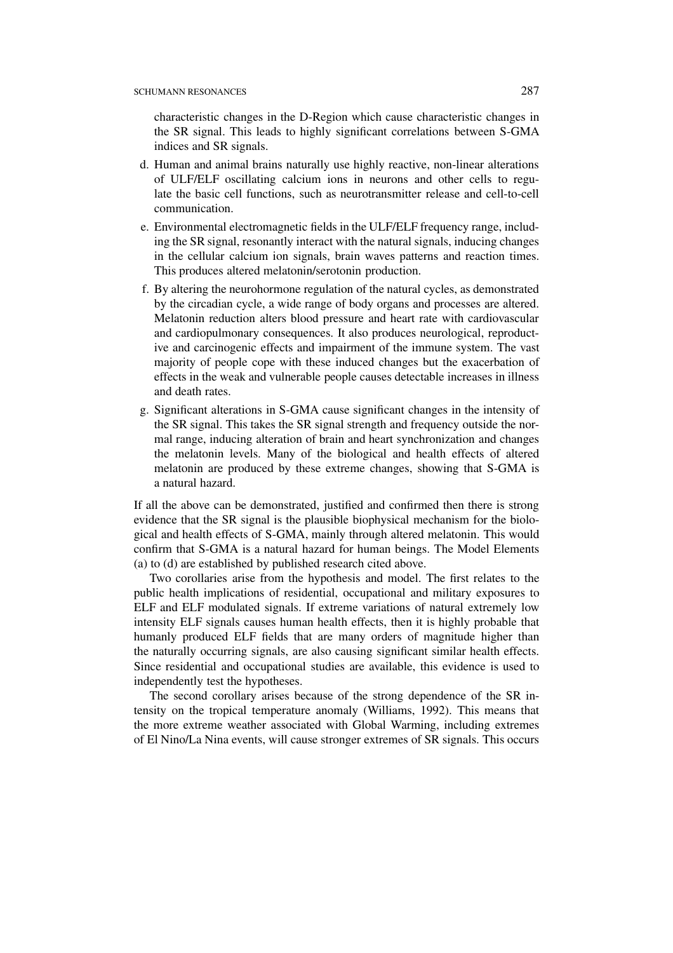characteristic changes in the D-Region which cause characteristic changes in the SR signal. This leads to highly significant correlations between S-GMA indices and SR signals.

- d. Human and animal brains naturally use highly reactive, non-linear alterations of ULF/ELF oscillating calcium ions in neurons and other cells to regulate the basic cell functions, such as neurotransmitter release and cell-to-cell communication.
- e. Environmental electromagnetic fields in the ULF/ELF frequency range, including the SR signal, resonantly interact with the natural signals, inducing changes in the cellular calcium ion signals, brain waves patterns and reaction times. This produces altered melatonin/serotonin production.
- f. By altering the neurohormone regulation of the natural cycles, as demonstrated by the circadian cycle, a wide range of body organs and processes are altered. Melatonin reduction alters blood pressure and heart rate with cardiovascular and cardiopulmonary consequences. It also produces neurological, reproductive and carcinogenic effects and impairment of the immune system. The vast majority of people cope with these induced changes but the exacerbation of effects in the weak and vulnerable people causes detectable increases in illness and death rates.
- g. Significant alterations in S-GMA cause significant changes in the intensity of the SR signal. This takes the SR signal strength and frequency outside the normal range, inducing alteration of brain and heart synchronization and changes the melatonin levels. Many of the biological and health effects of altered melatonin are produced by these extreme changes, showing that S-GMA is a natural hazard.

If all the above can be demonstrated, justified and confirmed then there is strong evidence that the SR signal is the plausible biophysical mechanism for the biological and health effects of S-GMA, mainly through altered melatonin. This would confirm that S-GMA is a natural hazard for human beings. The Model Elements (a) to (d) are established by published research cited above.

Two corollaries arise from the hypothesis and model. The first relates to the public health implications of residential, occupational and military exposures to ELF and ELF modulated signals. If extreme variations of natural extremely low intensity ELF signals causes human health effects, then it is highly probable that humanly produced ELF fields that are many orders of magnitude higher than the naturally occurring signals, are also causing significant similar health effects. Since residential and occupational studies are available, this evidence is used to independently test the hypotheses.

The second corollary arises because of the strong dependence of the SR intensity on the tropical temperature anomaly (Williams, 1992). This means that the more extreme weather associated with Global Warming, including extremes of El Nino/La Nina events, will cause stronger extremes of SR signals. This occurs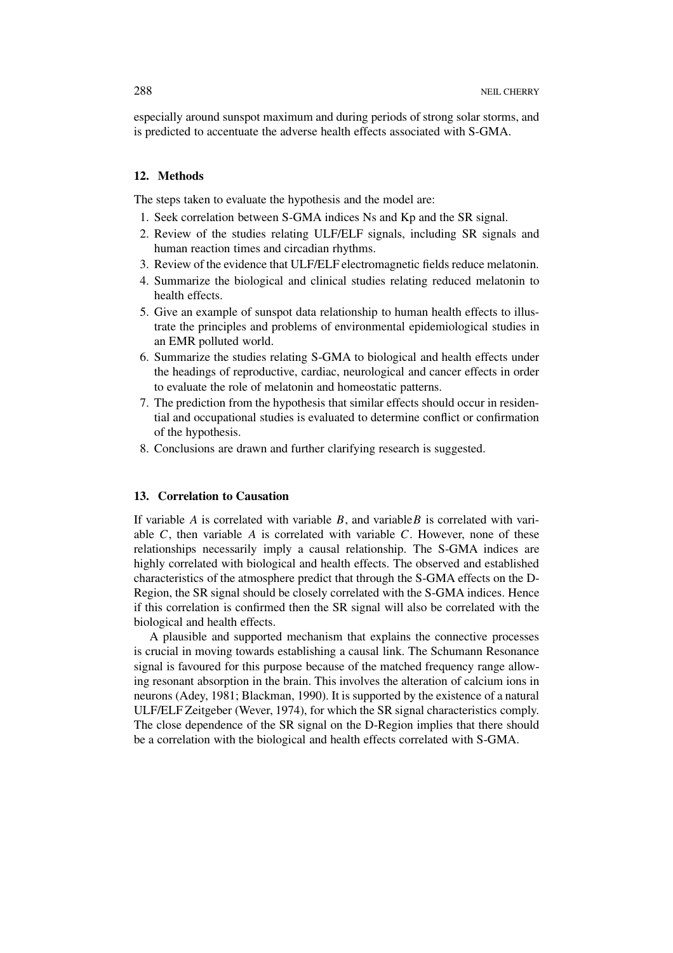especially around sunspot maximum and during periods of strong solar storms, and is predicted to accentuate the adverse health effects associated with S-GMA.

# **12. Methods**

The steps taken to evaluate the hypothesis and the model are:

- 1. Seek correlation between S-GMA indices Ns and Kp and the SR signal.
- 2. Review of the studies relating ULF/ELF signals, including SR signals and human reaction times and circadian rhythms.
- 3. Review of the evidence that ULF/ELF electromagnetic fields reduce melatonin.
- 4. Summarize the biological and clinical studies relating reduced melatonin to health effects.
- 5. Give an example of sunspot data relationship to human health effects to illustrate the principles and problems of environmental epidemiological studies in an EMR polluted world.
- 6. Summarize the studies relating S-GMA to biological and health effects under the headings of reproductive, cardiac, neurological and cancer effects in order to evaluate the role of melatonin and homeostatic patterns.
- 7. The prediction from the hypothesis that similar effects should occur in residential and occupational studies is evaluated to determine conflict or confirmation of the hypothesis.
- 8. Conclusions are drawn and further clarifying research is suggested.

# **13. Correlation to Causation**

If variable *A* is correlated with variable *B*, and variable*B* is correlated with variable *C*, then variable *A* is correlated with variable *C*. However, none of these relationships necessarily imply a causal relationship. The S-GMA indices are highly correlated with biological and health effects. The observed and established characteristics of the atmosphere predict that through the S-GMA effects on the D-Region, the SR signal should be closely correlated with the S-GMA indices. Hence if this correlation is confirmed then the SR signal will also be correlated with the biological and health effects.

A plausible and supported mechanism that explains the connective processes is crucial in moving towards establishing a causal link. The Schumann Resonance signal is favoured for this purpose because of the matched frequency range allowing resonant absorption in the brain. This involves the alteration of calcium ions in neurons (Adey, 1981; Blackman, 1990). It is supported by the existence of a natural ULF/ELF Zeitgeber (Wever, 1974), for which the SR signal characteristics comply. The close dependence of the SR signal on the D-Region implies that there should be a correlation with the biological and health effects correlated with S-GMA.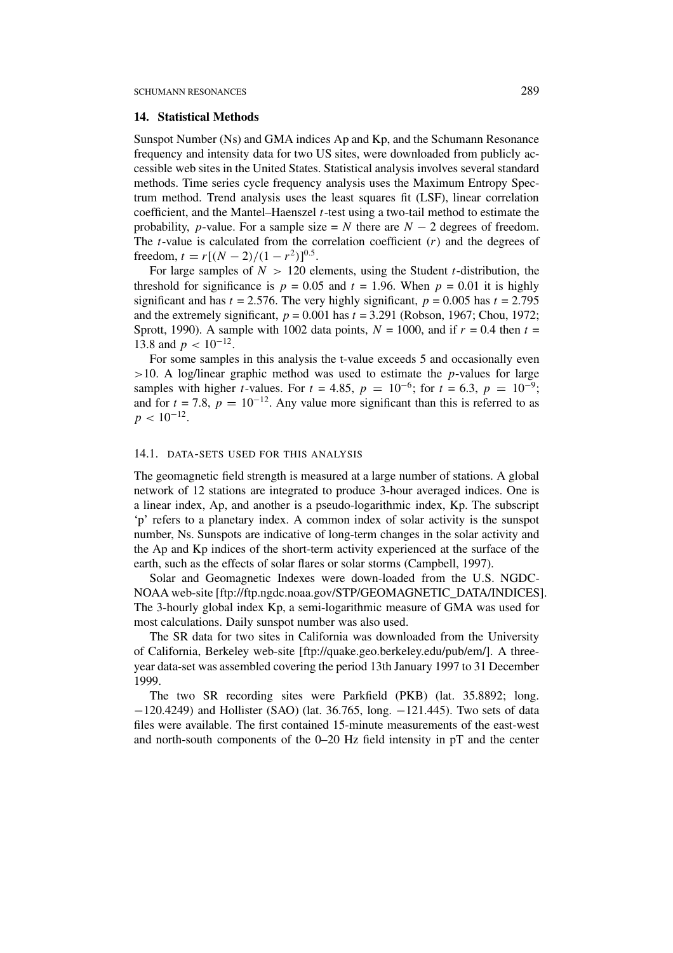## **14. Statistical Methods**

Sunspot Number (Ns) and GMA indices Ap and Kp, and the Schumann Resonance frequency and intensity data for two US sites, were downloaded from publicly accessible web sites in the United States. Statistical analysis involves several standard methods. Time series cycle frequency analysis uses the Maximum Entropy Spectrum method. Trend analysis uses the least squares fit (LSF), linear correlation coefficient, and the Mantel–Haenszel *t*-test using a two-tail method to estimate the probability, *p*-value. For a sample size = *N* there are  $N - 2$  degrees of freedom. The *t*-value is calculated from the correlation coefficient *(r)* and the degrees of freedom,  $t = r[(N-2)/(1-r^2)]^{0.5}$ .

For large samples of  $N > 120$  elements, using the Student *t*-distribution, the threshold for significance is  $p = 0.05$  and  $t = 1.96$ . When  $p = 0.01$  it is highly significant and has  $t = 2.576$ . The very highly significant,  $p = 0.005$  has  $t = 2.795$ and the extremely significant,  $p = 0.001$  has  $t = 3.291$  (Robson, 1967; Chou, 1972; Sprott, 1990). A sample with 1002 data points,  $N = 1000$ , and if  $r = 0.4$  then  $t =$ 13.8 and  $p < 10^{-12}$ .

For some samples in this analysis the t-value exceeds 5 and occasionally even *>*10. A log/linear graphic method was used to estimate the *p*-values for large samples with higher *t*-values. For  $t = 4.85$ ,  $p = 10^{-6}$ ; for  $t = 6.3$ ,  $p = 10^{-9}$ ; and for  $t = 7.8$ ,  $p = 10^{-12}$ . Any value more significant than this is referred to as  $p < 10^{-12}$ .

## 14.1. DATA-SETS USED FOR THIS ANALYSIS

The geomagnetic field strength is measured at a large number of stations. A global network of 12 stations are integrated to produce 3-hour averaged indices. One is a linear index, Ap, and another is a pseudo-logarithmic index, Kp. The subscript 'p' refers to a planetary index. A common index of solar activity is the sunspot number, Ns. Sunspots are indicative of long-term changes in the solar activity and the Ap and Kp indices of the short-term activity experienced at the surface of the earth, such as the effects of solar flares or solar storms (Campbell, 1997).

Solar and Geomagnetic Indexes were down-loaded from the U.S. NGDC-NOAA web-site [ftp://ftp.ngdc.noaa.gov/STP/GEOMAGNETIC\_DATA/INDICES]. The 3-hourly global index Kp, a semi-logarithmic measure of GMA was used for most calculations. Daily sunspot number was also used.

The SR data for two sites in California was downloaded from the University of California, Berkeley web-site [ftp://quake.geo.berkeley.edu/pub/em/]. A threeyear data-set was assembled covering the period 13th January 1997 to 31 December 1999.

The two SR recording sites were Parkfield (PKB) (lat. 35.8892; long. −120.4249) and Hollister (SAO) (lat. 36.765, long. −121.445). Two sets of data files were available. The first contained 15-minute measurements of the east-west and north-south components of the 0–20 Hz field intensity in pT and the center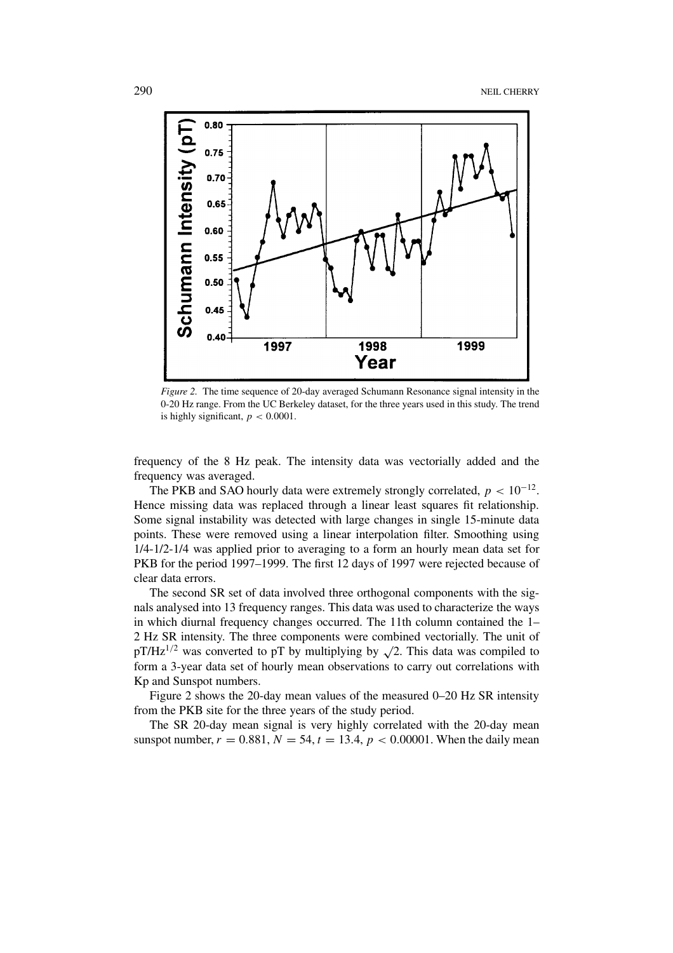

*Figure 2.* The time sequence of 20-day averaged Schumann Resonance signal intensity in the 0-20 Hz range. From the UC Berkeley dataset, for the three years used in this study. The trend is highly significant,  $p < 0.0001$ .

frequency of the 8 Hz peak. The intensity data was vectorially added and the frequency was averaged.

The PKB and SAO hourly data were extremely strongly correlated,  $p < 10^{-12}$ . Hence missing data was replaced through a linear least squares fit relationship. Some signal instability was detected with large changes in single 15-minute data points. These were removed using a linear interpolation filter. Smoothing using 1/4-1/2-1/4 was applied prior to averaging to a form an hourly mean data set for PKB for the period 1997–1999. The first 12 days of 1997 were rejected because of clear data errors.

The second SR set of data involved three orthogonal components with the signals analysed into 13 frequency ranges. This data was used to characterize the ways in which diurnal frequency changes occurred. The 11th column contained the 1– 2 Hz SR intensity. The three components were combined vectorially. The unit of pT/Hz<sup>1/2</sup> was converted to pT by multiplying by  $\sqrt{2}$ . This data was compiled to form a 3-year data set of hourly mean observations to carry out correlations with Kp and Sunspot numbers.

Figure 2 shows the 20-day mean values of the measured 0–20 Hz SR intensity from the PKB site for the three years of the study period.

The SR 20-day mean signal is very highly correlated with the 20-day mean sunspot number,  $r = 0.881$ ,  $N = 54$ ,  $t = 13.4$ ,  $p < 0.00001$ . When the daily mean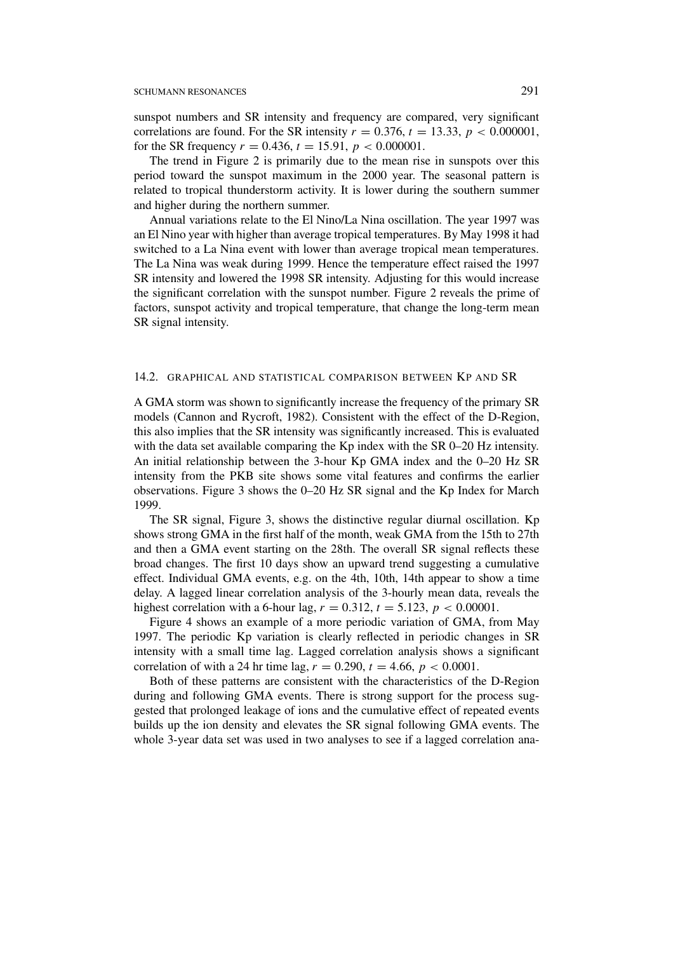sunspot numbers and SR intensity and frequency are compared, very significant correlations are found. For the SR intensity  $r = 0.376$ ,  $t = 13.33$ ,  $p < 0.000001$ , for the SR frequency  $r = 0.436$ ,  $t = 15.91$ ,  $p < 0.000001$ .

The trend in Figure 2 is primarily due to the mean rise in sunspots over this period toward the sunspot maximum in the 2000 year. The seasonal pattern is related to tropical thunderstorm activity. It is lower during the southern summer and higher during the northern summer.

Annual variations relate to the El Nino/La Nina oscillation. The year 1997 was an El Nino year with higher than average tropical temperatures. By May 1998 it had switched to a La Nina event with lower than average tropical mean temperatures. The La Nina was weak during 1999. Hence the temperature effect raised the 1997 SR intensity and lowered the 1998 SR intensity. Adjusting for this would increase the significant correlation with the sunspot number. Figure 2 reveals the prime of factors, sunspot activity and tropical temperature, that change the long-term mean SR signal intensity.

# 14.2. GRAPHICAL AND STATISTICAL COMPARISON BETWEEN KP AND SR

A GMA storm was shown to significantly increase the frequency of the primary SR models (Cannon and Rycroft, 1982). Consistent with the effect of the D-Region, this also implies that the SR intensity was significantly increased. This is evaluated with the data set available comparing the Kp index with the SR 0–20 Hz intensity. An initial relationship between the 3-hour Kp GMA index and the 0–20 Hz SR intensity from the PKB site shows some vital features and confirms the earlier observations. Figure 3 shows the 0–20 Hz SR signal and the Kp Index for March 1999.

The SR signal, Figure 3, shows the distinctive regular diurnal oscillation. Kp shows strong GMA in the first half of the month, weak GMA from the 15th to 27th and then a GMA event starting on the 28th. The overall SR signal reflects these broad changes. The first 10 days show an upward trend suggesting a cumulative effect. Individual GMA events, e.g. on the 4th, 10th, 14th appear to show a time delay. A lagged linear correlation analysis of the 3-hourly mean data, reveals the highest correlation with a 6-hour lag,  $r = 0.312$ ,  $t = 5.123$ ,  $p < 0.00001$ .

Figure 4 shows an example of a more periodic variation of GMA, from May 1997. The periodic Kp variation is clearly reflected in periodic changes in SR intensity with a small time lag. Lagged correlation analysis shows a significant correlation of with a 24 hr time lag,  $r = 0.290$ ,  $t = 4.66$ ,  $p < 0.0001$ .

Both of these patterns are consistent with the characteristics of the D-Region during and following GMA events. There is strong support for the process suggested that prolonged leakage of ions and the cumulative effect of repeated events builds up the ion density and elevates the SR signal following GMA events. The whole 3-year data set was used in two analyses to see if a lagged correlation ana-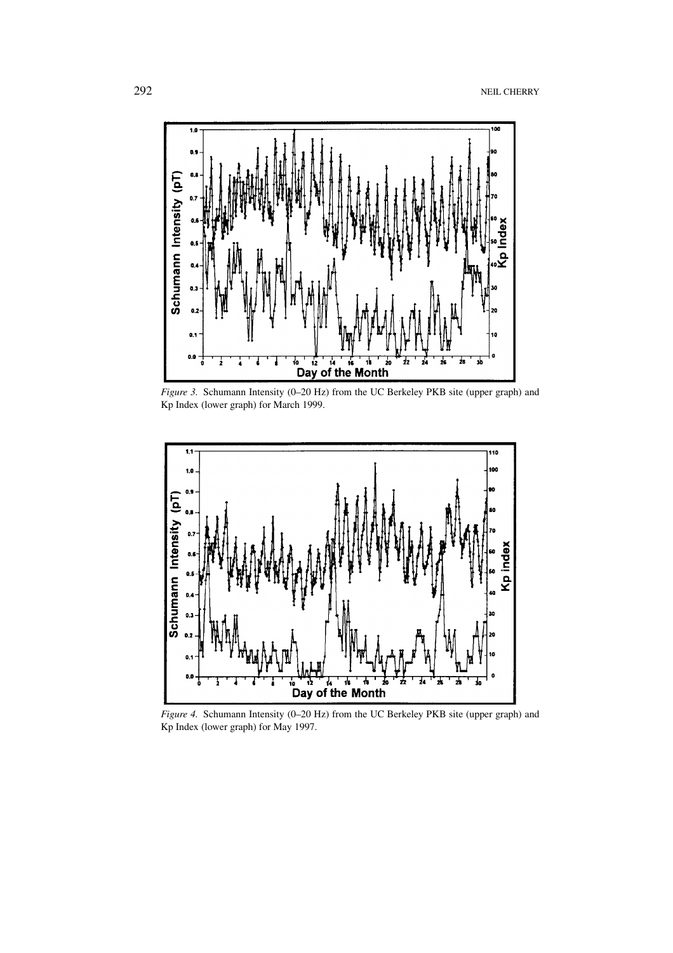

*Figure 3.* Schumann Intensity (0–20 Hz) from the UC Berkeley PKB site (upper graph) and Kp Index (lower graph) for March 1999.



*Figure 4.* Schumann Intensity (0–20 Hz) from the UC Berkeley PKB site (upper graph) and Kp Index (lower graph) for May 1997.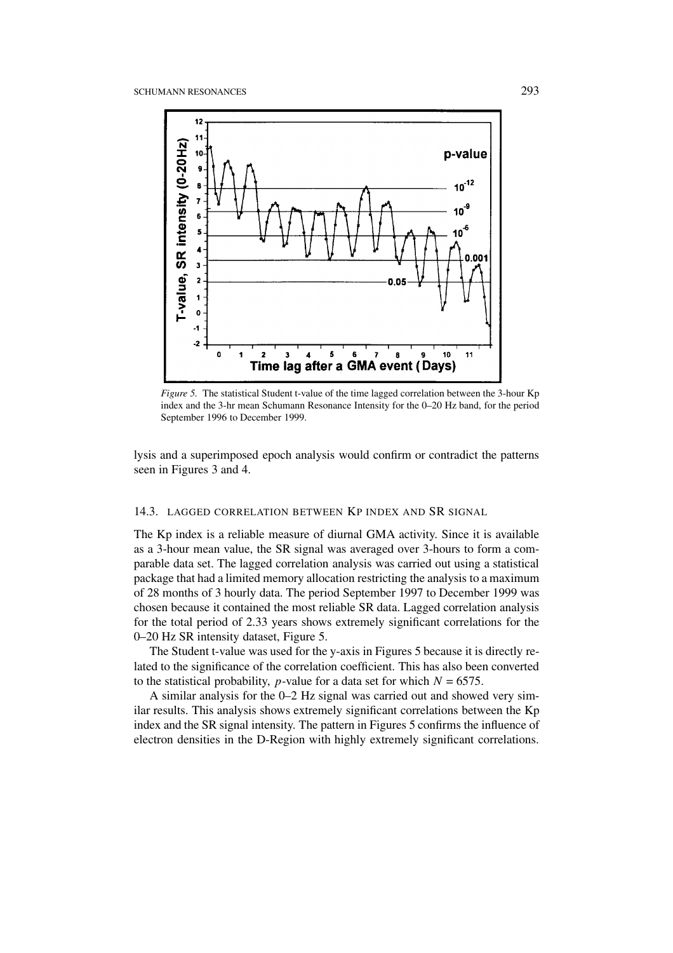

*Figure 5.* The statistical Student t-value of the time lagged correlation between the 3-hour Kp index and the 3-hr mean Schumann Resonance Intensity for the 0–20 Hz band, for the period September 1996 to December 1999.

lysis and a superimposed epoch analysis would confirm or contradict the patterns seen in Figures 3 and 4.

## 14.3. LAGGED CORRELATION BETWEEN KP INDEX AND SR SIGNAL

The Kp index is a reliable measure of diurnal GMA activity. Since it is available as a 3-hour mean value, the SR signal was averaged over 3-hours to form a comparable data set. The lagged correlation analysis was carried out using a statistical package that had a limited memory allocation restricting the analysis to a maximum of 28 months of 3 hourly data. The period September 1997 to December 1999 was chosen because it contained the most reliable SR data. Lagged correlation analysis for the total period of 2.33 years shows extremely significant correlations for the 0–20 Hz SR intensity dataset, Figure 5.

The Student t-value was used for the y-axis in Figures 5 because it is directly related to the significance of the correlation coefficient. This has also been converted to the statistical probability, *p*-value for a data set for which  $N = 6575$ .

A similar analysis for the 0–2 Hz signal was carried out and showed very similar results. This analysis shows extremely significant correlations between the Kp index and the SR signal intensity. The pattern in Figures 5 confirms the influence of electron densities in the D-Region with highly extremely significant correlations.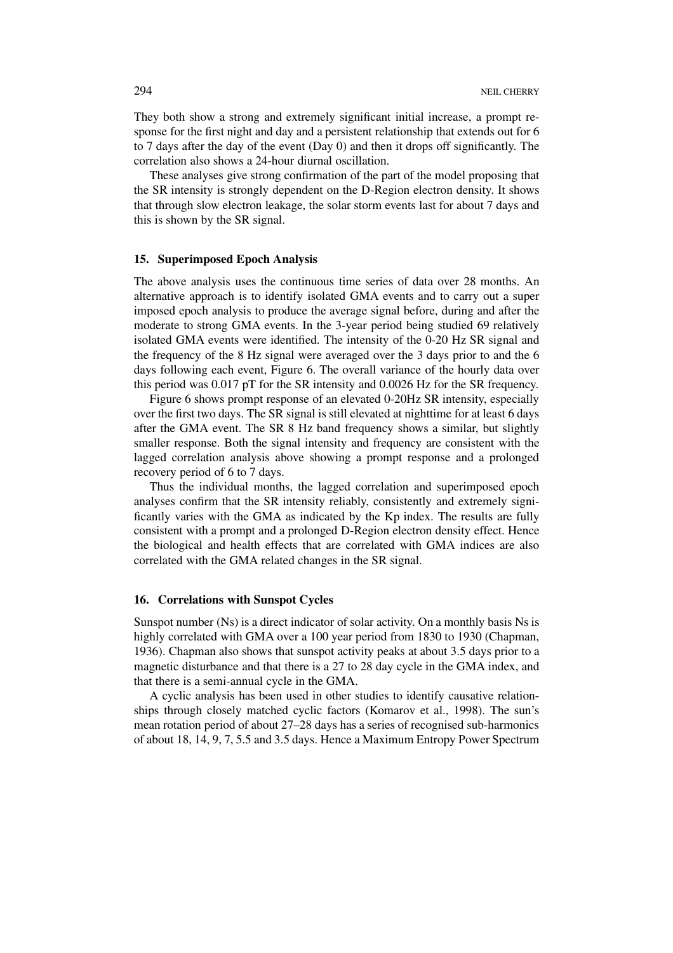They both show a strong and extremely significant initial increase, a prompt response for the first night and day and a persistent relationship that extends out for 6 to 7 days after the day of the event (Day 0) and then it drops off significantly. The correlation also shows a 24-hour diurnal oscillation.

These analyses give strong confirmation of the part of the model proposing that the SR intensity is strongly dependent on the D-Region electron density. It shows that through slow electron leakage, the solar storm events last for about 7 days and this is shown by the SR signal.

# **15. Superimposed Epoch Analysis**

The above analysis uses the continuous time series of data over 28 months. An alternative approach is to identify isolated GMA events and to carry out a super imposed epoch analysis to produce the average signal before, during and after the moderate to strong GMA events. In the 3-year period being studied 69 relatively isolated GMA events were identified. The intensity of the 0-20 Hz SR signal and the frequency of the 8 Hz signal were averaged over the 3 days prior to and the 6 days following each event, Figure 6. The overall variance of the hourly data over this period was 0.017 pT for the SR intensity and 0.0026 Hz for the SR frequency.

Figure 6 shows prompt response of an elevated 0-20Hz SR intensity, especially over the first two days. The SR signal is still elevated at nighttime for at least 6 days after the GMA event. The SR 8 Hz band frequency shows a similar, but slightly smaller response. Both the signal intensity and frequency are consistent with the lagged correlation analysis above showing a prompt response and a prolonged recovery period of 6 to 7 days.

Thus the individual months, the lagged correlation and superimposed epoch analyses confirm that the SR intensity reliably, consistently and extremely significantly varies with the GMA as indicated by the Kp index. The results are fully consistent with a prompt and a prolonged D-Region electron density effect. Hence the biological and health effects that are correlated with GMA indices are also correlated with the GMA related changes in the SR signal.

## **16. Correlations with Sunspot Cycles**

Sunspot number (Ns) is a direct indicator of solar activity. On a monthly basis Ns is highly correlated with GMA over a 100 year period from 1830 to 1930 (Chapman, 1936). Chapman also shows that sunspot activity peaks at about 3.5 days prior to a magnetic disturbance and that there is a 27 to 28 day cycle in the GMA index, and that there is a semi-annual cycle in the GMA.

A cyclic analysis has been used in other studies to identify causative relationships through closely matched cyclic factors (Komarov et al., 1998). The sun's mean rotation period of about 27–28 days has a series of recognised sub-harmonics of about 18, 14, 9, 7, 5.5 and 3.5 days. Hence a Maximum Entropy Power Spectrum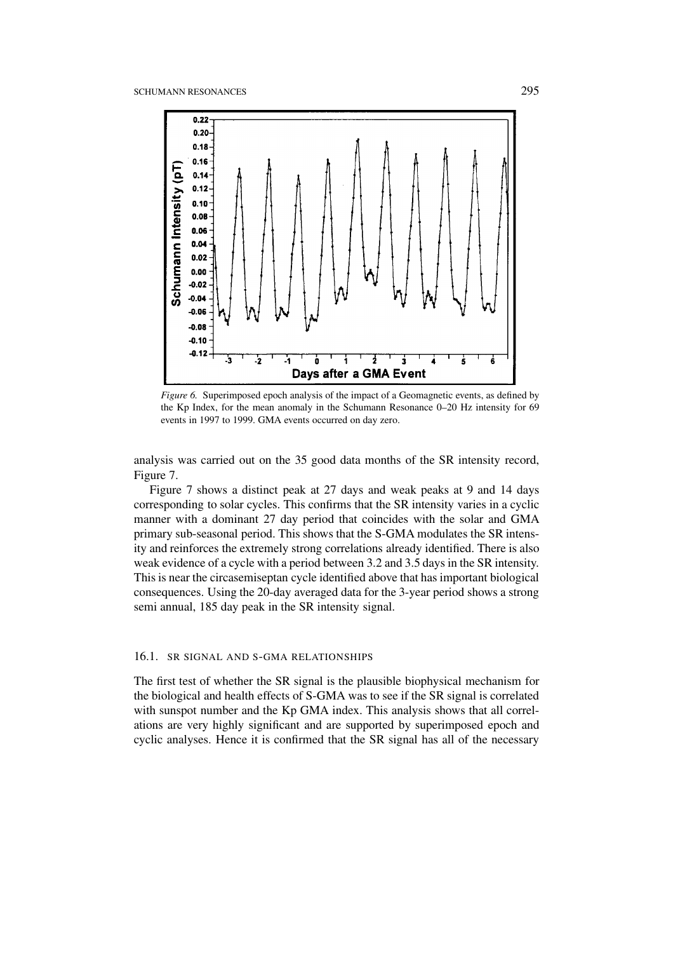

*Figure 6.* Superimposed epoch analysis of the impact of a Geomagnetic events, as defined by the Kp Index, for the mean anomaly in the Schumann Resonance 0–20 Hz intensity for 69 events in 1997 to 1999. GMA events occurred on day zero.

analysis was carried out on the 35 good data months of the SR intensity record, Figure 7.

Figure 7 shows a distinct peak at 27 days and weak peaks at 9 and 14 days corresponding to solar cycles. This confirms that the SR intensity varies in a cyclic manner with a dominant 27 day period that coincides with the solar and GMA primary sub-seasonal period. This shows that the S-GMA modulates the SR intensity and reinforces the extremely strong correlations already identified. There is also weak evidence of a cycle with a period between 3.2 and 3.5 days in the SR intensity. This is near the circasemiseptan cycle identified above that has important biological consequences. Using the 20-day averaged data for the 3-year period shows a strong semi annual, 185 day peak in the SR intensity signal.

## 16.1. SR SIGNAL AND S-GMA RELATIONSHIPS

The first test of whether the SR signal is the plausible biophysical mechanism for the biological and health effects of S-GMA was to see if the SR signal is correlated with sunspot number and the Kp GMA index. This analysis shows that all correlations are very highly significant and are supported by superimposed epoch and cyclic analyses. Hence it is confirmed that the SR signal has all of the necessary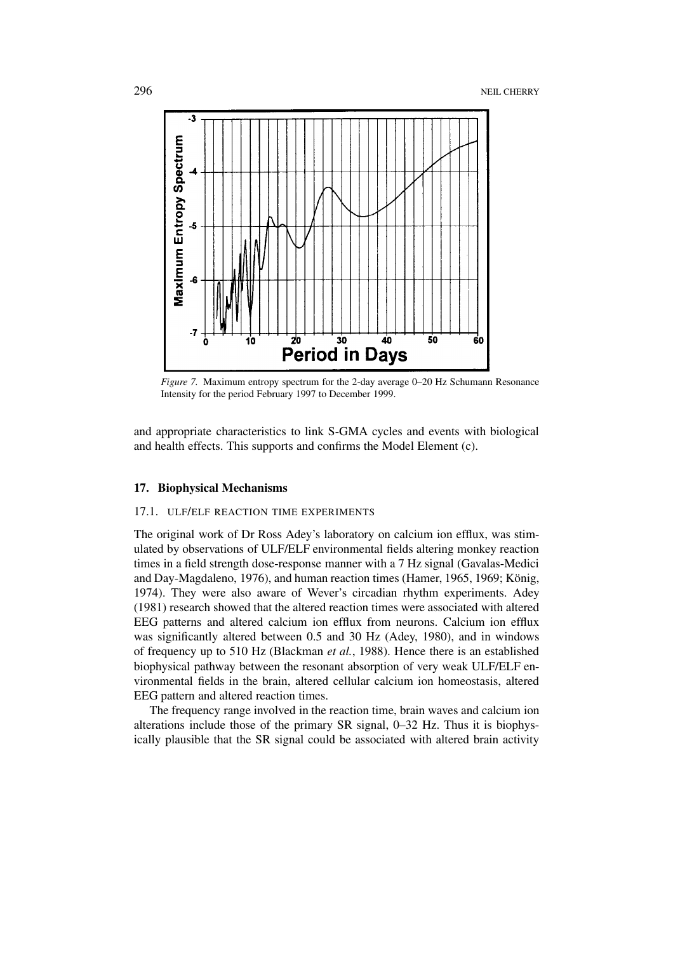

*Figure 7.* Maximum entropy spectrum for the 2-day average 0–20 Hz Schumann Resonance Intensity for the period February 1997 to December 1999.

and appropriate characteristics to link S-GMA cycles and events with biological and health effects. This supports and confirms the Model Element (c).

# **17. Biophysical Mechanisms**

## 17.1. ULF/ELF REACTION TIME EXPERIMENTS

The original work of Dr Ross Adey's laboratory on calcium ion efflux, was stimulated by observations of ULF/ELF environmental fields altering monkey reaction times in a field strength dose-response manner with a 7 Hz signal (Gavalas-Medici and Day-Magdaleno, 1976), and human reaction times (Hamer, 1965, 1969; König, 1974). They were also aware of Wever's circadian rhythm experiments. Adey (1981) research showed that the altered reaction times were associated with altered EEG patterns and altered calcium ion efflux from neurons. Calcium ion efflux was significantly altered between 0.5 and 30 Hz (Adey, 1980), and in windows of frequency up to 510 Hz (Blackman *et al.*, 1988). Hence there is an established biophysical pathway between the resonant absorption of very weak ULF/ELF environmental fields in the brain, altered cellular calcium ion homeostasis, altered EEG pattern and altered reaction times.

The frequency range involved in the reaction time, brain waves and calcium ion alterations include those of the primary SR signal, 0–32 Hz. Thus it is biophysically plausible that the SR signal could be associated with altered brain activity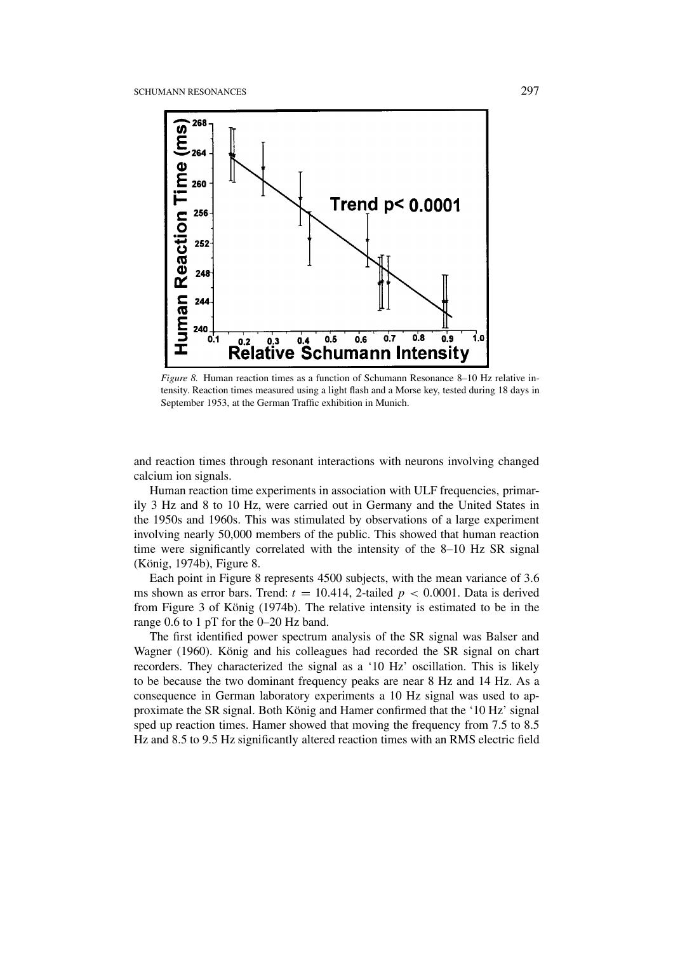

*Figure 8.* Human reaction times as a function of Schumann Resonance 8–10 Hz relative intensity. Reaction times measured using a light flash and a Morse key, tested during 18 days in September 1953, at the German Traffic exhibition in Munich.

and reaction times through resonant interactions with neurons involving changed calcium ion signals.

Human reaction time experiments in association with ULF frequencies, primarily 3 Hz and 8 to 10 Hz, were carried out in Germany and the United States in the 1950s and 1960s. This was stimulated by observations of a large experiment involving nearly 50,000 members of the public. This showed that human reaction time were significantly correlated with the intensity of the 8–10 Hz SR signal (König, 1974b), Figure 8.

Each point in Figure 8 represents 4500 subjects, with the mean variance of 3.6 ms shown as error bars. Trend:  $t = 10.414$ , 2-tailed  $p < 0.0001$ . Data is derived from Figure 3 of König (1974b). The relative intensity is estimated to be in the range 0.6 to 1 pT for the 0–20 Hz band.

The first identified power spectrum analysis of the SR signal was Balser and Wagner (1960). König and his colleagues had recorded the SR signal on chart recorders. They characterized the signal as a '10 Hz' oscillation. This is likely to be because the two dominant frequency peaks are near 8 Hz and 14 Hz. As a consequence in German laboratory experiments a 10 Hz signal was used to approximate the SR signal. Both König and Hamer confirmed that the '10 Hz' signal sped up reaction times. Hamer showed that moving the frequency from 7.5 to 8.5 Hz and 8.5 to 9.5 Hz significantly altered reaction times with an RMS electric field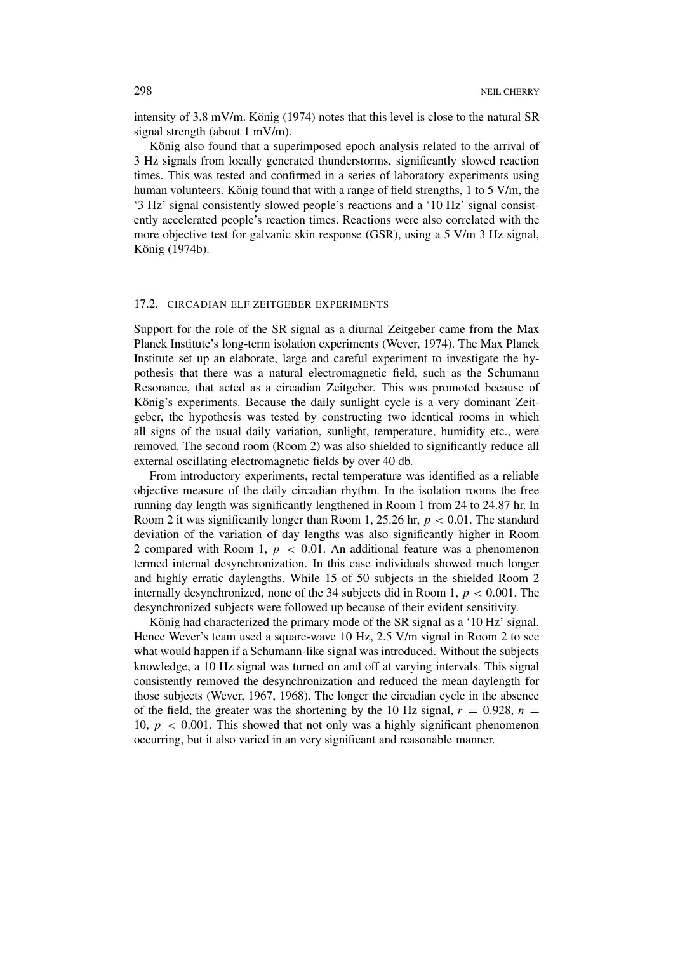intensity of 3.8 mV/m. König (1974) notes that this level is close to the natural SR signal strength (about 1 mV/m).

König also found that a superimposed epoch analysis related to the arrival of 3 Hz signals from locally generated thunderstorms, significantly slowed reaction times. This was tested and confirmed in a series of laboratory experiments using human volunteers. König found that with a range of field strengths, 1 to 5 V/m, the '3 Hz' signal consistently slowed people's reactions and a '10 Hz' signal consistently accelerated people's reaction times. Reactions were also correlated with the more objective test for galvanic skin response (GSR), using a 5 V/m 3 Hz signal, König (1974b).

# 17.2. CIRCADIAN ELF ZEITGEBER EXPERIMENTS

Support for the role of the SR signal as a diurnal Zeitgeber came from the Max Planck Institute's long-term isolation experiments (Wever, 1974). The Max Planck Institute set up an elaborate, large and careful experiment to investigate the hypothesis that there was a natural electromagnetic field, such as the Schumann Resonance, that acted as a circadian Zeitgeber. This was promoted because of König's experiments. Because the daily sunlight cycle is a very dominant Zeitgeber, the hypothesis was tested by constructing two identical rooms in which all signs of the usual daily variation, sunlight, temperature, humidity etc., were removed. The second room (Room 2) was also shielded to significantly reduce all external oscillating electromagnetic fields by over 40 db.

From introductory experiments, rectal temperature was identified as a reliable objective measure of the daily circadian rhythm. In the isolation rooms the free running day length was significantly lengthened in Room 1 from 24 to 24.87 hr. In Room 2 it was significantly longer than Room 1, 25.26 hr,  $p < 0.01$ . The standard deviation of the variation of day lengths was also significantly higher in Room 2 compared with Room 1, *p <* 0*.*01. An additional feature was a phenomenon termed internal desynchronization. In this case individuals showed much longer and highly erratic daylengths. While 15 of 50 subjects in the shielded Room 2 internally desynchronized, none of the 34 subjects did in Room 1,  $p < 0.001$ . The desynchronized subjects were followed up because of their evident sensitivity.

König had characterized the primary mode of the SR signal as a '10 Hz' signal. Hence Wever's team used a square-wave 10 Hz, 2.5 V/m signal in Room 2 to see what would happen if a Schumann-like signal was introduced. Without the subjects knowledge, a 10 Hz signal was turned on and off at varying intervals. This signal consistently removed the desynchronization and reduced the mean daylength for those subjects (Wever, 1967, 1968). The longer the circadian cycle in the absence of the field, the greater was the shortening by the 10 Hz signal,  $r = 0.928$ ,  $n =$ 10,  $p < 0.001$ . This showed that not only was a highly significant phenomenon occurring, but it also varied in an very significant and reasonable manner.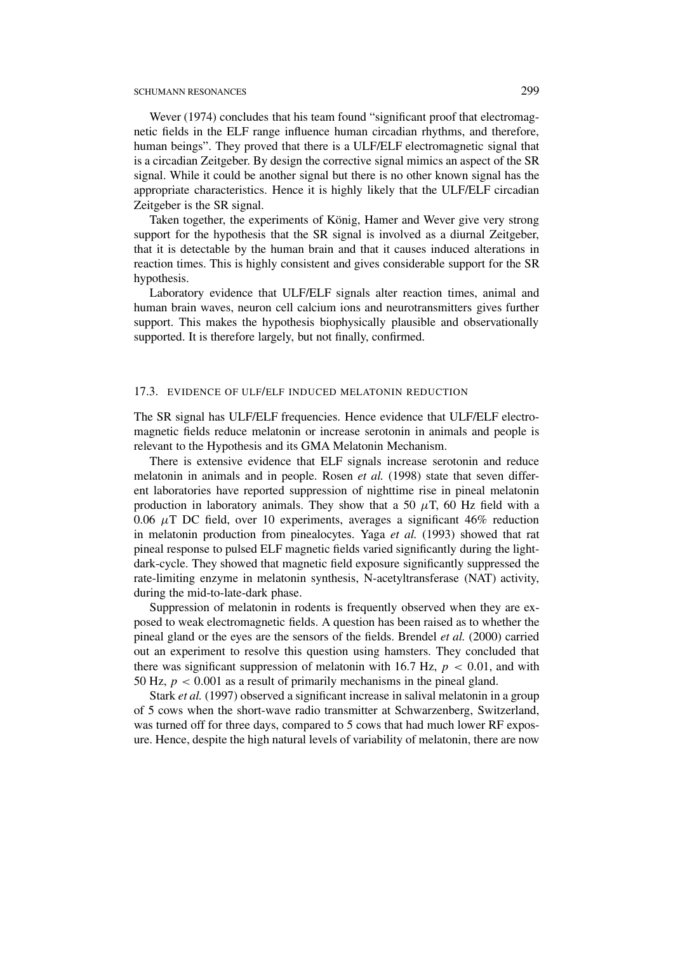## SCHUMANN RESONANCES 299

Wever (1974) concludes that his team found "significant proof that electromagnetic fields in the ELF range influence human circadian rhythms, and therefore, human beings". They proved that there is a ULF/ELF electromagnetic signal that is a circadian Zeitgeber. By design the corrective signal mimics an aspect of the SR signal. While it could be another signal but there is no other known signal has the appropriate characteristics. Hence it is highly likely that the ULF/ELF circadian Zeitgeber is the SR signal.

Taken together, the experiments of König, Hamer and Wever give very strong support for the hypothesis that the SR signal is involved as a diurnal Zeitgeber, that it is detectable by the human brain and that it causes induced alterations in reaction times. This is highly consistent and gives considerable support for the SR hypothesis.

Laboratory evidence that ULF/ELF signals alter reaction times, animal and human brain waves, neuron cell calcium ions and neurotransmitters gives further support. This makes the hypothesis biophysically plausible and observationally supported. It is therefore largely, but not finally, confirmed.

# 17.3. EVIDENCE OF ULF/ELF INDUCED MELATONIN REDUCTION

The SR signal has ULF/ELF frequencies. Hence evidence that ULF/ELF electromagnetic fields reduce melatonin or increase serotonin in animals and people is relevant to the Hypothesis and its GMA Melatonin Mechanism.

There is extensive evidence that ELF signals increase serotonin and reduce melatonin in animals and in people. Rosen *et al.* (1998) state that seven different laboratories have reported suppression of nighttime rise in pineal melatonin production in laboratory animals. They show that a 50  $\mu$ T, 60 Hz field with a 0.06  $\mu$ T DC field, over 10 experiments, averages a significant 46% reduction in melatonin production from pinealocytes. Yaga *et al.* (1993) showed that rat pineal response to pulsed ELF magnetic fields varied significantly during the lightdark-cycle. They showed that magnetic field exposure significantly suppressed the rate-limiting enzyme in melatonin synthesis, N-acetyltransferase (NAT) activity, during the mid-to-late-dark phase.

Suppression of melatonin in rodents is frequently observed when they are exposed to weak electromagnetic fields. A question has been raised as to whether the pineal gland or the eyes are the sensors of the fields. Brendel *et al.* (2000) carried out an experiment to resolve this question using hamsters. They concluded that there was significant suppression of melatonin with 16.7 Hz, *p <* 0*.*01, and with 50 Hz, *p <* 0*.*001 as a result of primarily mechanisms in the pineal gland.

Stark *et al.* (1997) observed a significant increase in salival melatonin in a group of 5 cows when the short-wave radio transmitter at Schwarzenberg, Switzerland, was turned off for three days, compared to 5 cows that had much lower RF exposure. Hence, despite the high natural levels of variability of melatonin, there are now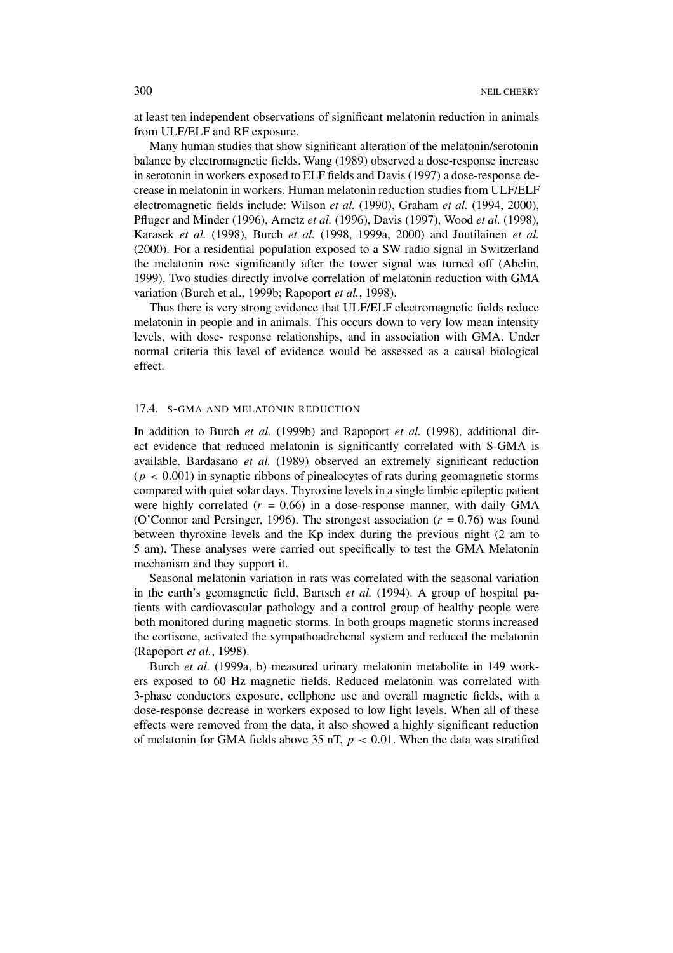at least ten independent observations of significant melatonin reduction in animals from ULF/ELF and RF exposure.

Many human studies that show significant alteration of the melatonin/serotonin balance by electromagnetic fields. Wang (1989) observed a dose-response increase in serotonin in workers exposed to ELF fields and Davis (1997) a dose-response decrease in melatonin in workers. Human melatonin reduction studies from ULF/ELF electromagnetic fields include: Wilson *et al.* (1990), Graham *et al.* (1994, 2000), Pfluger and Minder (1996), Arnetz *et al.* (1996), Davis (1997), Wood *et al.* (1998), Karasek *et al.* (1998), Burch *et al.* (1998, 1999a, 2000) and Juutilainen *et al.* (2000). For a residential population exposed to a SW radio signal in Switzerland the melatonin rose significantly after the tower signal was turned off (Abelin, 1999). Two studies directly involve correlation of melatonin reduction with GMA variation (Burch et al., 1999b; Rapoport *et al.*, 1998).

Thus there is very strong evidence that ULF/ELF electromagnetic fields reduce melatonin in people and in animals. This occurs down to very low mean intensity levels, with dose- response relationships, and in association with GMA. Under normal criteria this level of evidence would be assessed as a causal biological effect.

## 17.4. S-GMA AND MELATONIN REDUCTION

In addition to Burch *et al.* (1999b) and Rapoport *et al.* (1998), additional direct evidence that reduced melatonin is significantly correlated with S-GMA is available. Bardasano *et al.* (1989) observed an extremely significant reduction  $(p < 0.001)$  in synaptic ribbons of pinealocytes of rats during geomagnetic storms compared with quiet solar days. Thyroxine levels in a single limbic epileptic patient were highly correlated  $(r = 0.66)$  in a dose-response manner, with daily GMA (O'Connor and Persinger, 1996). The strongest association (*r* = 0.76) was found between thyroxine levels and the Kp index during the previous night (2 am to 5 am). These analyses were carried out specifically to test the GMA Melatonin mechanism and they support it.

Seasonal melatonin variation in rats was correlated with the seasonal variation in the earth's geomagnetic field, Bartsch *et al.* (1994). A group of hospital patients with cardiovascular pathology and a control group of healthy people were both monitored during magnetic storms. In both groups magnetic storms increased the cortisone, activated the sympathoadrehenal system and reduced the melatonin (Rapoport *et al.*, 1998).

Burch *et al.* (1999a, b) measured urinary melatonin metabolite in 149 workers exposed to 60 Hz magnetic fields. Reduced melatonin was correlated with 3-phase conductors exposure, cellphone use and overall magnetic fields, with a dose-response decrease in workers exposed to low light levels. When all of these effects were removed from the data, it also showed a highly significant reduction of melatonin for GMA fields above 35 nT,  $p < 0.01$ . When the data was stratified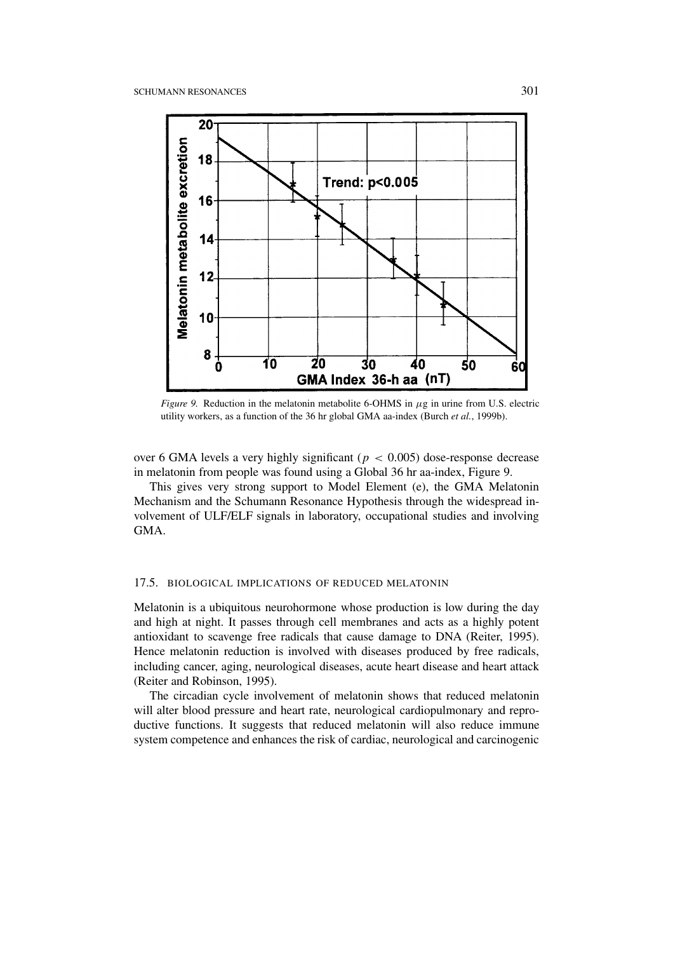

*Figure 9.* Reduction in the melatonin metabolite 6-OHMS in  $\mu$ g in urine from U.S. electric utility workers, as a function of the 36 hr global GMA aa-index (Burch *et al.*, 1999b).

over 6 GMA levels a very highly significant (*p <* 0*.*005) dose-response decrease in melatonin from people was found using a Global 36 hr aa-index, Figure 9.

This gives very strong support to Model Element (e), the GMA Melatonin Mechanism and the Schumann Resonance Hypothesis through the widespread involvement of ULF/ELF signals in laboratory, occupational studies and involving GMA.

# 17.5. BIOLOGICAL IMPLICATIONS OF REDUCED MELATONIN

Melatonin is a ubiquitous neurohormone whose production is low during the day and high at night. It passes through cell membranes and acts as a highly potent antioxidant to scavenge free radicals that cause damage to DNA (Reiter, 1995). Hence melatonin reduction is involved with diseases produced by free radicals, including cancer, aging, neurological diseases, acute heart disease and heart attack (Reiter and Robinson, 1995).

The circadian cycle involvement of melatonin shows that reduced melatonin will alter blood pressure and heart rate, neurological cardiopulmonary and reproductive functions. It suggests that reduced melatonin will also reduce immune system competence and enhances the risk of cardiac, neurological and carcinogenic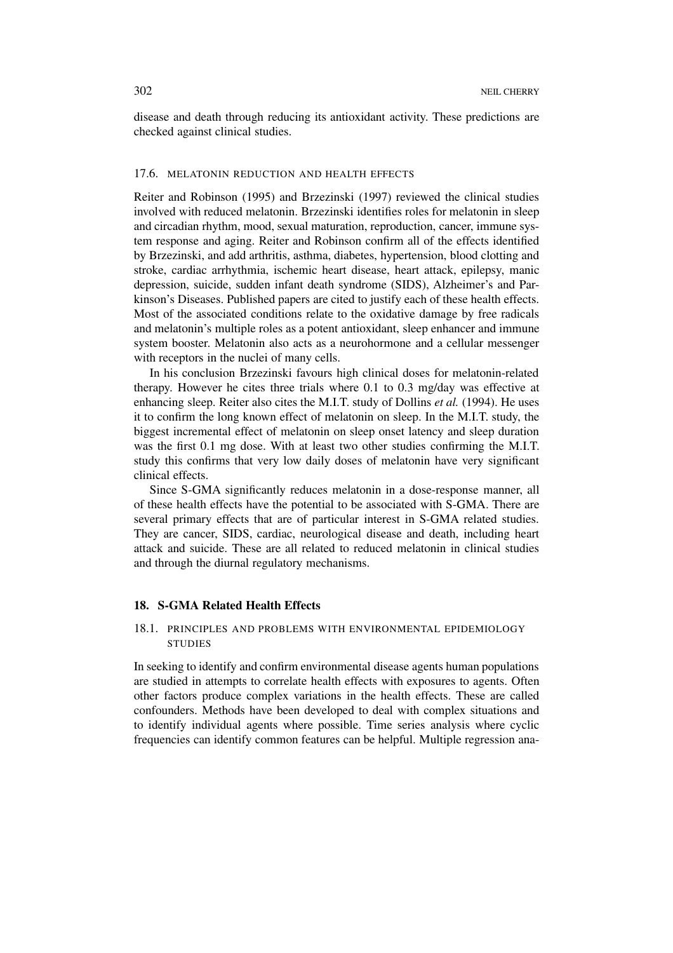disease and death through reducing its antioxidant activity. These predictions are checked against clinical studies.

# 17.6. MELATONIN REDUCTION AND HEALTH EFFECTS

Reiter and Robinson (1995) and Brzezinski (1997) reviewed the clinical studies involved with reduced melatonin. Brzezinski identifies roles for melatonin in sleep and circadian rhythm, mood, sexual maturation, reproduction, cancer, immune system response and aging. Reiter and Robinson confirm all of the effects identified by Brzezinski, and add arthritis, asthma, diabetes, hypertension, blood clotting and stroke, cardiac arrhythmia, ischemic heart disease, heart attack, epilepsy, manic depression, suicide, sudden infant death syndrome (SIDS), Alzheimer's and Parkinson's Diseases. Published papers are cited to justify each of these health effects. Most of the associated conditions relate to the oxidative damage by free radicals and melatonin's multiple roles as a potent antioxidant, sleep enhancer and immune system booster. Melatonin also acts as a neurohormone and a cellular messenger with receptors in the nuclei of many cells.

In his conclusion Brzezinski favours high clinical doses for melatonin-related therapy. However he cites three trials where 0.1 to 0.3 mg/day was effective at enhancing sleep. Reiter also cites the M.I.T. study of Dollins *et al.* (1994). He uses it to confirm the long known effect of melatonin on sleep. In the M.I.T. study, the biggest incremental effect of melatonin on sleep onset latency and sleep duration was the first 0.1 mg dose. With at least two other studies confirming the M.I.T. study this confirms that very low daily doses of melatonin have very significant clinical effects.

Since S-GMA significantly reduces melatonin in a dose-response manner, all of these health effects have the potential to be associated with S-GMA. There are several primary effects that are of particular interest in S-GMA related studies. They are cancer, SIDS, cardiac, neurological disease and death, including heart attack and suicide. These are all related to reduced melatonin in clinical studies and through the diurnal regulatory mechanisms.

# **18. S-GMA Related Health Effects**

# 18.1. PRINCIPLES AND PROBLEMS WITH ENVIRONMENTAL EPIDEMIOLOGY **STUDIES**

In seeking to identify and confirm environmental disease agents human populations are studied in attempts to correlate health effects with exposures to agents. Often other factors produce complex variations in the health effects. These are called confounders. Methods have been developed to deal with complex situations and to identify individual agents where possible. Time series analysis where cyclic frequencies can identify common features can be helpful. Multiple regression ana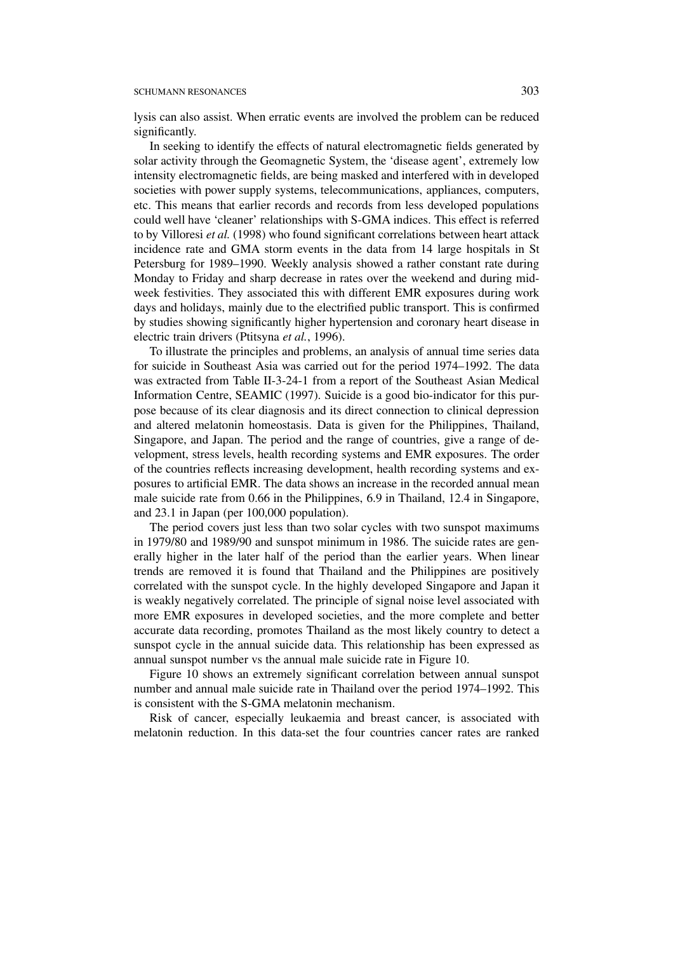lysis can also assist. When erratic events are involved the problem can be reduced significantly.

In seeking to identify the effects of natural electromagnetic fields generated by solar activity through the Geomagnetic System, the 'disease agent', extremely low intensity electromagnetic fields, are being masked and interfered with in developed societies with power supply systems, telecommunications, appliances, computers, etc. This means that earlier records and records from less developed populations could well have 'cleaner' relationships with S-GMA indices. This effect is referred to by Villoresi *et al.* (1998) who found significant correlations between heart attack incidence rate and GMA storm events in the data from 14 large hospitals in St Petersburg for 1989–1990. Weekly analysis showed a rather constant rate during Monday to Friday and sharp decrease in rates over the weekend and during midweek festivities. They associated this with different EMR exposures during work days and holidays, mainly due to the electrified public transport. This is confirmed by studies showing significantly higher hypertension and coronary heart disease in electric train drivers (Ptitsyna *et al.*, 1996).

To illustrate the principles and problems, an analysis of annual time series data for suicide in Southeast Asia was carried out for the period 1974–1992. The data was extracted from Table II-3-24-1 from a report of the Southeast Asian Medical Information Centre, SEAMIC (1997). Suicide is a good bio-indicator for this purpose because of its clear diagnosis and its direct connection to clinical depression and altered melatonin homeostasis. Data is given for the Philippines, Thailand, Singapore, and Japan. The period and the range of countries, give a range of development, stress levels, health recording systems and EMR exposures. The order of the countries reflects increasing development, health recording systems and exposures to artificial EMR. The data shows an increase in the recorded annual mean male suicide rate from 0.66 in the Philippines, 6.9 in Thailand, 12.4 in Singapore, and 23.1 in Japan (per 100,000 population).

The period covers just less than two solar cycles with two sunspot maximums in 1979/80 and 1989/90 and sunspot minimum in 1986. The suicide rates are generally higher in the later half of the period than the earlier years. When linear trends are removed it is found that Thailand and the Philippines are positively correlated with the sunspot cycle. In the highly developed Singapore and Japan it is weakly negatively correlated. The principle of signal noise level associated with more EMR exposures in developed societies, and the more complete and better accurate data recording, promotes Thailand as the most likely country to detect a sunspot cycle in the annual suicide data. This relationship has been expressed as annual sunspot number vs the annual male suicide rate in Figure 10.

Figure 10 shows an extremely significant correlation between annual sunspot number and annual male suicide rate in Thailand over the period 1974–1992. This is consistent with the S-GMA melatonin mechanism.

Risk of cancer, especially leukaemia and breast cancer, is associated with melatonin reduction. In this data-set the four countries cancer rates are ranked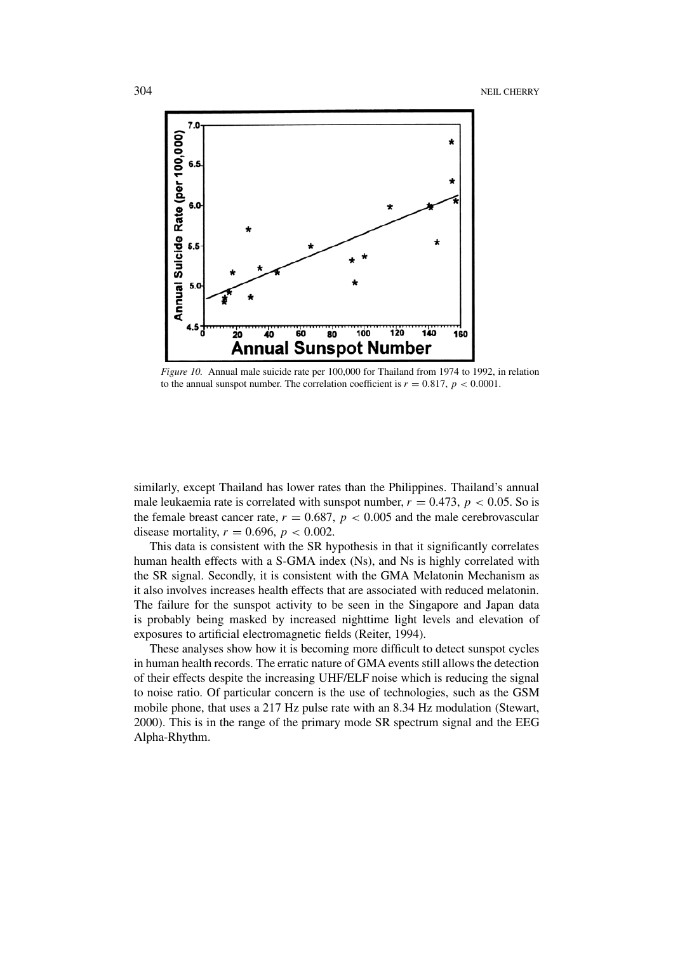

*Figure 10.* Annual male suicide rate per 100,000 for Thailand from 1974 to 1992, in relation to the annual sunspot number. The correlation coefficient is  $r = 0.817$ ,  $p < 0.0001$ .

similarly, except Thailand has lower rates than the Philippines. Thailand's annual male leukaemia rate is correlated with sunspot number,  $r = 0.473$ ,  $p < 0.05$ . So is the female breast cancer rate,  $r = 0.687$ ,  $p < 0.005$  and the male cerebrovascular disease mortality,  $r = 0.696$ ,  $p < 0.002$ .

This data is consistent with the SR hypothesis in that it significantly correlates human health effects with a S-GMA index (Ns), and Ns is highly correlated with the SR signal. Secondly, it is consistent with the GMA Melatonin Mechanism as it also involves increases health effects that are associated with reduced melatonin. The failure for the sunspot activity to be seen in the Singapore and Japan data is probably being masked by increased nighttime light levels and elevation of exposures to artificial electromagnetic fields (Reiter, 1994).

These analyses show how it is becoming more difficult to detect sunspot cycles in human health records. The erratic nature of GMA events still allows the detection of their effects despite the increasing UHF/ELF noise which is reducing the signal to noise ratio. Of particular concern is the use of technologies, such as the GSM mobile phone, that uses a 217 Hz pulse rate with an 8.34 Hz modulation (Stewart, 2000). This is in the range of the primary mode SR spectrum signal and the EEG Alpha-Rhythm.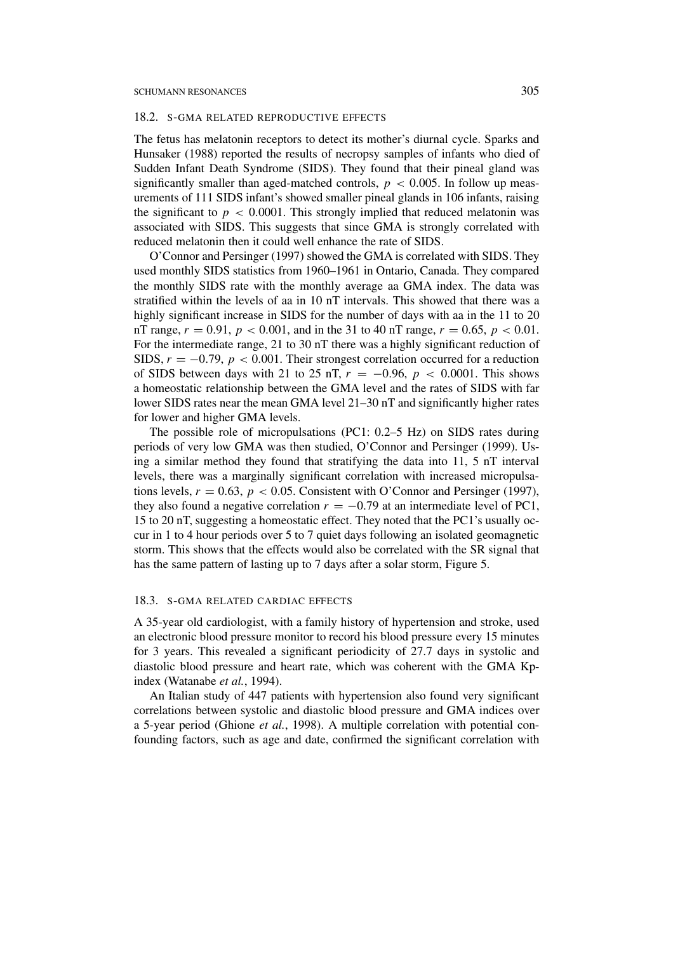# 18.2. S-GMA RELATED REPRODUCTIVE EFFECTS

The fetus has melatonin receptors to detect its mother's diurnal cycle. Sparks and Hunsaker (1988) reported the results of necropsy samples of infants who died of Sudden Infant Death Syndrome (SIDS). They found that their pineal gland was significantly smaller than aged-matched controls,  $p < 0.005$ . In follow up measurements of 111 SIDS infant's showed smaller pineal glands in 106 infants, raising the significant to  $p < 0.0001$ . This strongly implied that reduced melatonin was associated with SIDS. This suggests that since GMA is strongly correlated with reduced melatonin then it could well enhance the rate of SIDS.

O'Connor and Persinger (1997) showed the GMA is correlated with SIDS. They used monthly SIDS statistics from 1960–1961 in Ontario, Canada. They compared the monthly SIDS rate with the monthly average aa GMA index. The data was stratified within the levels of aa in 10 nT intervals. This showed that there was a highly significant increase in SIDS for the number of days with aa in the 11 to 20 nT range,  $r = 0.91$ ,  $p < 0.001$ , and in the 31 to 40 nT range,  $r = 0.65$ ,  $p < 0.01$ . For the intermediate range, 21 to 30 nT there was a highly significant reduction of SIDS,  $r = -0.79$ ,  $p < 0.001$ . Their strongest correlation occurred for a reduction of SIDS between days with 21 to 25 nT,  $r = -0.96$ ,  $p < 0.0001$ . This shows a homeostatic relationship between the GMA level and the rates of SIDS with far lower SIDS rates near the mean GMA level 21–30 nT and significantly higher rates for lower and higher GMA levels.

The possible role of micropulsations (PC1: 0.2–5 Hz) on SIDS rates during periods of very low GMA was then studied, O'Connor and Persinger (1999). Using a similar method they found that stratifying the data into 11, 5 nT interval levels, there was a marginally significant correlation with increased micropulsations levels,  $r = 0.63$ ,  $p < 0.05$ . Consistent with O'Connor and Persinger (1997), they also found a negative correlation  $r = -0.79$  at an intermediate level of PC1, 15 to 20 nT, suggesting a homeostatic effect. They noted that the PC1's usually occur in 1 to 4 hour periods over 5 to 7 quiet days following an isolated geomagnetic storm. This shows that the effects would also be correlated with the SR signal that has the same pattern of lasting up to 7 days after a solar storm, Figure 5.

# 18.3. S-GMA RELATED CARDIAC EFFECTS

A 35-year old cardiologist, with a family history of hypertension and stroke, used an electronic blood pressure monitor to record his blood pressure every 15 minutes for 3 years. This revealed a significant periodicity of 27.7 days in systolic and diastolic blood pressure and heart rate, which was coherent with the GMA Kpindex (Watanabe *et al.*, 1994).

An Italian study of 447 patients with hypertension also found very significant correlations between systolic and diastolic blood pressure and GMA indices over a 5-year period (Ghione *et al.*, 1998). A multiple correlation with potential confounding factors, such as age and date, confirmed the significant correlation with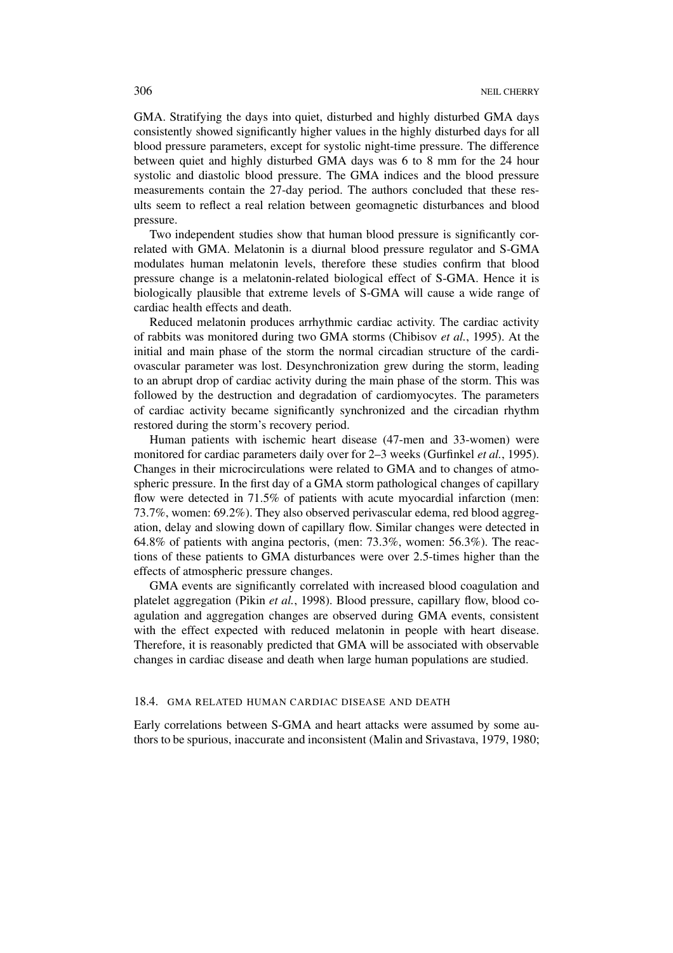GMA. Stratifying the days into quiet, disturbed and highly disturbed GMA days consistently showed significantly higher values in the highly disturbed days for all blood pressure parameters, except for systolic night-time pressure. The difference between quiet and highly disturbed GMA days was 6 to 8 mm for the 24 hour systolic and diastolic blood pressure. The GMA indices and the blood pressure measurements contain the 27-day period. The authors concluded that these results seem to reflect a real relation between geomagnetic disturbances and blood pressure.

Two independent studies show that human blood pressure is significantly correlated with GMA. Melatonin is a diurnal blood pressure regulator and S-GMA modulates human melatonin levels, therefore these studies confirm that blood pressure change is a melatonin-related biological effect of S-GMA. Hence it is biologically plausible that extreme levels of S-GMA will cause a wide range of cardiac health effects and death.

Reduced melatonin produces arrhythmic cardiac activity. The cardiac activity of rabbits was monitored during two GMA storms (Chibisov *et al.*, 1995). At the initial and main phase of the storm the normal circadian structure of the cardiovascular parameter was lost. Desynchronization grew during the storm, leading to an abrupt drop of cardiac activity during the main phase of the storm. This was followed by the destruction and degradation of cardiomyocytes. The parameters of cardiac activity became significantly synchronized and the circadian rhythm restored during the storm's recovery period.

Human patients with ischemic heart disease (47-men and 33-women) were monitored for cardiac parameters daily over for 2–3 weeks (Gurfinkel *et al.*, 1995). Changes in their microcirculations were related to GMA and to changes of atmospheric pressure. In the first day of a GMA storm pathological changes of capillary flow were detected in 71.5% of patients with acute myocardial infarction (men: 73.7%, women: 69.2%). They also observed perivascular edema, red blood aggregation, delay and slowing down of capillary flow. Similar changes were detected in 64.8% of patients with angina pectoris, (men: 73.3%, women: 56.3%). The reactions of these patients to GMA disturbances were over 2.5-times higher than the effects of atmospheric pressure changes.

GMA events are significantly correlated with increased blood coagulation and platelet aggregation (Pikin *et al.*, 1998). Blood pressure, capillary flow, blood coagulation and aggregation changes are observed during GMA events, consistent with the effect expected with reduced melatonin in people with heart disease. Therefore, it is reasonably predicted that GMA will be associated with observable changes in cardiac disease and death when large human populations are studied.

# 18.4. GMA RELATED HUMAN CARDIAC DISEASE AND DEATH

Early correlations between S-GMA and heart attacks were assumed by some authors to be spurious, inaccurate and inconsistent (Malin and Srivastava, 1979, 1980;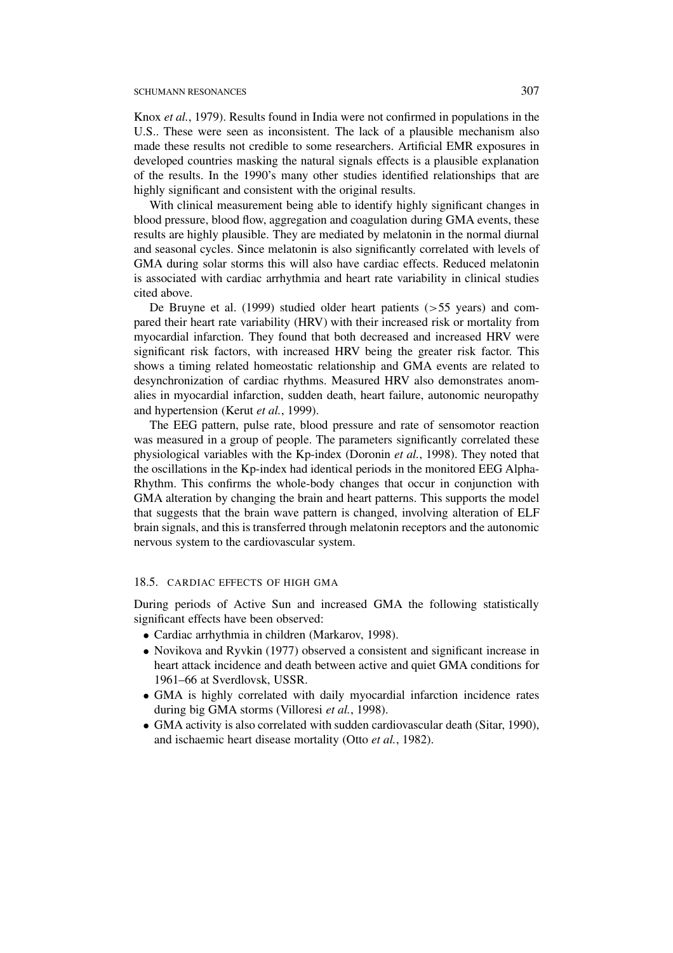Knox *et al.*, 1979). Results found in India were not confirmed in populations in the U.S.. These were seen as inconsistent. The lack of a plausible mechanism also made these results not credible to some researchers. Artificial EMR exposures in developed countries masking the natural signals effects is a plausible explanation of the results. In the 1990's many other studies identified relationships that are highly significant and consistent with the original results.

With clinical measurement being able to identify highly significant changes in blood pressure, blood flow, aggregation and coagulation during GMA events, these results are highly plausible. They are mediated by melatonin in the normal diurnal and seasonal cycles. Since melatonin is also significantly correlated with levels of GMA during solar storms this will also have cardiac effects. Reduced melatonin is associated with cardiac arrhythmia and heart rate variability in clinical studies cited above.

De Bruyne et al. (1999) studied older heart patients (*>*55 years) and compared their heart rate variability (HRV) with their increased risk or mortality from myocardial infarction. They found that both decreased and increased HRV were significant risk factors, with increased HRV being the greater risk factor. This shows a timing related homeostatic relationship and GMA events are related to desynchronization of cardiac rhythms. Measured HRV also demonstrates anomalies in myocardial infarction, sudden death, heart failure, autonomic neuropathy and hypertension (Kerut *et al.*, 1999).

The EEG pattern, pulse rate, blood pressure and rate of sensomotor reaction was measured in a group of people. The parameters significantly correlated these physiological variables with the Kp-index (Doronin *et al.*, 1998). They noted that the oscillations in the Kp-index had identical periods in the monitored EEG Alpha-Rhythm. This confirms the whole-body changes that occur in conjunction with GMA alteration by changing the brain and heart patterns. This supports the model that suggests that the brain wave pattern is changed, involving alteration of ELF brain signals, and this is transferred through melatonin receptors and the autonomic nervous system to the cardiovascular system.

# 18.5. CARDIAC EFFECTS OF HIGH GMA

During periods of Active Sun and increased GMA the following statistically significant effects have been observed:

- Cardiac arrhythmia in children (Markarov, 1998).
- Novikova and Ryvkin (1977) observed a consistent and significant increase in heart attack incidence and death between active and quiet GMA conditions for 1961–66 at Sverdlovsk, USSR.
- GMA is highly correlated with daily myocardial infarction incidence rates during big GMA storms (Villoresi *et al.*, 1998).
- GMA activity is also correlated with sudden cardiovascular death (Sitar, 1990), and ischaemic heart disease mortality (Otto *et al.*, 1982).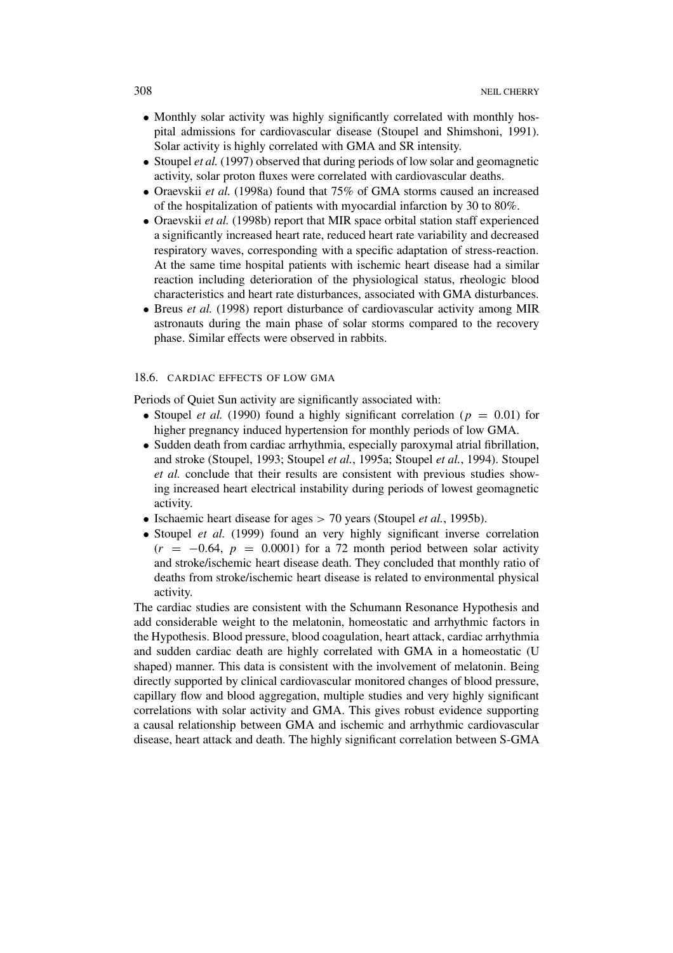- Monthly solar activity was highly significantly correlated with monthly hospital admissions for cardiovascular disease (Stoupel and Shimshoni, 1991). Solar activity is highly correlated with GMA and SR intensity.
- Stoupel *et al.* (1997) observed that during periods of low solar and geomagnetic activity, solar proton fluxes were correlated with cardiovascular deaths.
- Oraevskii *et al.* (1998a) found that 75% of GMA storms caused an increased of the hospitalization of patients with myocardial infarction by 30 to 80%.
- Oraevskii *et al.* (1998b) report that MIR space orbital station staff experienced a significantly increased heart rate, reduced heart rate variability and decreased respiratory waves, corresponding with a specific adaptation of stress-reaction. At the same time hospital patients with ischemic heart disease had a similar reaction including deterioration of the physiological status, rheologic blood characteristics and heart rate disturbances, associated with GMA disturbances.
- Breus *et al.* (1998) report disturbance of cardiovascular activity among MIR astronauts during the main phase of solar storms compared to the recovery phase. Similar effects were observed in rabbits.

# 18.6. CARDIAC EFFECTS OF LOW GMA

Periods of Quiet Sun activity are significantly associated with:

- Stoupel *et al.* (1990) found a highly significant correlation ( $p = 0.01$ ) for higher pregnancy induced hypertension for monthly periods of low GMA.
- Sudden death from cardiac arrhythmia, especially paroxymal atrial fibrillation, and stroke (Stoupel, 1993; Stoupel *et al.*, 1995a; Stoupel *et al.*, 1994). Stoupel *et al.* conclude that their results are consistent with previous studies showing increased heart electrical instability during periods of lowest geomagnetic activity.
- Ischaemic heart disease for ages *>* 70 years (Stoupel *et al.*, 1995b).
- Stoupel *et al.* (1999) found an very highly significant inverse correlation  $(r = -0.64, p = 0.0001)$  for a 72 month period between solar activity and stroke/ischemic heart disease death. They concluded that monthly ratio of deaths from stroke/ischemic heart disease is related to environmental physical activity.

The cardiac studies are consistent with the Schumann Resonance Hypothesis and add considerable weight to the melatonin, homeostatic and arrhythmic factors in the Hypothesis. Blood pressure, blood coagulation, heart attack, cardiac arrhythmia and sudden cardiac death are highly correlated with GMA in a homeostatic (U shaped) manner. This data is consistent with the involvement of melatonin. Being directly supported by clinical cardiovascular monitored changes of blood pressure, capillary flow and blood aggregation, multiple studies and very highly significant correlations with solar activity and GMA. This gives robust evidence supporting a causal relationship between GMA and ischemic and arrhythmic cardiovascular disease, heart attack and death. The highly significant correlation between S-GMA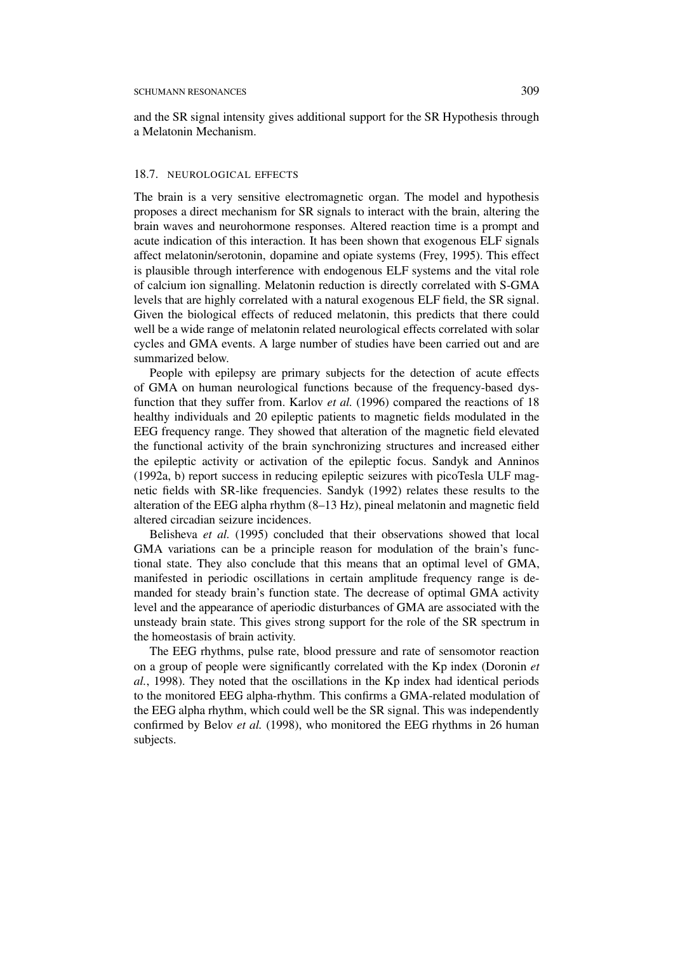and the SR signal intensity gives additional support for the SR Hypothesis through a Melatonin Mechanism.

# 18.7. NEUROLOGICAL EFFECTS

The brain is a very sensitive electromagnetic organ. The model and hypothesis proposes a direct mechanism for SR signals to interact with the brain, altering the brain waves and neurohormone responses. Altered reaction time is a prompt and acute indication of this interaction. It has been shown that exogenous ELF signals affect melatonin/serotonin, dopamine and opiate systems (Frey, 1995). This effect is plausible through interference with endogenous ELF systems and the vital role of calcium ion signalling. Melatonin reduction is directly correlated with S-GMA levels that are highly correlated with a natural exogenous ELF field, the SR signal. Given the biological effects of reduced melatonin, this predicts that there could well be a wide range of melatonin related neurological effects correlated with solar cycles and GMA events. A large number of studies have been carried out and are summarized below.

People with epilepsy are primary subjects for the detection of acute effects of GMA on human neurological functions because of the frequency-based dysfunction that they suffer from. Karlov *et al.* (1996) compared the reactions of 18 healthy individuals and 20 epileptic patients to magnetic fields modulated in the EEG frequency range. They showed that alteration of the magnetic field elevated the functional activity of the brain synchronizing structures and increased either the epileptic activity or activation of the epileptic focus. Sandyk and Anninos (1992a, b) report success in reducing epileptic seizures with picoTesla ULF magnetic fields with SR-like frequencies. Sandyk (1992) relates these results to the alteration of the EEG alpha rhythm (8–13 Hz), pineal melatonin and magnetic field altered circadian seizure incidences.

Belisheva *et al.* (1995) concluded that their observations showed that local GMA variations can be a principle reason for modulation of the brain's functional state. They also conclude that this means that an optimal level of GMA, manifested in periodic oscillations in certain amplitude frequency range is demanded for steady brain's function state. The decrease of optimal GMA activity level and the appearance of aperiodic disturbances of GMA are associated with the unsteady brain state. This gives strong support for the role of the SR spectrum in the homeostasis of brain activity.

The EEG rhythms, pulse rate, blood pressure and rate of sensomotor reaction on a group of people were significantly correlated with the Kp index (Doronin *et al.*, 1998). They noted that the oscillations in the Kp index had identical periods to the monitored EEG alpha-rhythm. This confirms a GMA-related modulation of the EEG alpha rhythm, which could well be the SR signal. This was independently confirmed by Belov *et al.* (1998), who monitored the EEG rhythms in 26 human subjects.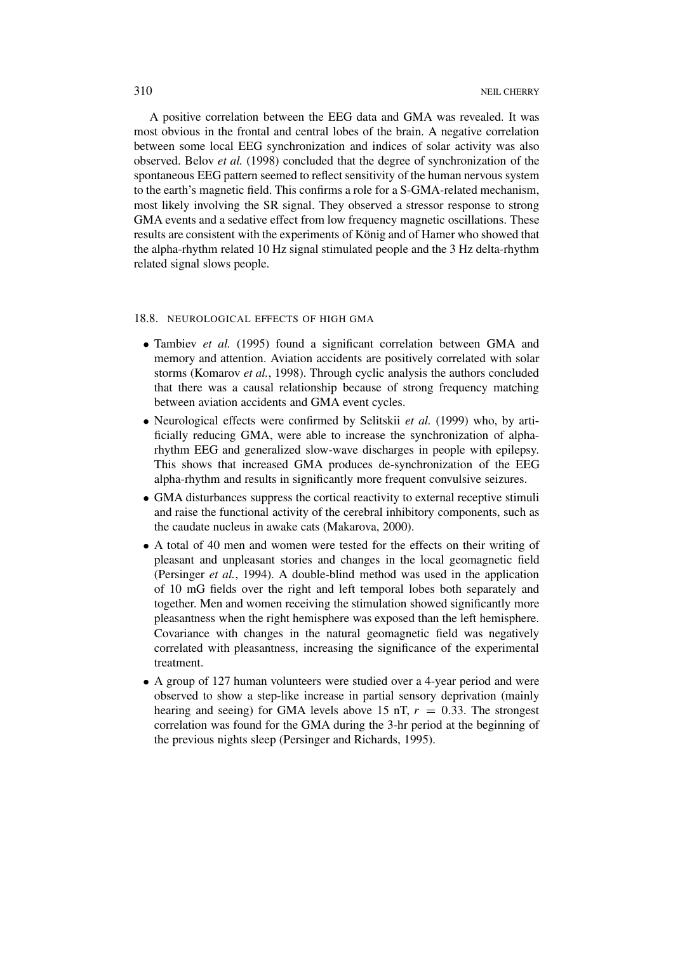A positive correlation between the EEG data and GMA was revealed. It was most obvious in the frontal and central lobes of the brain. A negative correlation between some local EEG synchronization and indices of solar activity was also observed. Belov *et al.* (1998) concluded that the degree of synchronization of the spontaneous EEG pattern seemed to reflect sensitivity of the human nervous system to the earth's magnetic field. This confirms a role for a S-GMA-related mechanism, most likely involving the SR signal. They observed a stressor response to strong GMA events and a sedative effect from low frequency magnetic oscillations. These results are consistent with the experiments of König and of Hamer who showed that the alpha-rhythm related 10 Hz signal stimulated people and the 3 Hz delta-rhythm related signal slows people.

# 18.8. NEUROLOGICAL EFFECTS OF HIGH GMA

- Tambiev *et al.* (1995) found a significant correlation between GMA and memory and attention. Aviation accidents are positively correlated with solar storms (Komarov *et al.*, 1998). Through cyclic analysis the authors concluded that there was a causal relationship because of strong frequency matching between aviation accidents and GMA event cycles.
- Neurological effects were confirmed by Selitskii *et al.* (1999) who, by artificially reducing GMA, were able to increase the synchronization of alpharhythm EEG and generalized slow-wave discharges in people with epilepsy. This shows that increased GMA produces de-synchronization of the EEG alpha-rhythm and results in significantly more frequent convulsive seizures.
- GMA disturbances suppress the cortical reactivity to external receptive stimuli and raise the functional activity of the cerebral inhibitory components, such as the caudate nucleus in awake cats (Makarova, 2000).
- A total of 40 men and women were tested for the effects on their writing of pleasant and unpleasant stories and changes in the local geomagnetic field (Persinger *et al.*, 1994). A double-blind method was used in the application of 10 mG fields over the right and left temporal lobes both separately and together. Men and women receiving the stimulation showed significantly more pleasantness when the right hemisphere was exposed than the left hemisphere. Covariance with changes in the natural geomagnetic field was negatively correlated with pleasantness, increasing the significance of the experimental treatment.
- A group of 127 human volunteers were studied over a 4-year period and were observed to show a step-like increase in partial sensory deprivation (mainly hearing and seeing) for GMA levels above 15 nT,  $r = 0.33$ . The strongest correlation was found for the GMA during the 3-hr period at the beginning of the previous nights sleep (Persinger and Richards, 1995).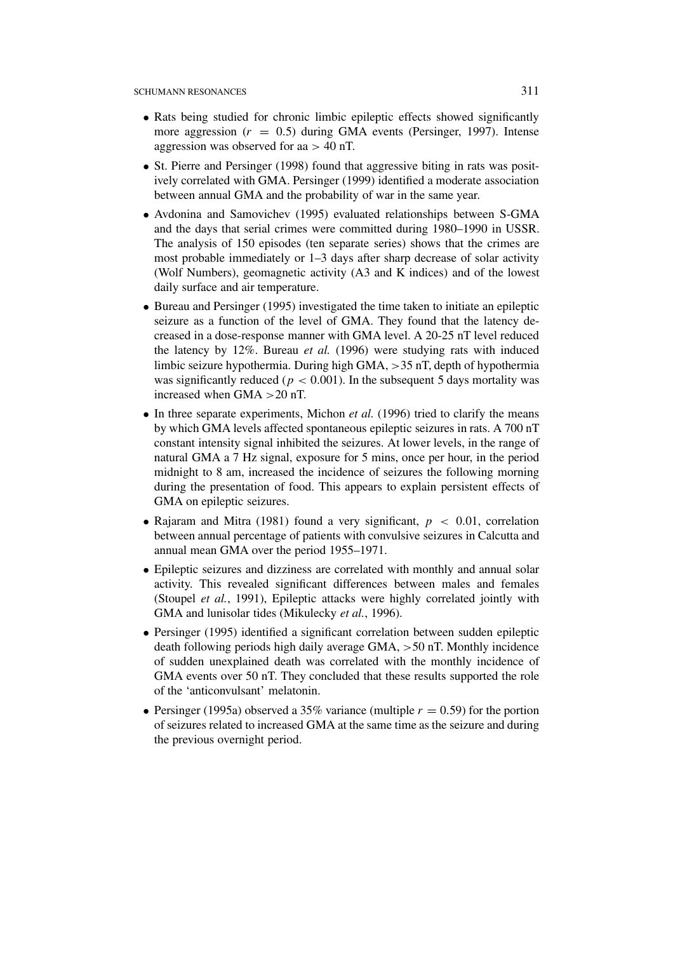- Rats being studied for chronic limbic epileptic effects showed significantly more aggression  $(r = 0.5)$  during GMA events (Persinger, 1997). Intense aggression was observed for aa *>* 40 nT.
- St. Pierre and Persinger (1998) found that aggressive biting in rats was positively correlated with GMA. Persinger (1999) identified a moderate association between annual GMA and the probability of war in the same year.
- Avdonina and Samovichev (1995) evaluated relationships between S-GMA and the days that serial crimes were committed during 1980–1990 in USSR. The analysis of 150 episodes (ten separate series) shows that the crimes are most probable immediately or 1–3 days after sharp decrease of solar activity (Wolf Numbers), geomagnetic activity (A3 and K indices) and of the lowest daily surface and air temperature.
- Bureau and Persinger (1995) investigated the time taken to initiate an epileptic seizure as a function of the level of GMA. They found that the latency decreased in a dose-response manner with GMA level. A 20-25 nT level reduced the latency by 12%. Bureau *et al.* (1996) were studying rats with induced limbic seizure hypothermia. During high GMA, *>*35 nT, depth of hypothermia was significantly reduced ( $p < 0.001$ ). In the subsequent 5 days mortality was increased when GMA *>*20 nT.
- In three separate experiments, Michon *et al.* (1996) tried to clarify the means by which GMA levels affected spontaneous epileptic seizures in rats. A 700 nT constant intensity signal inhibited the seizures. At lower levels, in the range of natural GMA a 7 Hz signal, exposure for 5 mins, once per hour, in the period midnight to 8 am, increased the incidence of seizures the following morning during the presentation of food. This appears to explain persistent effects of GMA on epileptic seizures.
- Rajaram and Mitra (1981) found a very significant,  $p < 0.01$ , correlation between annual percentage of patients with convulsive seizures in Calcutta and annual mean GMA over the period 1955–1971.
- Epileptic seizures and dizziness are correlated with monthly and annual solar activity. This revealed significant differences between males and females (Stoupel *et al.*, 1991), Epileptic attacks were highly correlated jointly with GMA and lunisolar tides (Mikulecky *et al.*, 1996).
- Persinger (1995) identified a significant correlation between sudden epileptic death following periods high daily average GMA, *>*50 nT. Monthly incidence of sudden unexplained death was correlated with the monthly incidence of GMA events over 50 nT. They concluded that these results supported the role of the 'anticonvulsant' melatonin.
- Persinger (1995a) observed a 35% variance (multiple  $r = 0.59$ ) for the portion of seizures related to increased GMA at the same time as the seizure and during the previous overnight period.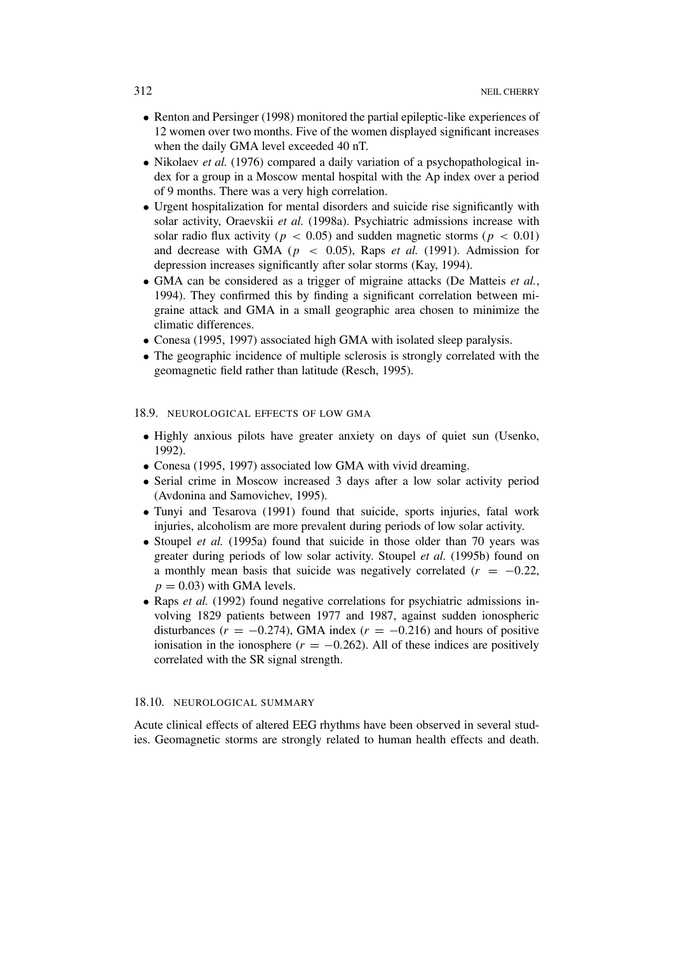- Renton and Persinger (1998) monitored the partial epileptic-like experiences of 12 women over two months. Five of the women displayed significant increases when the daily GMA level exceeded 40 nT.
- Nikolaev *et al.* (1976) compared a daily variation of a psychopathological index for a group in a Moscow mental hospital with the Ap index over a period of 9 months. There was a very high correlation.
- Urgent hospitalization for mental disorders and suicide rise significantly with solar activity, Oraevskii *et al.* (1998a). Psychiatric admissions increase with solar radio flux activity ( $p < 0.05$ ) and sudden magnetic storms ( $p < 0.01$ ) and decrease with GMA ( $p < 0.05$ ), Raps *et al.* (1991). Admission for depression increases significantly after solar storms (Kay, 1994).
- GMA can be considered as a trigger of migraine attacks (De Matteis *et al.*, 1994). They confirmed this by finding a significant correlation between migraine attack and GMA in a small geographic area chosen to minimize the climatic differences.
- Conesa (1995, 1997) associated high GMA with isolated sleep paralysis.
- The geographic incidence of multiple sclerosis is strongly correlated with the geomagnetic field rather than latitude (Resch, 1995).

## 18.9. NEUROLOGICAL EFFECTS OF LOW GMA

- Highly anxious pilots have greater anxiety on days of quiet sun (Usenko, 1992).
- Conesa (1995, 1997) associated low GMA with vivid dreaming.
- Serial crime in Moscow increased 3 days after a low solar activity period (Avdonina and Samovichev, 1995).
- Tunyi and Tesarova (1991) found that suicide, sports injuries, fatal work injuries, alcoholism are more prevalent during periods of low solar activity.
- Stoupel *et al.* (1995a) found that suicide in those older than 70 years was greater during periods of low solar activity. Stoupel *et al.* (1995b) found on a monthly mean basis that suicide was negatively correlated  $(r = -0.22,$  $p = 0.03$ ) with GMA levels.
- Raps *et al.* (1992) found negative correlations for psychiatric admissions involving 1829 patients between 1977 and 1987, against sudden ionospheric disturbances ( $r = -0.274$ ), GMA index ( $r = -0.216$ ) and hours of positive ionisation in the ionosphere ( $r = -0.262$ ). All of these indices are positively correlated with the SR signal strength.

# 18.10. NEUROLOGICAL SUMMARY

Acute clinical effects of altered EEG rhythms have been observed in several studies. Geomagnetic storms are strongly related to human health effects and death.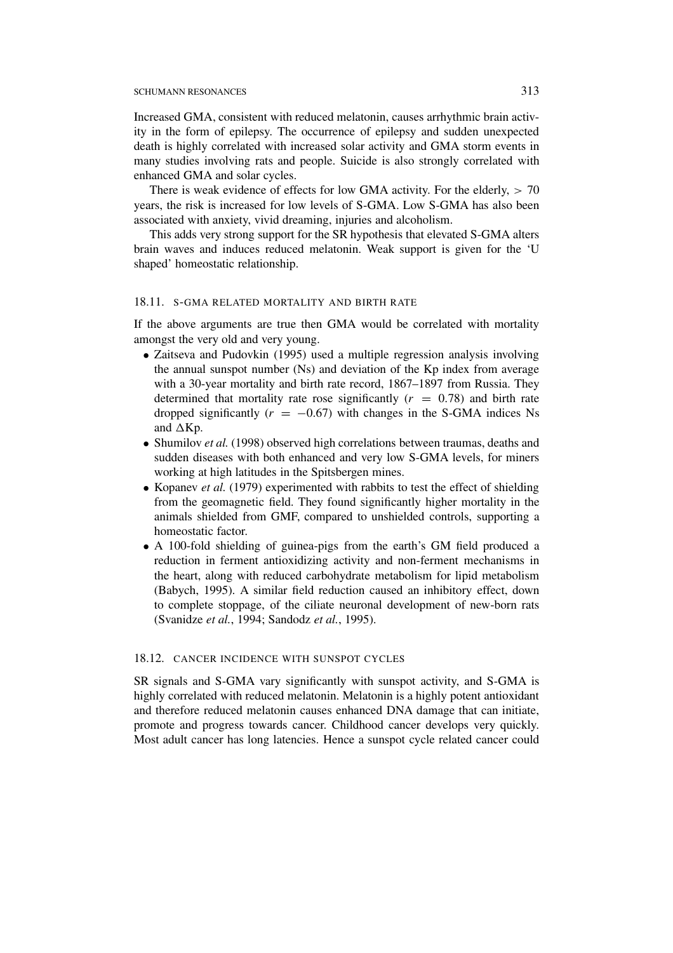## SCHUMANN RESONANCES 313

Increased GMA, consistent with reduced melatonin, causes arrhythmic brain activity in the form of epilepsy. The occurrence of epilepsy and sudden unexpected death is highly correlated with increased solar activity and GMA storm events in many studies involving rats and people. Suicide is also strongly correlated with enhanced GMA and solar cycles.

There is weak evidence of effects for low GMA activity. For the elderly, *>* 70 years, the risk is increased for low levels of S-GMA. Low S-GMA has also been associated with anxiety, vivid dreaming, injuries and alcoholism.

This adds very strong support for the SR hypothesis that elevated S-GMA alters brain waves and induces reduced melatonin. Weak support is given for the 'U shaped' homeostatic relationship.

# 18.11. S-GMA RELATED MORTALITY AND BIRTH RATE

If the above arguments are true then GMA would be correlated with mortality amongst the very old and very young.

- Zaitseva and Pudovkin (1995) used a multiple regression analysis involving the annual sunspot number (Ns) and deviation of the Kp index from average with a 30-year mortality and birth rate record, 1867–1897 from Russia. They determined that mortality rate rose significantly  $(r = 0.78)$  and birth rate dropped significantly  $(r = -0.67)$  with changes in the S-GMA indices Ns and  $\Delta$ Kp.
- Shumilov *et al.* (1998) observed high correlations between traumas, deaths and sudden diseases with both enhanced and very low S-GMA levels, for miners working at high latitudes in the Spitsbergen mines.
- Kopanev *et al.* (1979) experimented with rabbits to test the effect of shielding from the geomagnetic field. They found significantly higher mortality in the animals shielded from GMF, compared to unshielded controls, supporting a homeostatic factor.
- A 100-fold shielding of guinea-pigs from the earth's GM field produced a reduction in ferment antioxidizing activity and non-ferment mechanisms in the heart, along with reduced carbohydrate metabolism for lipid metabolism (Babych, 1995). A similar field reduction caused an inhibitory effect, down to complete stoppage, of the ciliate neuronal development of new-born rats (Svanidze *et al.*, 1994; Sandodz *et al.*, 1995).

# 18.12. CANCER INCIDENCE WITH SUNSPOT CYCLES

SR signals and S-GMA vary significantly with sunspot activity, and S-GMA is highly correlated with reduced melatonin. Melatonin is a highly potent antioxidant and therefore reduced melatonin causes enhanced DNA damage that can initiate, promote and progress towards cancer. Childhood cancer develops very quickly. Most adult cancer has long latencies. Hence a sunspot cycle related cancer could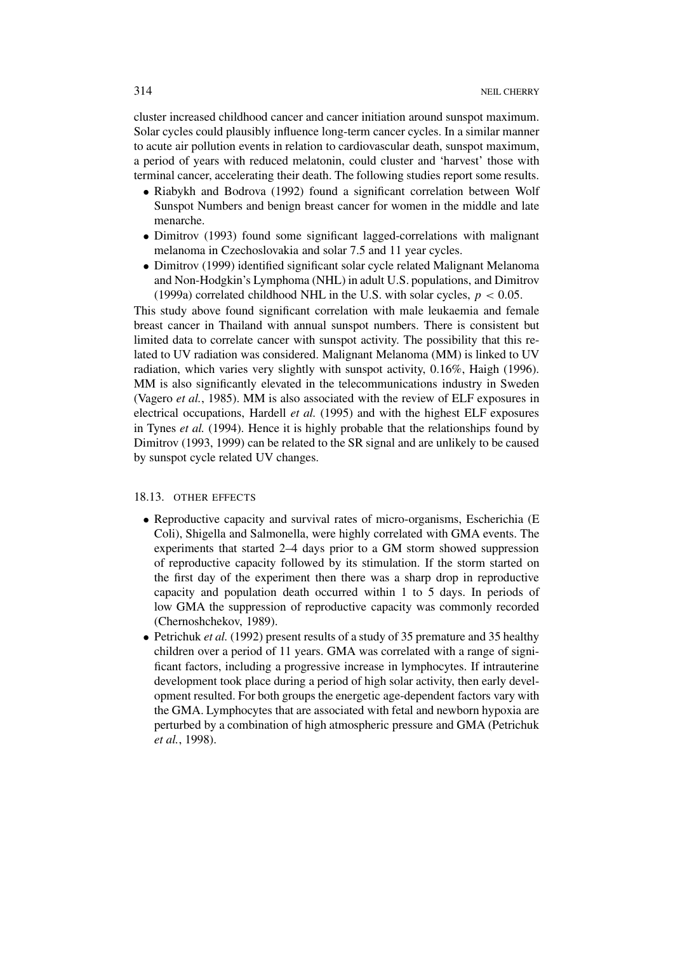cluster increased childhood cancer and cancer initiation around sunspot maximum. Solar cycles could plausibly influence long-term cancer cycles. In a similar manner to acute air pollution events in relation to cardiovascular death, sunspot maximum, a period of years with reduced melatonin, could cluster and 'harvest' those with terminal cancer, accelerating their death. The following studies report some results.

- Riabykh and Bodrova (1992) found a significant correlation between Wolf Sunspot Numbers and benign breast cancer for women in the middle and late menarche.
- Dimitrov (1993) found some significant lagged-correlations with malignant melanoma in Czechoslovakia and solar 7.5 and 11 year cycles.
- Dimitrov (1999) identified significant solar cycle related Malignant Melanoma and Non-Hodgkin's Lymphoma (NHL) in adult U.S. populations, and Dimitrov (1999a) correlated childhood NHL in the U.S. with solar cycles,  $p < 0.05$ .

This study above found significant correlation with male leukaemia and female breast cancer in Thailand with annual sunspot numbers. There is consistent but limited data to correlate cancer with sunspot activity. The possibility that this related to UV radiation was considered. Malignant Melanoma (MM) is linked to UV radiation, which varies very slightly with sunspot activity, 0.16%, Haigh (1996). MM is also significantly elevated in the telecommunications industry in Sweden (Vagero *et al.*, 1985). MM is also associated with the review of ELF exposures in electrical occupations, Hardell *et al.* (1995) and with the highest ELF exposures in Tynes *et al.* (1994). Hence it is highly probable that the relationships found by Dimitrov (1993, 1999) can be related to the SR signal and are unlikely to be caused by sunspot cycle related UV changes.

# 18.13. OTHER EFFECTS

- Reproductive capacity and survival rates of micro-organisms, Escherichia (E Coli), Shigella and Salmonella, were highly correlated with GMA events. The experiments that started 2–4 days prior to a GM storm showed suppression of reproductive capacity followed by its stimulation. If the storm started on the first day of the experiment then there was a sharp drop in reproductive capacity and population death occurred within 1 to 5 days. In periods of low GMA the suppression of reproductive capacity was commonly recorded (Chernoshchekov, 1989).
- Petrichuk *et al.* (1992) present results of a study of 35 premature and 35 healthy children over a period of 11 years. GMA was correlated with a range of significant factors, including a progressive increase in lymphocytes. If intrauterine development took place during a period of high solar activity, then early development resulted. For both groups the energetic age-dependent factors vary with the GMA. Lymphocytes that are associated with fetal and newborn hypoxia are perturbed by a combination of high atmospheric pressure and GMA (Petrichuk *et al.*, 1998).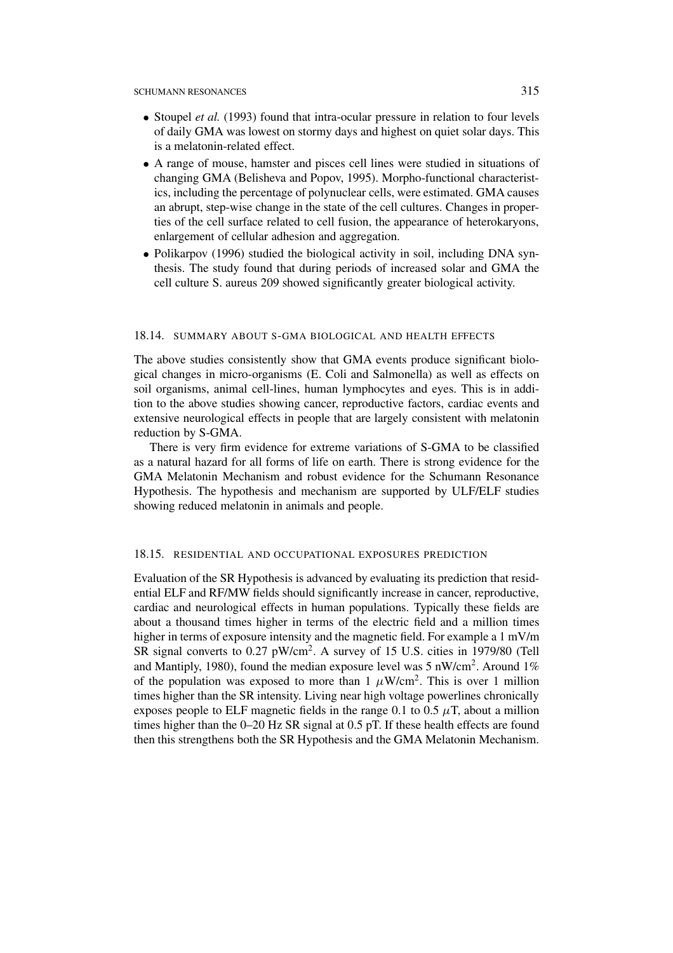- Stoupel *et al.* (1993) found that intra-ocular pressure in relation to four levels of daily GMA was lowest on stormy days and highest on quiet solar days. This is a melatonin-related effect.
- A range of mouse, hamster and pisces cell lines were studied in situations of changing GMA (Belisheva and Popov, 1995). Morpho-functional characteristics, including the percentage of polynuclear cells, were estimated. GMA causes an abrupt, step-wise change in the state of the cell cultures. Changes in properties of the cell surface related to cell fusion, the appearance of heterokaryons, enlargement of cellular adhesion and aggregation.
- Polikarpov (1996) studied the biological activity in soil, including DNA synthesis. The study found that during periods of increased solar and GMA the cell culture S. aureus 209 showed significantly greater biological activity.

## 18.14. SUMMARY ABOUT S-GMA BIOLOGICAL AND HEALTH EFFECTS

The above studies consistently show that GMA events produce significant biological changes in micro-organisms (E. Coli and Salmonella) as well as effects on soil organisms, animal cell-lines, human lymphocytes and eyes. This is in addition to the above studies showing cancer, reproductive factors, cardiac events and extensive neurological effects in people that are largely consistent with melatonin reduction by S-GMA.

There is very firm evidence for extreme variations of S-GMA to be classified as a natural hazard for all forms of life on earth. There is strong evidence for the GMA Melatonin Mechanism and robust evidence for the Schumann Resonance Hypothesis. The hypothesis and mechanism are supported by ULF/ELF studies showing reduced melatonin in animals and people.

# 18.15. RESIDENTIAL AND OCCUPATIONAL EXPOSURES PREDICTION

Evaluation of the SR Hypothesis is advanced by evaluating its prediction that residential ELF and RF/MW fields should significantly increase in cancer, reproductive, cardiac and neurological effects in human populations. Typically these fields are about a thousand times higher in terms of the electric field and a million times higher in terms of exposure intensity and the magnetic field. For example a 1 mV/m SR signal converts to 0.27 pW/cm<sup>2</sup>. A survey of 15 U.S. cities in 1979/80 (Tell and Mantiply, 1980), found the median exposure level was  $5 \text{ nW/cm}^2$ . Around  $1\%$ of the population was exposed to more than  $1 \mu W/cm^2$ . This is over 1 million times higher than the SR intensity. Living near high voltage powerlines chronically exposes people to ELF magnetic fields in the range 0.1 to 0.5  $\mu$ T, about a million times higher than the 0–20 Hz SR signal at 0.5 pT. If these health effects are found then this strengthens both the SR Hypothesis and the GMA Melatonin Mechanism.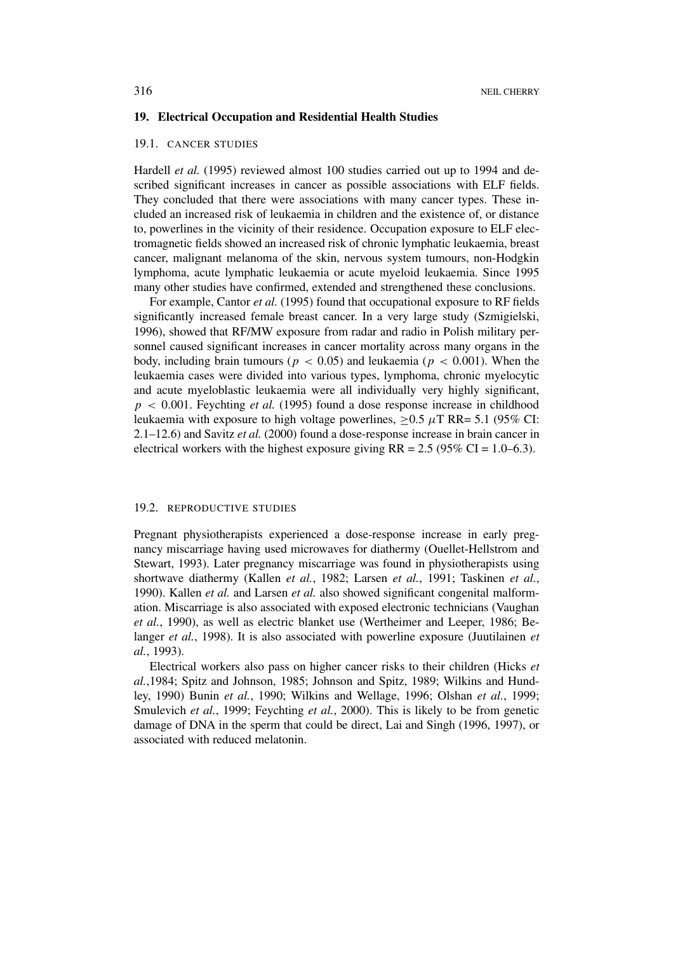# **19. Electrical Occupation and Residential Health Studies**

## 19.1. CANCER STUDIES

Hardell *et al.* (1995) reviewed almost 100 studies carried out up to 1994 and described significant increases in cancer as possible associations with ELF fields. They concluded that there were associations with many cancer types. These included an increased risk of leukaemia in children and the existence of, or distance to, powerlines in the vicinity of their residence. Occupation exposure to ELF electromagnetic fields showed an increased risk of chronic lymphatic leukaemia, breast cancer, malignant melanoma of the skin, nervous system tumours, non-Hodgkin lymphoma, acute lymphatic leukaemia or acute myeloid leukaemia. Since 1995 many other studies have confirmed, extended and strengthened these conclusions.

For example, Cantor *et al.* (1995) found that occupational exposure to RF fields significantly increased female breast cancer. In a very large study (Szmigielski, 1996), showed that RF/MW exposure from radar and radio in Polish military personnel caused significant increases in cancer mortality across many organs in the body, including brain tumours ( $p < 0.05$ ) and leukaemia ( $p < 0.001$ ). When the leukaemia cases were divided into various types, lymphoma, chronic myelocytic and acute myeloblastic leukaemia were all individually very highly significant, *p <* 0*.*001. Feychting *et al.* (1995) found a dose response increase in childhood leukaemia with exposure to high voltage powerlines,  $> 0.5 \mu$ T RR= 5.1 (95% CI: 2.1–12.6) and Savitz *et al.* (2000) found a dose-response increase in brain cancer in electrical workers with the highest exposure giving  $RR = 2.5$  (95% CI = 1.0–6.3).

### 19.2. REPRODUCTIVE STUDIES

Pregnant physiotherapists experienced a dose-response increase in early pregnancy miscarriage having used microwaves for diathermy (Ouellet-Hellstrom and Stewart, 1993). Later pregnancy miscarriage was found in physiotherapists using shortwave diathermy (Kallen *et al.*, 1982; Larsen *et al.*, 1991; Taskinen *et al.*, 1990). Kallen *et al.* and Larsen *et al.* also showed significant congenital malformation. Miscarriage is also associated with exposed electronic technicians (Vaughan *et al.*, 1990), as well as electric blanket use (Wertheimer and Leeper, 1986; Belanger *et al.*, 1998). It is also associated with powerline exposure (Juutilainen *et al.*, 1993).

Electrical workers also pass on higher cancer risks to their children (Hicks *et al.*,1984; Spitz and Johnson, 1985; Johnson and Spitz, 1989; Wilkins and Hundley, 1990) Bunin *et al.*, 1990; Wilkins and Wellage, 1996; Olshan *et al.*, 1999; Smulevich *et al.*, 1999; Feychting *et al.*, 2000). This is likely to be from genetic damage of DNA in the sperm that could be direct, Lai and Singh (1996, 1997), or associated with reduced melatonin.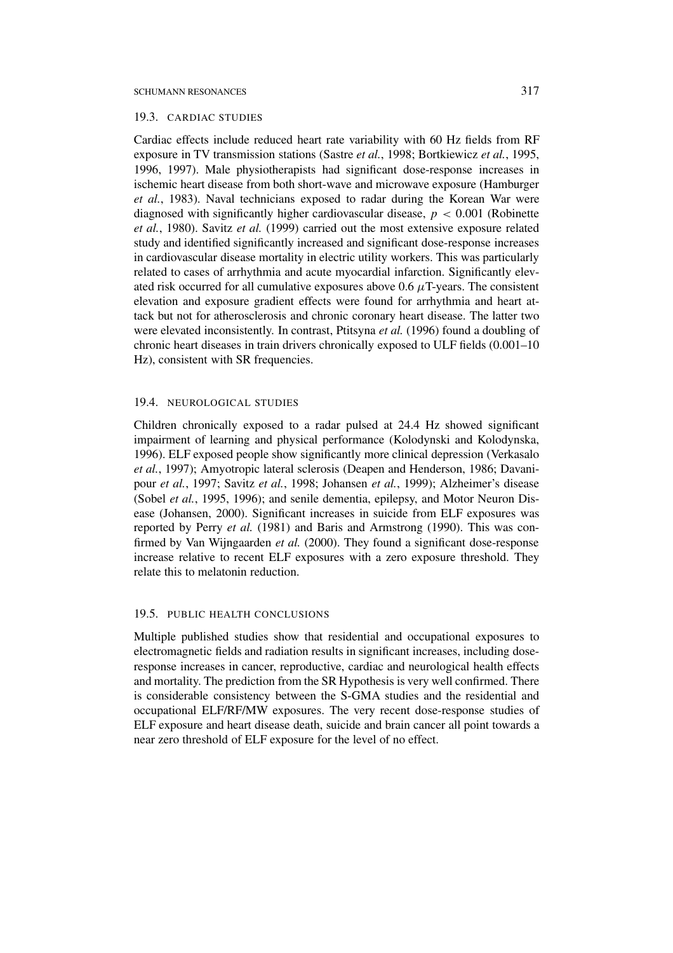# 19.3. CARDIAC STUDIES

Cardiac effects include reduced heart rate variability with 60 Hz fields from RF exposure in TV transmission stations (Sastre *et al.*, 1998; Bortkiewicz *et al.*, 1995, 1996, 1997). Male physiotherapists had significant dose-response increases in ischemic heart disease from both short-wave and microwave exposure (Hamburger *et al.*, 1983). Naval technicians exposed to radar during the Korean War were diagnosed with significantly higher cardiovascular disease, *p <* 0*.*001 (Robinette *et al.*, 1980). Savitz *et al.* (1999) carried out the most extensive exposure related study and identified significantly increased and significant dose-response increases in cardiovascular disease mortality in electric utility workers. This was particularly related to cases of arrhythmia and acute myocardial infarction. Significantly elevated risk occurred for all cumulative exposures above 0.6 *µ*T-years. The consistent elevation and exposure gradient effects were found for arrhythmia and heart attack but not for atherosclerosis and chronic coronary heart disease. The latter two were elevated inconsistently. In contrast, Ptitsyna *et al.* (1996) found a doubling of chronic heart diseases in train drivers chronically exposed to ULF fields (0.001–10 Hz), consistent with SR frequencies.

# 19.4. NEUROLOGICAL STUDIES

Children chronically exposed to a radar pulsed at 24.4 Hz showed significant impairment of learning and physical performance (Kolodynski and Kolodynska, 1996). ELF exposed people show significantly more clinical depression (Verkasalo *et al.*, 1997); Amyotropic lateral sclerosis (Deapen and Henderson, 1986; Davanipour *et al.*, 1997; Savitz *et al.*, 1998; Johansen *et al.*, 1999); Alzheimer's disease (Sobel *et al.*, 1995, 1996); and senile dementia, epilepsy, and Motor Neuron Disease (Johansen, 2000). Significant increases in suicide from ELF exposures was reported by Perry *et al.* (1981) and Baris and Armstrong (1990). This was confirmed by Van Wijngaarden *et al.* (2000). They found a significant dose-response increase relative to recent ELF exposures with a zero exposure threshold. They relate this to melatonin reduction.

# 19.5. PUBLIC HEALTH CONCLUSIONS

Multiple published studies show that residential and occupational exposures to electromagnetic fields and radiation results in significant increases, including doseresponse increases in cancer, reproductive, cardiac and neurological health effects and mortality. The prediction from the SR Hypothesis is very well confirmed. There is considerable consistency between the S-GMA studies and the residential and occupational ELF/RF/MW exposures. The very recent dose-response studies of ELF exposure and heart disease death, suicide and brain cancer all point towards a near zero threshold of ELF exposure for the level of no effect.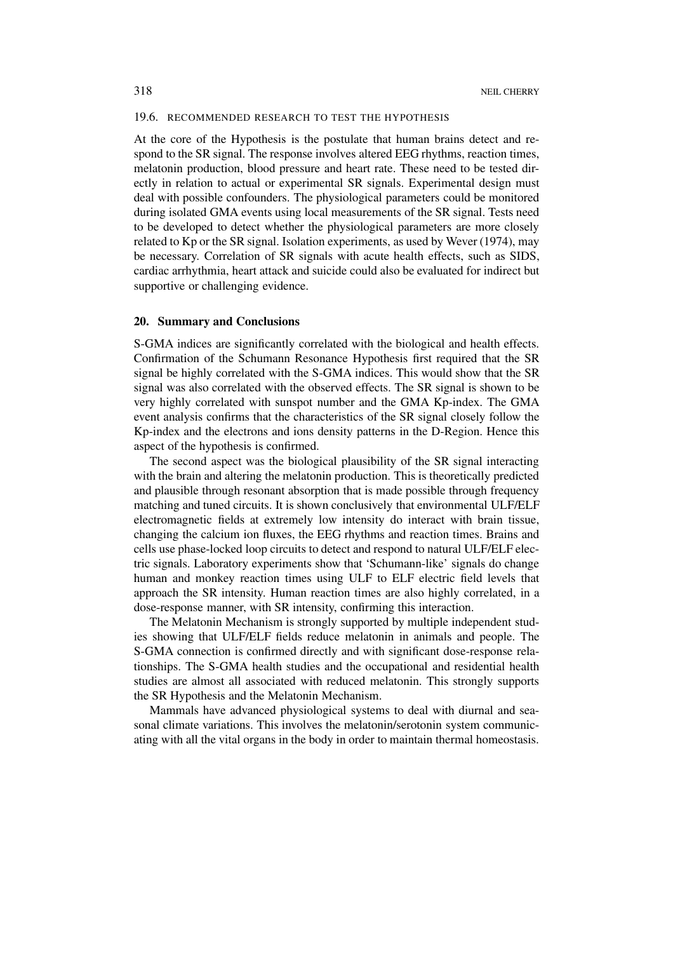# 19.6. RECOMMENDED RESEARCH TO TEST THE HYPOTHESIS

At the core of the Hypothesis is the postulate that human brains detect and respond to the SR signal. The response involves altered EEG rhythms, reaction times, melatonin production, blood pressure and heart rate. These need to be tested directly in relation to actual or experimental SR signals. Experimental design must deal with possible confounders. The physiological parameters could be monitored during isolated GMA events using local measurements of the SR signal. Tests need to be developed to detect whether the physiological parameters are more closely related to Kp or the SR signal. Isolation experiments, as used by Wever (1974), may be necessary. Correlation of SR signals with acute health effects, such as SIDS, cardiac arrhythmia, heart attack and suicide could also be evaluated for indirect but supportive or challenging evidence.

## **20. Summary and Conclusions**

S-GMA indices are significantly correlated with the biological and health effects. Confirmation of the Schumann Resonance Hypothesis first required that the SR signal be highly correlated with the S-GMA indices. This would show that the SR signal was also correlated with the observed effects. The SR signal is shown to be very highly correlated with sunspot number and the GMA Kp-index. The GMA event analysis confirms that the characteristics of the SR signal closely follow the Kp-index and the electrons and ions density patterns in the D-Region. Hence this aspect of the hypothesis is confirmed.

The second aspect was the biological plausibility of the SR signal interacting with the brain and altering the melatonin production. This is theoretically predicted and plausible through resonant absorption that is made possible through frequency matching and tuned circuits. It is shown conclusively that environmental ULF/ELF electromagnetic fields at extremely low intensity do interact with brain tissue, changing the calcium ion fluxes, the EEG rhythms and reaction times. Brains and cells use phase-locked loop circuits to detect and respond to natural ULF/ELF electric signals. Laboratory experiments show that 'Schumann-like' signals do change human and monkey reaction times using ULF to ELF electric field levels that approach the SR intensity. Human reaction times are also highly correlated, in a dose-response manner, with SR intensity, confirming this interaction.

The Melatonin Mechanism is strongly supported by multiple independent studies showing that ULF/ELF fields reduce melatonin in animals and people. The S-GMA connection is confirmed directly and with significant dose-response relationships. The S-GMA health studies and the occupational and residential health studies are almost all associated with reduced melatonin. This strongly supports the SR Hypothesis and the Melatonin Mechanism.

Mammals have advanced physiological systems to deal with diurnal and seasonal climate variations. This involves the melatonin/serotonin system communicating with all the vital organs in the body in order to maintain thermal homeostasis.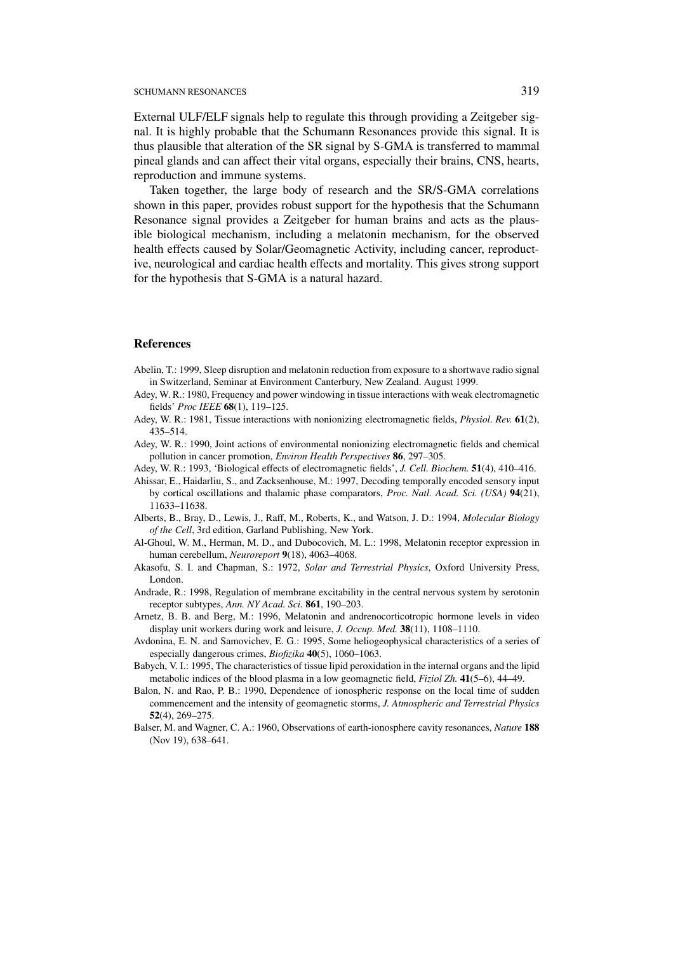External ULF/ELF signals help to regulate this through providing a Zeitgeber signal. It is highly probable that the Schumann Resonances provide this signal. It is thus plausible that alteration of the SR signal by S-GMA is transferred to mammal pineal glands and can affect their vital organs, especially their brains, CNS, hearts, reproduction and immune systems.

Taken together, the large body of research and the SR/S-GMA correlations shown in this paper, provides robust support for the hypothesis that the Schumann Resonance signal provides a Zeitgeber for human brains and acts as the plausible biological mechanism, including a melatonin mechanism, for the observed health effects caused by Solar/Geomagnetic Activity, including cancer, reproductive, neurological and cardiac health effects and mortality. This gives strong support for the hypothesis that S-GMA is a natural hazard.

## **References**

- Abelin, T.: 1999, Sleep disruption and melatonin reduction from exposure to a shortwave radio signal in Switzerland, Seminar at Environment Canterbury, New Zealand. August 1999.
- Adey, W. R.: 1980, Frequency and power windowing in tissue interactions with weak electromagnetic fields' *Proc IEEE* **68**(1), 119–125.
- Adey, W. R.: 1981, Tissue interactions with nonionizing electromagnetic fields, *Physiol. Rev.* **61**(2), 435–514.
- Adey, W. R.: 1990, Joint actions of environmental nonionizing electromagnetic fields and chemical pollution in cancer promotion, *Environ Health Perspectives* **86**, 297–305.
- Adey, W. R.: 1993, 'Biological effects of electromagnetic fields', *J. Cell. Biochem.* **51**(4), 410–416.
- Ahissar, E., Haidarliu, S., and Zacksenhouse, M.: 1997, Decoding temporally encoded sensory input by cortical oscillations and thalamic phase comparators, *Proc. Natl. Acad. Sci. (USA)* **94**(21), 11633–11638.
- Alberts, B., Bray, D., Lewis, J., Raff, M., Roberts, K., and Watson, J. D.: 1994, *Molecular Biology of the Cell*, 3rd edition, Garland Publishing, New York.
- Al-Ghoul, W. M., Herman, M. D., and Dubocovich, M. L.: 1998, Melatonin receptor expression in human cerebellum, *Neuroreport* **9**(18), 4063–4068.
- Akasofu, S. I. and Chapman, S.: 1972, *Solar and Terrestrial Physics*, Oxford University Press, London.
- Andrade, R.: 1998, Regulation of membrane excitability in the central nervous system by serotonin receptor subtypes, *Ann. NY Acad. Sci.* **861**, 190–203.
- Arnetz, B. B. and Berg, M.: 1996, Melatonin and andrenocorticotropic hormone levels in video display unit workers during work and leisure, *J. Occup. Med.* **38**(11), 1108–1110.
- Avdonina, E. N. and Samovichev, E. G.: 1995, Some heliogeophysical characteristics of a series of especially dangerous crimes, *Biofizika* **40**(5), 1060–1063.
- Babych, V. I.: 1995, The characteristics of tissue lipid peroxidation in the internal organs and the lipid metabolic indices of the blood plasma in a low geomagnetic field, *Fiziol Zh.* **41**(5–6), 44–49.
- Balon, N. and Rao, P. B.: 1990, Dependence of ionospheric response on the local time of sudden commencement and the intensity of geomagnetic storms, *J. Atmospheric and Terrestrial Physics* **52**(4), 269–275.
- Balser, M. and Wagner, C. A.: 1960, Observations of earth-ionosphere cavity resonances, *Nature* **188** (Nov 19), 638–641.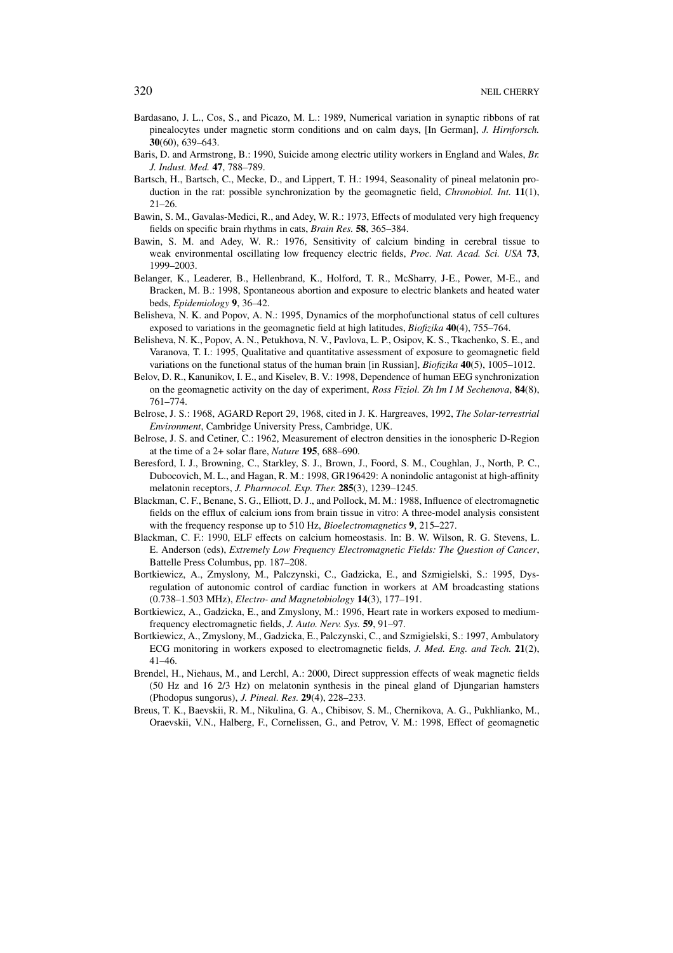- Bardasano, J. L., Cos, S., and Picazo, M. L.: 1989, Numerical variation in synaptic ribbons of rat pinealocytes under magnetic storm conditions and on calm days, [In German], *J. Hirnforsch.* **30**(60), 639–643.
- Baris, D. and Armstrong, B.: 1990, Suicide among electric utility workers in England and Wales, *Br. J. Indust. Med.* **47**, 788–789.
- Bartsch, H., Bartsch, C., Mecke, D., and Lippert, T. H.: 1994, Seasonality of pineal melatonin production in the rat: possible synchronization by the geomagnetic field, *Chronobiol. Int.* **11**(1), 21–26.
- Bawin, S. M., Gavalas-Medici, R., and Adey, W. R.: 1973, Effects of modulated very high frequency fields on specific brain rhythms in cats, *Brain Res.* **58**, 365–384.
- Bawin, S. M. and Adey, W. R.: 1976, Sensitivity of calcium binding in cerebral tissue to weak environmental oscillating low frequency electric fields, *Proc. Nat. Acad. Sci. USA* **73**, 1999–2003.
- Belanger, K., Leaderer, B., Hellenbrand, K., Holford, T. R., McSharry, J-E., Power, M-E., and Bracken, M. B.: 1998, Spontaneous abortion and exposure to electric blankets and heated water beds, *Epidemiology* **9**, 36–42.
- Belisheva, N. K. and Popov, A. N.: 1995, Dynamics of the morphofunctional status of cell cultures exposed to variations in the geomagnetic field at high latitudes, *Biofizika* **40**(4), 755–764.
- Belisheva, N. K., Popov, A. N., Petukhova, N. V., Pavlova, L. P., Osipov, K. S., Tkachenko, S. E., and Varanova, T. I.: 1995, Qualitative and quantitative assessment of exposure to geomagnetic field variations on the functional status of the human brain [in Russian], *Biofizika* **40**(5), 1005–1012.
- Belov, D. R., Kanunikov, I. E., and Kiselev, B. V.: 1998, Dependence of human EEG synchronization on the geomagnetic activity on the day of experiment, *Ross Fiziol. Zh Im I M Sechenova*, **84**(8), 761–774.
- Belrose, J. S.: 1968, AGARD Report 29, 1968, cited in J. K. Hargreaves, 1992, *The Solar-terrestrial Environment*, Cambridge University Press, Cambridge, UK.
- Belrose, J. S. and Cetiner, C.: 1962, Measurement of electron densities in the ionospheric D-Region at the time of a 2+ solar flare, *Nature* **195**, 688–690.
- Beresford, I. J., Browning, C., Starkley, S. J., Brown, J., Foord, S. M., Coughlan, J., North, P. C., Dubocovich, M. L., and Hagan, R. M.: 1998, GR196429: A nonindolic antagonist at high-affinity melatonin receptors, *J. Pharmocol. Exp. Ther.* **285**(3), 1239–1245.
- Blackman, C. F., Benane, S. G., Elliott, D. J., and Pollock, M. M.: 1988, Influence of electromagnetic fields on the efflux of calcium ions from brain tissue in vitro: A three-model analysis consistent with the frequency response up to 510 Hz, *Bioelectromagnetics* **9**, 215–227.
- Blackman, C. F.: 1990, ELF effects on calcium homeostasis. In: B. W. Wilson, R. G. Stevens, L. E. Anderson (eds), *Extremely Low Frequency Electromagnetic Fields: The Question of Cancer*, Battelle Press Columbus, pp. 187–208.
- Bortkiewicz, A., Zmyslony, M., Palczynski, C., Gadzicka, E., and Szmigielski, S.: 1995, Dysregulation of autonomic control of cardiac function in workers at AM broadcasting stations (0.738–1.503 MHz), *Electro- and Magnetobiology* **14**(3), 177–191.
- Bortkiewicz, A., Gadzicka, E., and Zmyslony, M.: 1996, Heart rate in workers exposed to mediumfrequency electromagnetic fields, *J. Auto. Nerv. Sys.* **59**, 91–97.
- Bortkiewicz, A., Zmyslony, M., Gadzicka, E., Palczynski, C., and Szmigielski, S.: 1997, Ambulatory ECG monitoring in workers exposed to electromagnetic fields, *J. Med. Eng. and Tech.* **21**(2), 41–46.
- Brendel, H., Niehaus, M., and Lerchl, A.: 2000, Direct suppression effects of weak magnetic fields (50 Hz and 16 2/3 Hz) on melatonin synthesis in the pineal gland of Djungarian hamsters (Phodopus sungorus), *J. Pineal. Res.* **29**(4), 228–233.
- Breus, T. K., Baevskii, R. M., Nikulina, G. A., Chibisov, S. M., Chernikova, A. G., Pukhlianko, M., Oraevskii, V.N., Halberg, F., Cornelissen, G., and Petrov, V. M.: 1998, Effect of geomagnetic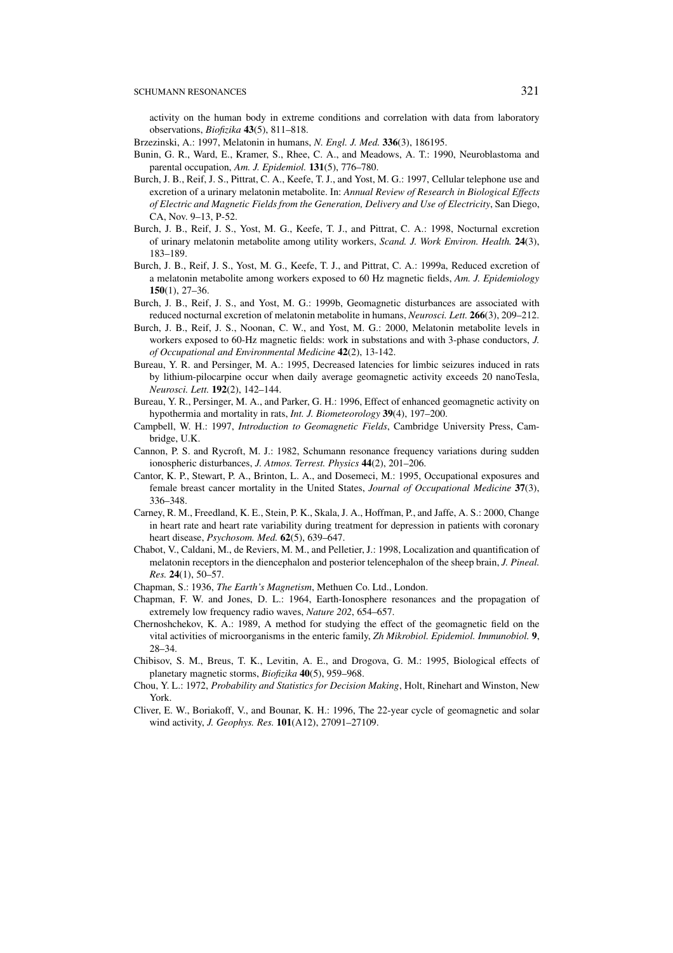activity on the human body in extreme conditions and correlation with data from laboratory observations, *Biofizika* **43**(5), 811–818.

- Brzezinski, A.: 1997, Melatonin in humans, *N. Engl. J. Med.* **336**(3), 186195.
- Bunin, G. R., Ward, E., Kramer, S., Rhee, C. A., and Meadows, A. T.: 1990, Neuroblastoma and parental occupation, *Am. J. Epidemiol.* **131**(5), 776–780.
- Burch, J. B., Reif, J. S., Pittrat, C. A., Keefe, T. J., and Yost, M. G.: 1997, Cellular telephone use and excretion of a urinary melatonin metabolite. In: *Annual Review of Research in Biological Effects of Electric and Magnetic Fields from the Generation, Delivery and Use of Electricity*, San Diego, CA, Nov. 9–13, P-52.
- Burch, J. B., Reif, J. S., Yost, M. G., Keefe, T. J., and Pittrat, C. A.: 1998, Nocturnal excretion of urinary melatonin metabolite among utility workers, *Scand. J. Work Environ. Health.* **24**(3), 183–189.
- Burch, J. B., Reif, J. S., Yost, M. G., Keefe, T. J., and Pittrat, C. A.: 1999a, Reduced excretion of a melatonin metabolite among workers exposed to 60 Hz magnetic fields, *Am. J. Epidemiology* **150**(1), 27–36.
- Burch, J. B., Reif, J. S., and Yost, M. G.: 1999b, Geomagnetic disturbances are associated with reduced nocturnal excretion of melatonin metabolite in humans, *Neurosci. Lett.* **266**(3), 209–212.
- Burch, J. B., Reif, J. S., Noonan, C. W., and Yost, M. G.: 2000, Melatonin metabolite levels in workers exposed to 60-Hz magnetic fields: work in substations and with 3-phase conductors, *J. of Occupational and Environmental Medicine* **42**(2), 13-142.
- Bureau, Y. R. and Persinger, M. A.: 1995, Decreased latencies for limbic seizures induced in rats by lithium-pilocarpine occur when daily average geomagnetic activity exceeds 20 nanoTesla, *Neurosci. Lett.* **192**(2), 142–144.
- Bureau, Y. R., Persinger, M. A., and Parker, G. H.: 1996, Effect of enhanced geomagnetic activity on hypothermia and mortality in rats, *Int. J. Biometeorology* **39**(4), 197–200.
- Campbell, W. H.: 1997, *Introduction to Geomagnetic Fields*, Cambridge University Press, Cambridge, U.K.
- Cannon, P. S. and Rycroft, M. J.: 1982, Schumann resonance frequency variations during sudden ionospheric disturbances, *J. Atmos. Terrest. Physics* **44**(2), 201–206.
- Cantor, K. P., Stewart, P. A., Brinton, L. A., and Dosemeci, M.: 1995, Occupational exposures and female breast cancer mortality in the United States, *Journal of Occupational Medicine* **37**(3), 336–348.
- Carney, R. M., Freedland, K. E., Stein, P. K., Skala, J. A., Hoffman, P., and Jaffe, A. S.: 2000, Change in heart rate and heart rate variability during treatment for depression in patients with coronary heart disease, *Psychosom. Med.* **62**(5), 639–647.
- Chabot, V., Caldani, M., de Reviers, M. M., and Pelletier, J.: 1998, Localization and quantification of melatonin receptors in the diencephalon and posterior telencephalon of the sheep brain, *J. Pineal. Res.* **24**(1), 50–57.
- Chapman, S.: 1936, *The Earth's Magnetism*, Methuen Co. Ltd., London.
- Chapman, F. W. and Jones, D. L.: 1964, Earth-Ionosphere resonances and the propagation of extremely low frequency radio waves, *Nature 202*, 654–657.
- Chernoshchekov, K. A.: 1989, A method for studying the effect of the geomagnetic field on the vital activities of microorganisms in the enteric family, *Zh Mikrobiol. Epidemiol. Immunobiol.* **9**, 28–34.
- Chibisov, S. M., Breus, T. K., Levitin, A. E., and Drogova, G. M.: 1995, Biological effects of planetary magnetic storms, *Biofizika* **40**(5), 959–968.
- Chou, Y. L.: 1972, *Probability and Statistics for Decision Making*, Holt, Rinehart and Winston, New York.
- Cliver, E. W., Boriakoff, V., and Bounar, K. H.: 1996, The 22-year cycle of geomagnetic and solar wind activity, *J. Geophys. Res.* **101**(A12), 27091–27109.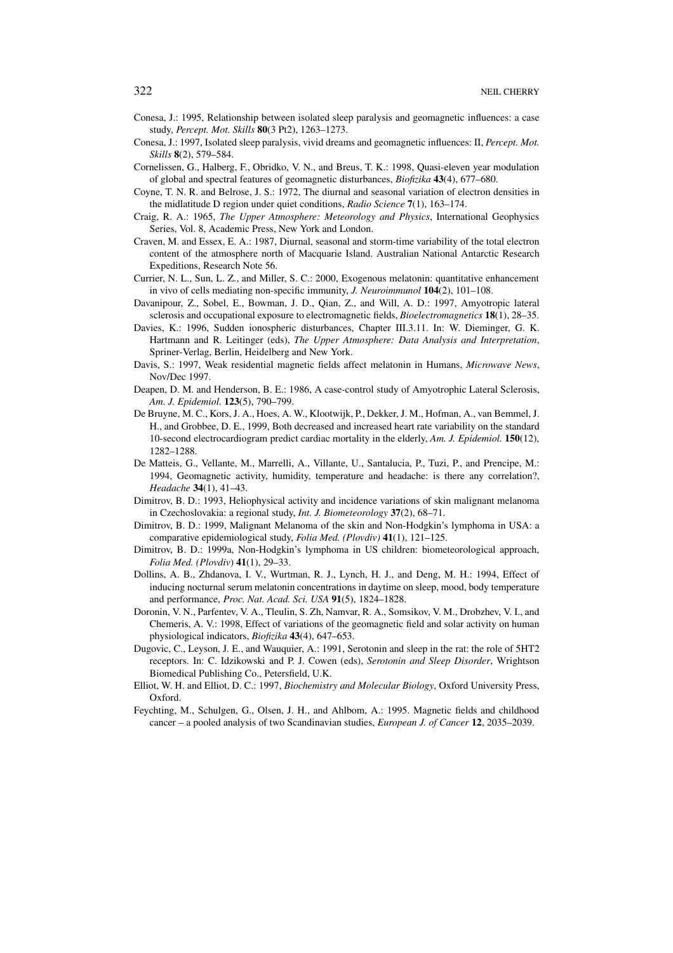- Conesa, J.: 1995, Relationship between isolated sleep paralysis and geomagnetic influences: a case study, *Percept. Mot. Skills* **80**(3 Pt2), 1263–1273.
- Conesa, J.: 1997, Isolated sleep paralysis, vivid dreams and geomagnetic influences: II, *Percept. Mot. Skills* **8**(2), 579–584.
- Cornelissen, G., Halberg, F., Obridko, V. N., and Breus, T. K.: 1998, Quasi-eleven year modulation of global and spectral features of geomagnetic disturbances, *Biofizika* **43**(4), 677–680.
- Coyne, T. N. R. and Belrose, J. S.: 1972, The diurnal and seasonal variation of electron densities in the midlatitude D region under quiet conditions, *Radio Science* **7**(1), 163–174.
- Craig, R. A.: 1965, *The Upper Atmosphere: Meteorology and Physics*, International Geophysics Series, Vol. 8, Academic Press, New York and London.
- Craven, M. and Essex, E. A.: 1987, Diurnal, seasonal and storm-time variability of the total electron content of the atmosphere north of Macquarie Island. Australian National Antarctic Research Expeditions, Research Note 56.
- Currier, N. L., Sun, L. Z., and Miller, S. C.: 2000, Exogenous melatonin: quantitative enhancement in vivo of cells mediating non-specific immunity, *J. Neuroimmunol* **104**(2), 101–108.
- Davanipour, Z., Sobel, E., Bowman, J. D., Qian, Z., and Will, A. D.: 1997, Amyotropic lateral sclerosis and occupational exposure to electromagnetic fields, *Bioelectromagnetics* **18**(1), 28–35.
- Davies, K.: 1996, Sudden ionospheric disturbances, Chapter III.3.11. In: W. Dieminger, G. K. Hartmann and R. Leitinger (eds), *The Upper Atmosphere: Data Analysis and Interpretation*, Spriner-Verlag, Berlin, Heidelberg and New York.
- Davis, S.: 1997, Weak residential magnetic fields affect melatonin in Humans, *Microwave News*, Nov/Dec 1997.
- Deapen, D. M. and Henderson, B. E.: 1986, A case-control study of Amyotrophic Lateral Sclerosis, *Am. J. Epidemiol.* **123**(5), 790–799.
- De Bruyne, M. C., Kors, J. A., Hoes, A. W., Klootwijk, P., Dekker, J. M., Hofman, A., van Bemmel, J. H., and Grobbee, D. E., 1999, Both decreased and increased heart rate variability on the standard 10-second electrocardiogram predict cardiac mortality in the elderly, *Am. J. Epidemiol.* **150**(12), 1282–1288.
- De Matteis, G., Vellante, M., Marrelli, A., Villante, U., Santalucia, P., Tuzi, P., and Prencipe, M.: 1994, Geomagnetic activity, humidity, temperature and headache: is there any correlation?, *Headache* **34**(1), 41–43.
- Dimitrov, B. D.: 1993, Heliophysical activity and incidence variations of skin malignant melanoma in Czechoslovakia: a regional study, *Int. J. Biometeorology* **37**(2), 68–71.
- Dimitrov, B. D.: 1999, Malignant Melanoma of the skin and Non-Hodgkin's lymphoma in USA: a comparative epidemiological study, *Folia Med. (Plovdiv)* **41**(1), 121–125.
- Dimitrov, B. D.: 1999a, Non-Hodgkin's lymphoma in US children: biometeorological approach, *Folia Med. (Plovdiv*) **41**(1), 29–33.
- Dollins, A. B., Zhdanova, I. V., Wurtman, R. J., Lynch, H. J., and Deng, M. H.: 1994, Effect of inducing nocturnal serum melatonin concentrations in daytime on sleep, mood, body temperature and performance, *Proc. Nat. Acad. Sci. USA* **91**(5), 1824–1828.
- Doronin, V. N., Parfentev, V. A., Tleulin, S. Zh, Namvar, R. A., Somsikov, V. M., Drobzhev, V. I., and Chemeris, A. V.: 1998, Effect of variations of the geomagnetic field and solar activity on human physiological indicators, *Biofizika* **43**(4), 647–653.
- Dugovic, C., Leyson, J. E., and Wauquier, A.: 1991, Serotonin and sleep in the rat: the role of 5HT2 receptors. In: C. Idzikowski and P. J. Cowen (eds), *Serotonin and Sleep Disorder*, Wrightson Biomedical Publishing Co., Petersfield, U.K.
- Elliot, W. H. and Elliot, D. C.: 1997, *Biochemistry and Molecular Biology*, Oxford University Press, Oxford.
- Feychting, M., Schulgen, G., Olsen, J. H., and Ahlbom, A.: 1995. Magnetic fields and childhood cancer – a pooled analysis of two Scandinavian studies, *European J. of Cancer* **12**, 2035–2039.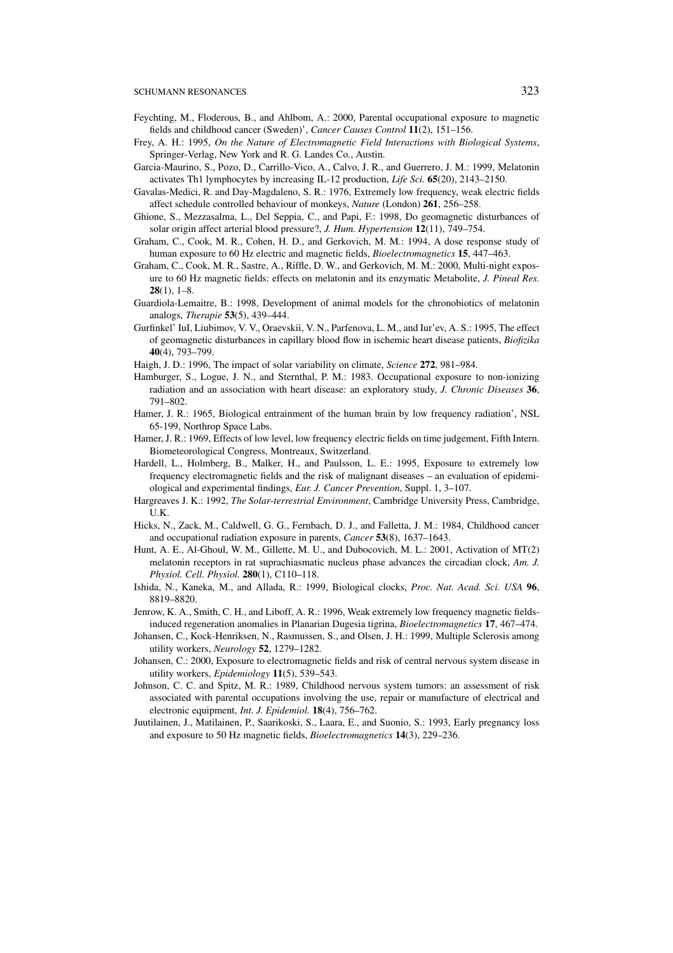- Feychting, M., Floderous, B., and Ahlbom, A.: 2000, Parental occupational exposure to magnetic fields and childhood cancer (Sweden)', *Cancer Causes Control* **11**(2), 151–156.
- Frey, A. H.: 1995, *On the Nature of Electromagnetic Field Interactions with Biological Systems*, Springer-Verlag, New York and R. G. Landes Co., Austin.
- Garcia-Maurino, S., Pozo, D., Carrillo-Vico, A., Calvo, J. R., and Guerrero, J. M.: 1999, Melatonin activates Th1 lymphocytes by increasing IL-12 production, *Life Sci.* **65**(20), 2143–2150.
- Gavalas-Medici, R. and Day-Magdaleno, S. R.: 1976, Extremely low frequency, weak electric fields affect schedule controlled behaviour of monkeys, *Nature* (London) **261**, 256–258.
- Ghione, S., Mezzasalma, L., Del Seppia, C., and Papi, F.: 1998, Do geomagnetic disturbances of solar origin affect arterial blood pressure?, *J. Hum. Hypertension* **12**(11), 749–754.
- Graham, C., Cook, M. R., Cohen, H. D., and Gerkovich, M. M.: 1994, A dose response study of human exposure to 60 Hz electric and magnetic fields, *Bioelectromagnetics* **15**, 447–463.
- Graham, C., Cook, M. R., Sastre, A., Riffle, D. W., and Gerkovich, M. M.: 2000, Multi-night exposure to 60 Hz magnetic fields: effects on melatonin and its enzymatic Metabolite, *J. Pineal Res.* **28**(1), 1–8.
- Guardiola-Lemaitre, B.: 1998, Development of animal models for the chronobiotics of melatonin analogs, *Therapie* **53**(5), 439–444.
- Gurfinkel' IuI, Liubimov, V. V., Oraevskii, V. N., Parfenova, L. M., and Iur'ev, A. S.: 1995, The effect of geomagnetic disturbances in capillary blood flow in ischemic heart disease patients, *Biofizika* **40**(4), 793–799.
- Haigh, J. D.: 1996, The impact of solar variability on climate, *Science* **272**, 981–984.
- Hamburger, S., Logue, J. N., and Sternthal, P. M.: 1983. Occupational exposure to non-ionizing radiation and an association with heart disease: an exploratory study, *J. Chronic Diseases* **36**, 791–802.
- Hamer, J. R.: 1965, Biological entrainment of the human brain by low frequency radiation', NSL 65-199, Northrop Space Labs.
- Hamer, J. R.: 1969, Effects of low level, low frequency electric fields on time judgement, Fifth Intern. Biometeorological Congress, Montreaux, Switzerland.
- Hardell, L., Holmberg, B., Malker, H., and Paulsson, L. E.: 1995, Exposure to extremely low frequency electromagnetic fields and the risk of malignant diseases – an evaluation of epidemiological and experimental findings, *Eur. J. Cancer Prevention*, Suppl. 1, 3–107.
- Hargreaves J. K.: 1992, *The Solar-terrestrial Environment*, Cambridge University Press, Cambridge, U.K.
- Hicks, N., Zack, M., Caldwell, G. G., Fernbach, D. J., and Falletta, J. M.: 1984, Childhood cancer and occupational radiation exposure in parents, *Cancer* **53**(8), 1637–1643.
- Hunt, A. E., Al-Ghoul, W. M., Gillette, M. U., and Dubocovich, M. L.: 2001, Activation of MT(2) melatonin receptors in rat suprachiasmatic nucleus phase advances the circadian clock, *Am. J. Physiol. Cell. Physiol.* **280**(1), C110–118.
- Ishida, N., Kaneka, M., and Allada, R.: 1999, Biological clocks, *Proc. Nat. Acad. Sci. USA* **96**, 8819–8820.
- Jenrow, K. A., Smith, C. H., and Liboff, A. R.: 1996, Weak extremely low frequency magnetic fieldsinduced regeneration anomalies in Planarian Dugesia tigrina, *Bioelectromagnetics* **17**, 467–474.
- Johansen, C., Kock-Henriksen, N., Rasmussen, S., and Olsen, J. H.: 1999, Multiple Sclerosis among utility workers, *Neurology* **52**, 1279–1282.
- Johansen, C.: 2000, Exposure to electromagnetic fields and risk of central nervous system disease in utility workers, *Epidemiology* **11**(5), 539–543.
- Johnson, C. C. and Spitz, M. R.: 1989, Childhood nervous system tumors: an assessment of risk associated with parental occupations involving the use, repair or manufacture of electrical and electronic equipment, *Int. J. Epidemiol.* **18**(4), 756–762.
- Juutilainen, J., Matilainen, P., Saarikoski, S., Laara, E., and Suonio, S.: 1993, Early pregnancy loss and exposure to 50 Hz magnetic fields, *Bioelectromagnetics* **14**(3), 229–236.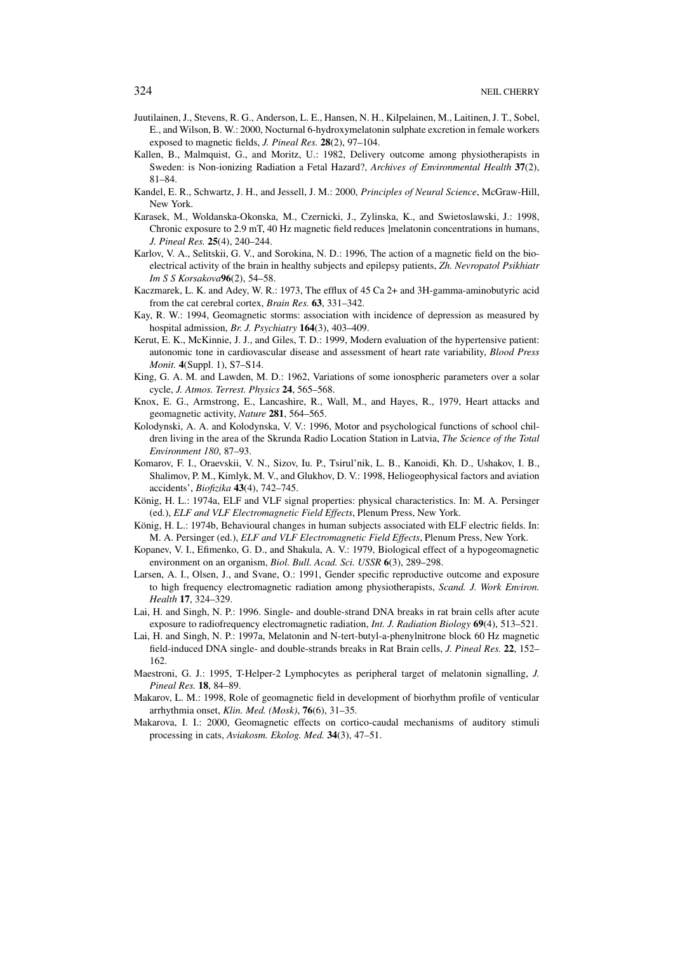- Juutilainen, J., Stevens, R. G., Anderson, L. E., Hansen, N. H., Kilpelainen, M., Laitinen, J. T., Sobel, E., and Wilson, B. W.: 2000, Nocturnal 6-hydroxymelatonin sulphate excretion in female workers exposed to magnetic fields, *J. Pineal Res.* **28**(2), 97–104.
- Kallen, B., Malmquist, G., and Moritz, U.: 1982, Delivery outcome among physiotherapists in Sweden: is Non-ionizing Radiation a Fetal Hazard?, *Archives of Environmental Health* **37**(2), 81–84.
- Kandel, E. R., Schwartz, J. H., and Jessell, J. M.: 2000, *Principles of Neural Science*, McGraw-Hill, New York.
- Karasek, M., Woldanska-Okonska, M., Czernicki, J., Zylinska, K., and Swietoslawski, J.: 1998, Chronic exposure to 2.9 mT, 40 Hz magnetic field reduces ]melatonin concentrations in humans, *J. Pineal Res.* **25**(4), 240–244.
- Karlov, V. A., Selitskii, G. V., and Sorokina, N. D.: 1996, The action of a magnetic field on the bioelectrical activity of the brain in healthy subjects and epilepsy patients, *Zh. Nevropatol Psikhiatr Im S S Korsakova***96**(2), 54–58.
- Kaczmarek, L. K. and Adey, W. R.: 1973, The efflux of 45 Ca 2+ and 3H-gamma-aminobutyric acid from the cat cerebral cortex, *Brain Res.* **63**, 331–342.
- Kay, R. W.: 1994, Geomagnetic storms: association with incidence of depression as measured by hospital admission, *Br. J. Psychiatry* **164**(3), 403–409.
- Kerut, E. K., McKinnie, J. J., and Giles, T. D.: 1999, Modern evaluation of the hypertensive patient: autonomic tone in cardiovascular disease and assessment of heart rate variability, *Blood Press Monit.* **4**(Suppl. 1), S7–S14.
- King, G. A. M. and Lawden, M. D.: 1962, Variations of some ionospheric parameters over a solar cycle, *J. Atmos. Terrest. Physics* **24**, 565–568.
- Knox, E. G., Armstrong, E., Lancashire, R., Wall, M., and Hayes, R., 1979, Heart attacks and geomagnetic activity, *Nature* **281**, 564–565.
- Kolodynski, A. A. and Kolodynska, V. V.: 1996, Motor and psychological functions of school children living in the area of the Skrunda Radio Location Station in Latvia, *The Science of the Total Environment 180*, 87–93.
- Komarov, F. I., Oraevskii, V. N., Sizov, Iu. P., Tsirul'nik, L. B., Kanoidi, Kh. D., Ushakov, I. B., Shalimov, P. M., Kimlyk, M. V., and Glukhov, D. V.: 1998, Heliogeophysical factors and aviation accidents', *Biofizika* **43**(4), 742–745.
- König, H. L.: 1974a, ELF and VLF signal properties: physical characteristics. In: M. A. Persinger (ed.), *ELF and VLF Electromagnetic Field Effects*, Plenum Press, New York.
- König, H. L.: 1974b, Behavioural changes in human subjects associated with ELF electric fields. In: M. A. Persinger (ed.), *ELF and VLF Electromagnetic Field Effects*, Plenum Press, New York.
- Kopanev, V. I., Efimenko, G. D., and Shakula, A. V.: 1979, Biological effect of a hypogeomagnetic environment on an organism, *Biol. Bull. Acad. Sci. USSR* **6**(3), 289–298.
- Larsen, A. I., Olsen, J., and Svane, O.: 1991, Gender specific reproductive outcome and exposure to high frequency electromagnetic radiation among physiotherapists, *Scand. J. Work Environ. Health* **17**, 324–329.
- Lai, H. and Singh, N. P.: 1996. Single- and double-strand DNA breaks in rat brain cells after acute exposure to radiofrequency electromagnetic radiation, *Int. J. Radiation Biology* **69**(4), 513–521.
- Lai, H. and Singh, N. P.: 1997a, Melatonin and N-tert-butyl-a-phenylnitrone block 60 Hz magnetic field-induced DNA single- and double-strands breaks in Rat Brain cells, *J. Pineal Res.* **22**, 152– 162.
- Maestroni, G. J.: 1995, T-Helper-2 Lymphocytes as peripheral target of melatonin signalling, *J. Pineal Res.* **18**, 84–89.
- Makarov, L. M.: 1998, Role of geomagnetic field in development of biorhythm profile of venticular arrhythmia onset, *Klin. Med. (Mosk)*, **76**(6), 31–35.
- Makarova, I. I.: 2000, Geomagnetic effects on cortico-caudal mechanisms of auditory stimuli processing in cats, *Aviakosm. Ekolog. Med.* **34**(3), 47–51.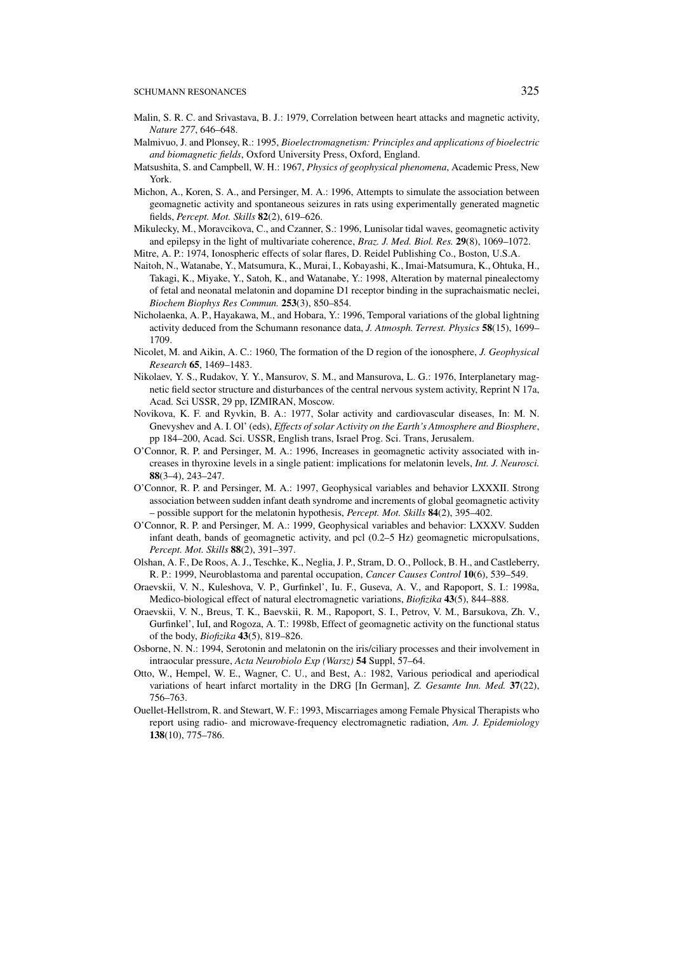- Malin, S. R. C. and Srivastava, B. J.: 1979, Correlation between heart attacks and magnetic activity, *Nature 277*, 646–648.
- Malmivuo, J. and Plonsey, R.: 1995, *Bioelectromagnetism: Principles and applications of bioelectric and biomagnetic fields*, Oxford University Press, Oxford, England.
- Matsushita, S. and Campbell, W. H.: 1967, *Physics of geophysical phenomena*, Academic Press, New York.
- Michon, A., Koren, S. A., and Persinger, M. A.: 1996, Attempts to simulate the association between geomagnetic activity and spontaneous seizures in rats using experimentally generated magnetic fields, *Percept. Mot. Skills* **82**(2), 619–626.
- Mikulecky, M., Moravcikova, C., and Czanner, S.: 1996, Lunisolar tidal waves, geomagnetic activity and epilepsy in the light of multivariate coherence, *Braz. J. Med. Biol. Res.* **29**(8), 1069–1072.
- Mitre, A. P.: 1974, Ionospheric effects of solar flares, D. Reidel Publishing Co., Boston, U.S.A.
- Naitoh, N., Watanabe, Y., Matsumura, K., Murai, I., Kobayashi, K., Imai-Matsumura, K., Ohtuka, H., Takagi, K., Miyake, Y., Satoh, K., and Watanabe, Y.: 1998, Alteration by maternal pinealectomy of fetal and neonatal melatonin and dopamine D1 receptor binding in the suprachaismatic neclei, *Biochem Biophys Res Commun.* **253**(3), 850–854.
- Nicholaenka, A. P., Hayakawa, M., and Hobara, Y.: 1996, Temporal variations of the global lightning activity deduced from the Schumann resonance data, *J. Atmosph. Terrest. Physics* **58**(15), 1699– 1709.
- Nicolet, M. and Aikin, A. C.: 1960, The formation of the D region of the ionosphere, *J. Geophysical Research* **65**, 1469–1483.
- Nikolaev, Y. S., Rudakov, Y. Y., Mansurov, S. M., and Mansurova, L. G.: 1976, Interplanetary magnetic field sector structure and disturbances of the central nervous system activity, Reprint N 17a, Acad. Sci USSR, 29 pp, IZMIRAN, Moscow.
- Novikova, K. F. and Ryvkin, B. A.: 1977, Solar activity and cardiovascular diseases, In: M. N. Gnevyshev and A. I. Ol' (eds), *Effects of solar Activity on the Earth's Atmosphere and Biosphere*, pp 184–200, Acad. Sci. USSR, English trans, Israel Prog. Sci. Trans, Jerusalem.
- O'Connor, R. P. and Persinger, M. A.: 1996, Increases in geomagnetic activity associated with increases in thyroxine levels in a single patient: implications for melatonin levels, *Int. J. Neurosci.* **88**(3–4), 243–247.
- O'Connor, R. P. and Persinger, M. A.: 1997, Geophysical variables and behavior LXXXII. Strong association between sudden infant death syndrome and increments of global geomagnetic activity – possible support for the melatonin hypothesis, *Percept. Mot. Skills* **84**(2), 395–402.
- O'Connor, R. P. and Persinger, M. A.: 1999, Geophysical variables and behavior: LXXXV. Sudden infant death, bands of geomagnetic activity, and pcl (0.2–5 Hz) geomagnetic micropulsations, *Percept. Mot. Skills* **88**(2), 391–397.
- Olshan, A. F., De Roos, A. J., Teschke, K., Neglia, J. P., Stram, D. O., Pollock, B. H., and Castleberry, R. P.: 1999, Neuroblastoma and parental occupation, *Cancer Causes Control* **10**(6), 539–549.
- Oraevskii, V. N., Kuleshova, V. P., Gurfinkel', Iu. F., Guseva, A. V., and Rapoport, S. I.: 1998a, Medico-biological effect of natural electromagnetic variations, *Biofizika* **43**(5), 844–888.
- Oraevskii, V. N., Breus, T. K., Baevskii, R. M., Rapoport, S. I., Petrov, V. M., Barsukova, Zh. V., Gurfinkel', IuI, and Rogoza, A. T.: 1998b, Effect of geomagnetic activity on the functional status of the body, *Biofizika* **43**(5), 819–826.
- Osborne, N. N.: 1994, Serotonin and melatonin on the iris/ciliary processes and their involvement in intraocular pressure, *Acta Neurobiolo Exp (Warsz)* **54** Suppl, 57–64.
- Otto, W., Hempel, W. E., Wagner, C. U., and Best, A.: 1982, Various periodical and aperiodical variations of heart infarct mortality in the DRG [In German], *Z. Gesamte Inn. Med.* **37**(22), 756–763.
- Ouellet-Hellstrom, R. and Stewart, W. F.: 1993, Miscarriages among Female Physical Therapists who report using radio- and microwave-frequency electromagnetic radiation, *Am. J. Epidemiology* **138**(10), 775–786.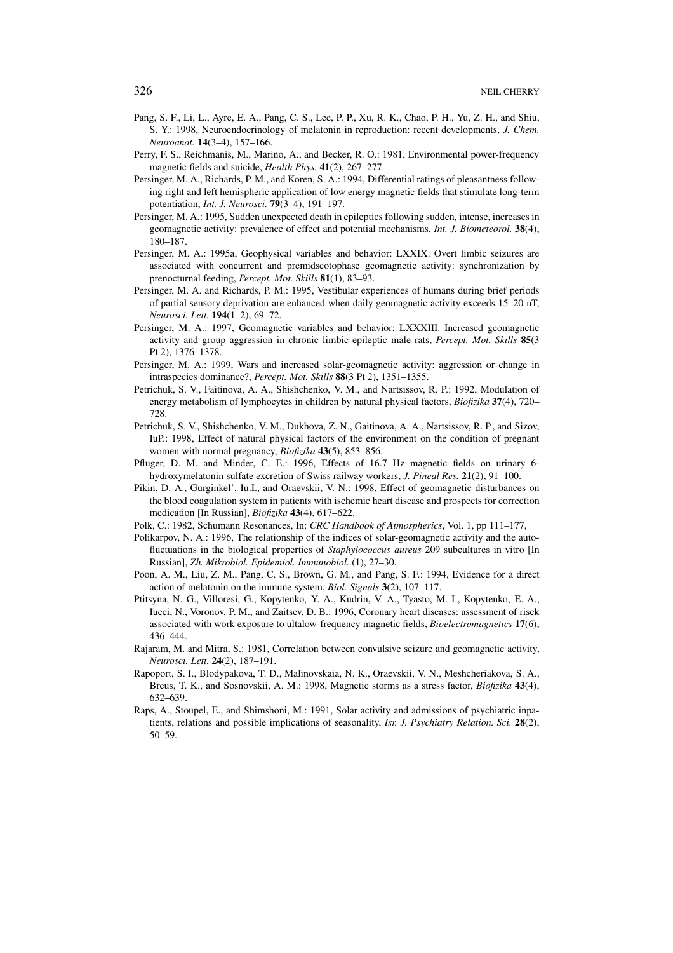- Pang, S. F., Li, L., Ayre, E. A., Pang, C. S., Lee, P. P., Xu, R. K., Chao, P. H., Yu, Z. H., and Shiu, S. Y.: 1998, Neuroendocrinology of melatonin in reproduction: recent developments, *J. Chem. Neuroanat.* **14**(3–4), 157–166.
- Perry, F. S., Reichmanis, M., Marino, A., and Becker, R. O.: 1981, Environmental power-frequency magnetic fields and suicide, *Health Phys.* **41**(2), 267–277.
- Persinger, M. A., Richards, P. M., and Koren, S. A.: 1994, Differential ratings of pleasantness following right and left hemispheric application of low energy magnetic fields that stimulate long-term potentiation, *Int. J. Neurosci.* **79**(3–4), 191–197.
- Persinger, M. A.: 1995, Sudden unexpected death in epileptics following sudden, intense, increases in geomagnetic activity: prevalence of effect and potential mechanisms, *Int. J. Biometeorol.* **38**(4), 180–187.
- Persinger, M. A.: 1995a, Geophysical variables and behavior: LXXIX. Overt limbic seizures are associated with concurrent and premidscotophase geomagnetic activity: synchronization by prenocturnal feeding, *Percept. Mot. Skills* **81**(1), 83–93.
- Persinger, M. A. and Richards, P. M.: 1995, Vestibular experiences of humans during brief periods of partial sensory deprivation are enhanced when daily geomagnetic activity exceeds 15–20 nT, *Neurosci. Lett.* **194**(1–2), 69–72.
- Persinger, M. A.: 1997, Geomagnetic variables and behavior: LXXXIII. Increased geomagnetic activity and group aggression in chronic limbic epileptic male rats, *Percept. Mot. Skills* **85**(3 Pt 2), 1376–1378.
- Persinger, M. A.: 1999, Wars and increased solar-geomagnetic activity: aggression or change in intraspecies dominance?, *Percept. Mot. Skills* **88**(3 Pt 2), 1351–1355.
- Petrichuk, S. V., Faitinova, A. A., Shishchenko, V. M., and Nartsissov, R. P.: 1992, Modulation of energy metabolism of lymphocytes in children by natural physical factors, *Biofizika* **37**(4), 720– 728.
- Petrichuk, S. V., Shishchenko, V. M., Dukhova, Z. N., Gaitinova, A. A., Nartsissov, R. P., and Sizov, IuP.: 1998, Effect of natural physical factors of the environment on the condition of pregnant women with normal pregnancy, *Biofizika* **43**(5), 853–856.
- Pfluger, D. M. and Minder, C. E.: 1996, Effects of 16.7 Hz magnetic fields on urinary 6 hydroxymelatonin sulfate excretion of Swiss railway workers, *J. Pineal Res.* **21**(2), 91–100.
- Pikin, D. A., Gurginkel', Iu.I., and Oraevskii, V. N.: 1998, Effect of geomagnetic disturbances on the blood coagulation system in patients with ischemic heart disease and prospects for correction medication [In Russian], *Biofizika* **43**(4), 617–622.
- Polk, C.: 1982, Schumann Resonances, In: *CRC Handbook of Atmospherics*, Vol. 1, pp 111–177,
- Polikarpov, N. A.: 1996, The relationship of the indices of solar-geomagnetic activity and the autofluctuations in the biological properties of *Staphylococcus aureus* 209 subcultures in vitro [In Russian], *Zh. Mikrobiol. Epidemiol. Immunobiol.* (1), 27–30.
- Poon, A. M., Liu, Z. M., Pang, C. S., Brown, G. M., and Pang, S. F.: 1994, Evidence for a direct action of melatonin on the immune system, *Biol. Signals* **3**(2), 107–117.
- Ptitsyna, N. G., Villoresi, G., Kopytenko, Y. A., Kudrin, V. A., Tyasto, M. I., Kopytenko, E. A., Iucci, N., Voronov, P. M., and Zaitsev, D. B.: 1996, Coronary heart diseases: assessment of risck associated with work exposure to ultalow-frequency magnetic fields, *Bioelectromagnetics* **17**(6), 436–444.
- Rajaram, M. and Mitra, S.: 1981, Correlation between convulsive seizure and geomagnetic activity, *Neurosci. Lett.* **24**(2), 187–191.
- Rapoport, S. I., Blodypakova, T. D., Malinovskaia, N. K., Oraevskii, V. N., Meshcheriakova, S. A., Breus, T. K., and Sosnovskii, A. M.: 1998, Magnetic storms as a stress factor, *Biofizika* **43**(4), 632–639.
- Raps, A., Stoupel, E., and Shimshoni, M.: 1991, Solar activity and admissions of psychiatric inpatients, relations and possible implications of seasonality, *Isr. J. Psychiatry Relation. Sci.* **28**(2), 50–59.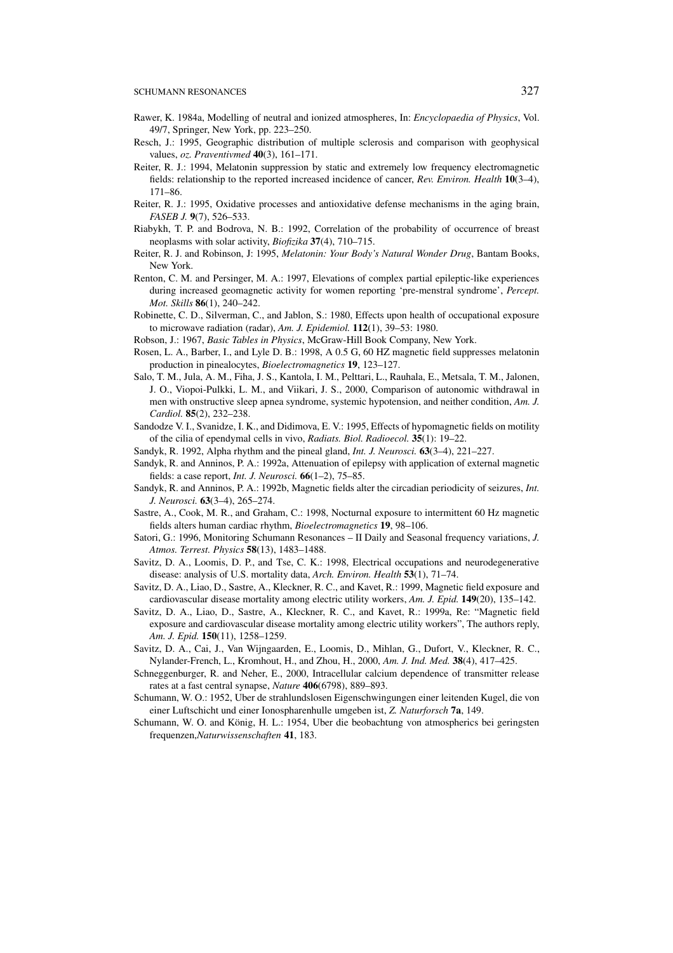- Rawer, K. 1984a, Modelling of neutral and ionized atmospheres, In: *Encyclopaedia of Physics*, Vol. 49/7, Springer, New York, pp. 223–250.
- Resch, J.: 1995, Geographic distribution of multiple sclerosis and comparison with geophysical values, *oz. Praventivmed* **40**(3), 161–171.
- Reiter, R. J.: 1994, Melatonin suppression by static and extremely low frequency electromagnetic fields: relationship to the reported increased incidence of cancer, *Rev. Environ. Health* **10**(3–4), 171–86.
- Reiter, R. J.: 1995, Oxidative processes and antioxidative defense mechanisms in the aging brain, *FASEB J.* **9**(7), 526–533.
- Riabykh, T. P. and Bodrova, N. B.: 1992, Correlation of the probability of occurrence of breast neoplasms with solar activity, *Biofizika* **37**(4), 710–715.
- Reiter, R. J. and Robinson, J: 1995, *Melatonin: Your Body's Natural Wonder Drug*, Bantam Books, New York.
- Renton, C. M. and Persinger, M. A.: 1997, Elevations of complex partial epileptic-like experiences during increased geomagnetic activity for women reporting 'pre-menstral syndrome', *Percept. Mot. Skills* **86**(1), 240–242.
- Robinette, C. D., Silverman, C., and Jablon, S.: 1980, Effects upon health of occupational exposure to microwave radiation (radar), *Am. J. Epidemiol.* **112**(1), 39–53: 1980.
- Robson, J.: 1967, *Basic Tables in Physics*, McGraw-Hill Book Company, New York.
- Rosen, L. A., Barber, I., and Lyle D. B.: 1998, A 0.5 G, 60 HZ magnetic field suppresses melatonin production in pinealocytes, *Bioelectromagnetics* **19**, 123–127.
- Salo, T. M., Jula, A. M., Fiha, J. S., Kantola, I. M., Pelttari, L., Rauhala, E., Metsala, T. M., Jalonen, J. O., Viopoi-Pulkki, L. M., and Viikari, J. S., 2000, Comparison of autonomic withdrawal in men with onstructive sleep apnea syndrome, systemic hypotension, and neither condition, *Am. J. Cardiol.* **85**(2), 232–238.
- Sandodze V. I., Svanidze, I. K., and Didimova, E. V.: 1995, Effects of hypomagnetic fields on motility of the cilia of ependymal cells in vivo, *Radiats. Biol. Radioecol.* **35**(1): 19–22.
- Sandyk, R. 1992, Alpha rhythm and the pineal gland, *Int. J. Neurosci.* **63**(3–4), 221–227.
- Sandyk, R. and Anninos, P. A.: 1992a, Attenuation of epilepsy with application of external magnetic fields: a case report, *Int. J. Neurosci.* **66**(1–2), 75–85.
- Sandyk, R. and Anninos, P. A.: 1992b, Magnetic fields alter the circadian periodicity of seizures, *Int. J. Neurosci.* **63**(3–4), 265–274.
- Sastre, A., Cook, M. R., and Graham, C.: 1998, Nocturnal exposure to intermittent 60 Hz magnetic fields alters human cardiac rhythm, *Bioelectromagnetics* **19**, 98–106.
- Satori, G.: 1996, Monitoring Schumann Resonances II Daily and Seasonal frequency variations, *J. Atmos. Terrest. Physics* **58**(13), 1483–1488.
- Savitz, D. A., Loomis, D. P., and Tse, C. K.: 1998, Electrical occupations and neurodegenerative disease: analysis of U.S. mortality data, *Arch. Environ. Health* **53**(1), 71–74.
- Savitz, D. A., Liao, D., Sastre, A., Kleckner, R. C., and Kavet, R.: 1999, Magnetic field exposure and cardiovascular disease mortality among electric utility workers, *Am. J. Epid.* **149**(20), 135–142.
- Savitz, D. A., Liao, D., Sastre, A., Kleckner, R. C., and Kavet, R.: 1999a, Re: "Magnetic field exposure and cardiovascular disease mortality among electric utility workers", The authors reply, *Am. J. Epid.* **150**(11), 1258–1259.
- Savitz, D. A., Cai, J., Van Wijngaarden, E., Loomis, D., Mihlan, G., Dufort, V., Kleckner, R. C., Nylander-French, L., Kromhout, H., and Zhou, H., 2000, *Am. J. Ind. Med.* **38**(4), 417–425.
- Schneggenburger, R. and Neher, E., 2000, Intracellular calcium dependence of transmitter release rates at a fast central synapse, *Nature* **406**(6798), 889–893.
- Schumann, W. O.: 1952, Uber de strahlundslosen Eigenschwingungen einer leitenden Kugel, die von einer Luftschicht und einer Ionospharenhulle umgeben ist, *Z. Naturforsch* **7a**, 149.
- Schumann, W. O. and König, H. L.: 1954, Uber die beobachtung von atmospherics bei geringsten frequenzen,*Naturwissenschaften* **41**, 183.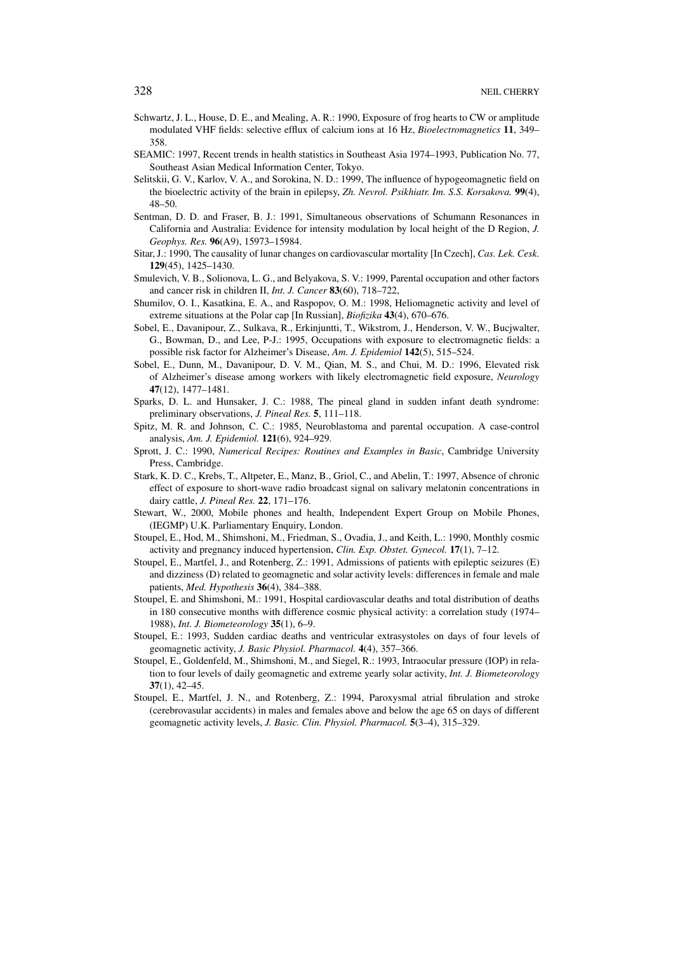- Schwartz, J. L., House, D. E., and Mealing, A. R.: 1990, Exposure of frog hearts to CW or amplitude modulated VHF fields: selective efflux of calcium ions at 16 Hz, *Bioelectromagnetics* **11**, 349– 358.
- SEAMIC: 1997, Recent trends in health statistics in Southeast Asia 1974–1993, Publication No. 77, Southeast Asian Medical Information Center, Tokyo.
- Selitskii, G. V., Karlov, V. A., and Sorokina, N. D.: 1999, The influence of hypogeomagnetic field on the bioelectric activity of the brain in epilepsy, *Zh. Nevrol. Psikhiatr. Im. S.S. Korsakova.* **99**(4), 48–50.
- Sentman, D. D. and Fraser, B. J.: 1991, Simultaneous observations of Schumann Resonances in California and Australia: Evidence for intensity modulation by local height of the D Region, *J. Geophys. Res.* **96**(A9), 15973–15984.
- Sitar, J.: 1990, The causality of lunar changes on cardiovascular mortality [In Czech], *Cas. Lek. Cesk.* **129**(45), 1425–1430.
- Smulevich, V. B., Solionova, L. G., and Belyakova, S. V.: 1999, Parental occupation and other factors and cancer risk in children II, *Int. J. Cancer* **83**(60), 718–722,
- Shumilov, O. I., Kasatkina, E. A., and Raspopov, O. M.: 1998, Heliomagnetic activity and level of extreme situations at the Polar cap [In Russian], *Biofizika* **43**(4), 670–676.
- Sobel, E., Davanipour, Z., Sulkava, R., Erkinjuntti, T., Wikstrom, J., Henderson, V. W., Bucjwalter, G., Bowman, D., and Lee, P-J.: 1995, Occupations with exposure to electromagnetic fields: a possible risk factor for Alzheimer's Disease, *Am. J. Epidemiol* **142**(5), 515–524.
- Sobel, E., Dunn, M., Davanipour, D. V. M., Qian, M. S., and Chui, M. D.: 1996, Elevated risk of Alzheimer's disease among workers with likely electromagnetic field exposure, *Neurology* **47**(12), 1477–1481.
- Sparks, D. L. and Hunsaker, J. C.: 1988, The pineal gland in sudden infant death syndrome: preliminary observations, *J. Pineal Res.* **5**, 111–118.
- Spitz, M. R. and Johnson, C. C.: 1985, Neuroblastoma and parental occupation. A case-control analysis, *Am. J. Epidemiol.* **121**(6), 924–929.
- Sprott, J. C.: 1990, *Numerical Recipes: Routines and Examples in Basic*, Cambridge University Press, Cambridge.
- Stark, K. D. C., Krebs, T., Altpeter, E., Manz, B., Griol, C., and Abelin, T.: 1997, Absence of chronic effect of exposure to short-wave radio broadcast signal on salivary melatonin concentrations in dairy cattle, *J. Pineal Res.* **22**, 171–176.
- Stewart, W., 2000, Mobile phones and health, Independent Expert Group on Mobile Phones, (IEGMP) U.K. Parliamentary Enquiry, London.
- Stoupel, E., Hod, M., Shimshoni, M., Friedman, S., Ovadia, J., and Keith, L.: 1990, Monthly cosmic activity and pregnancy induced hypertension, *Clin. Exp. Obstet. Gynecol.* **17**(1), 7–12.
- Stoupel, E., Martfel, J., and Rotenberg, Z.: 1991, Admissions of patients with epileptic seizures (E) and dizziness (D) related to geomagnetic and solar activity levels: differences in female and male patients, *Med. Hypothesis* **36**(4), 384–388.
- Stoupel, E. and Shimshoni, M.: 1991, Hospital cardiovascular deaths and total distribution of deaths in 180 consecutive months with difference cosmic physical activity: a correlation study (1974– 1988), *Int. J. Biometeorology* **35**(1), 6–9.
- Stoupel, E.: 1993, Sudden cardiac deaths and ventricular extrasystoles on days of four levels of geomagnetic activity, *J. Basic Physiol. Pharmacol.* **4**(4), 357–366.
- Stoupel, E., Goldenfeld, M., Shimshoni, M., and Siegel, R.: 1993, Intraocular pressure (IOP) in relation to four levels of daily geomagnetic and extreme yearly solar activity, *Int. J. Biometeorology* **37**(1), 42–45.
- Stoupel, E., Martfel, J. N., and Rotenberg, Z.: 1994, Paroxysmal atrial fibrulation and stroke (cerebrovasular accidents) in males and females above and below the age 65 on days of different geomagnetic activity levels, *J. Basic. Clin. Physiol. Pharmacol.* **5**(3–4), 315–329.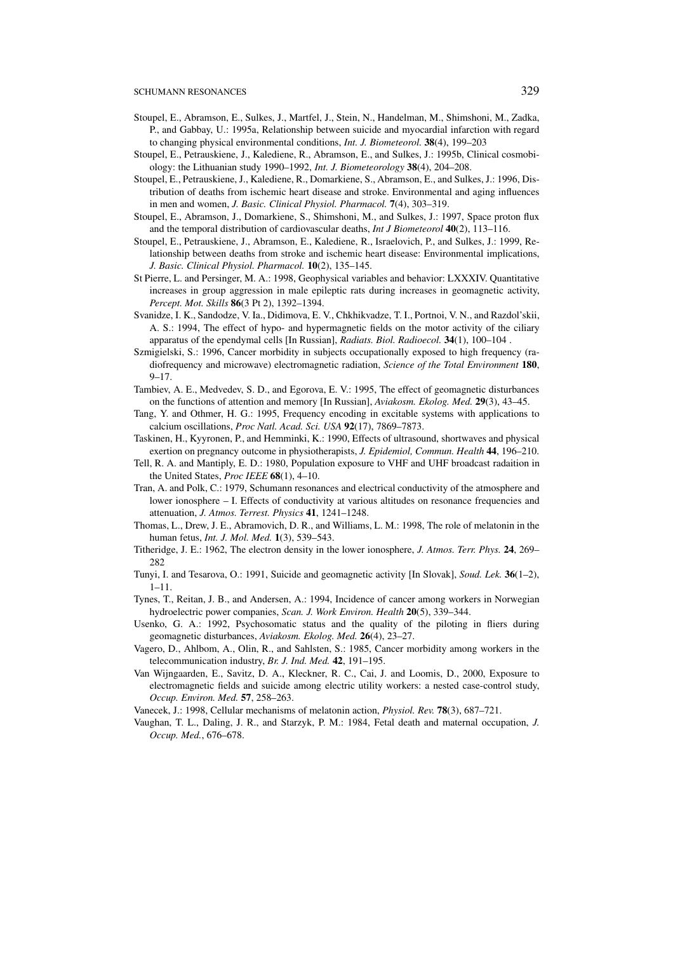### SCHUMANN RESONANCES 329

- Stoupel, E., Abramson, E., Sulkes, J., Martfel, J., Stein, N., Handelman, M., Shimshoni, M., Zadka, P., and Gabbay, U.: 1995a, Relationship between suicide and myocardial infarction with regard to changing physical environmental conditions, *Int. J. Biometeorol.* **38**(4), 199–203
- Stoupel, E., Petrauskiene, J., Kalediene, R., Abramson, E., and Sulkes, J.: 1995b, Clinical cosmobiology: the Lithuanian study 1990–1992, *Int. J. Biometeorology* **38**(4), 204–208.
- Stoupel, E., Petrauskiene, J., Kalediene, R., Domarkiene, S., Abramson, E., and Sulkes, J.: 1996, Distribution of deaths from ischemic heart disease and stroke. Environmental and aging influences in men and women, *J. Basic. Clinical Physiol. Pharmacol.* **7**(4), 303–319.
- Stoupel, E., Abramson, J., Domarkiene, S., Shimshoni, M., and Sulkes, J.: 1997, Space proton flux and the temporal distribution of cardiovascular deaths, *Int J Biometeorol* **40**(2), 113–116.
- Stoupel, E., Petrauskiene, J., Abramson, E., Kalediene, R., Israelovich, P., and Sulkes, J.: 1999, Relationship between deaths from stroke and ischemic heart disease: Environmental implications, *J. Basic. Clinical Physiol. Pharmacol.* **10**(2), 135–145.
- St Pierre, L. and Persinger, M. A.: 1998, Geophysical variables and behavior: LXXXIV. Quantitative increases in group aggression in male epileptic rats during increases in geomagnetic activity, *Percept. Mot. Skills* **86**(3 Pt 2), 1392–1394.
- Svanidze, I. K., Sandodze, V. Ia., Didimova, E. V., Chkhikvadze, T. I., Portnoi, V. N., and Razdol'skii, A. S.: 1994, The effect of hypo- and hypermagnetic fields on the motor activity of the ciliary apparatus of the ependymal cells [In Russian], *Radiats. Biol. Radioecol.* **34**(1), 100–104 .
- Szmigielski, S.: 1996, Cancer morbidity in subjects occupationally exposed to high frequency (radiofrequency and microwave) electromagnetic radiation, *Science of the Total Environment* **180**,  $9 - 17$ .
- Tambiev, A. E., Medvedev, S. D., and Egorova, E. V.: 1995, The effect of geomagnetic disturbances on the functions of attention and memory [In Russian], *Aviakosm. Ekolog. Med.* **29**(3), 43–45.
- Tang, Y. and Othmer, H. G.: 1995, Frequency encoding in excitable systems with applications to calcium oscillations, *Proc Natl. Acad. Sci. USA* **92**(17), 7869–7873.
- Taskinen, H., Kyyronen, P., and Hemminki, K.: 1990, Effects of ultrasound, shortwaves and physical exertion on pregnancy outcome in physiotherapists, *J. Epidemiol, Commun. Health* **44**, 196–210.
- Tell, R. A. and Mantiply, E. D.: 1980, Population exposure to VHF and UHF broadcast radaition in the United States, *Proc IEEE* **68**(1), 4–10.
- Tran, A. and Polk, C.: 1979, Schumann resonances and electrical conductivity of the atmosphere and lower ionosphere – I. Effects of conductivity at various altitudes on resonance frequencies and attenuation, *J. Atmos. Terrest. Physics* **41**, 1241–1248.
- Thomas, L., Drew, J. E., Abramovich, D. R., and Williams, L. M.: 1998, The role of melatonin in the human fetus, *Int. J. Mol. Med.* **1**(3), 539–543.
- Titheridge, J. E.: 1962, The electron density in the lower ionosphere, *J. Atmos. Terr. Phys.* **24**, 269– 282
- Tunyi, I. and Tesarova, O.: 1991, Suicide and geomagnetic activity [In Slovak], *Soud. Lek.* **36**(1–2), 1–11.
- Tynes, T., Reitan, J. B., and Andersen, A.: 1994, Incidence of cancer among workers in Norwegian hydroelectric power companies, *Scan. J. Work Environ. Health* **20**(5), 339–344.
- Usenko, G. A.: 1992, Psychosomatic status and the quality of the piloting in fliers during geomagnetic disturbances, *Aviakosm. Ekolog. Med.* **26**(4), 23–27.
- Vagero, D., Ahlbom, A., Olin, R., and Sahlsten, S.: 1985, Cancer morbidity among workers in the telecommunication industry, *Br. J. Ind. Med.* **42**, 191–195.
- Van Wijngaarden, E., Savitz, D. A., Kleckner, R. C., Cai, J. and Loomis, D., 2000, Exposure to electromagnetic fields and suicide among electric utility workers: a nested case-control study, *Occup. Environ. Med.* **57**, 258–263.
- Vanecek, J.: 1998, Cellular mechanisms of melatonin action, *Physiol. Rev.* **78**(3), 687–721.
- Vaughan, T. L., Daling, J. R., and Starzyk, P. M.: 1984, Fetal death and maternal occupation, *J. Occup. Med.*, 676–678.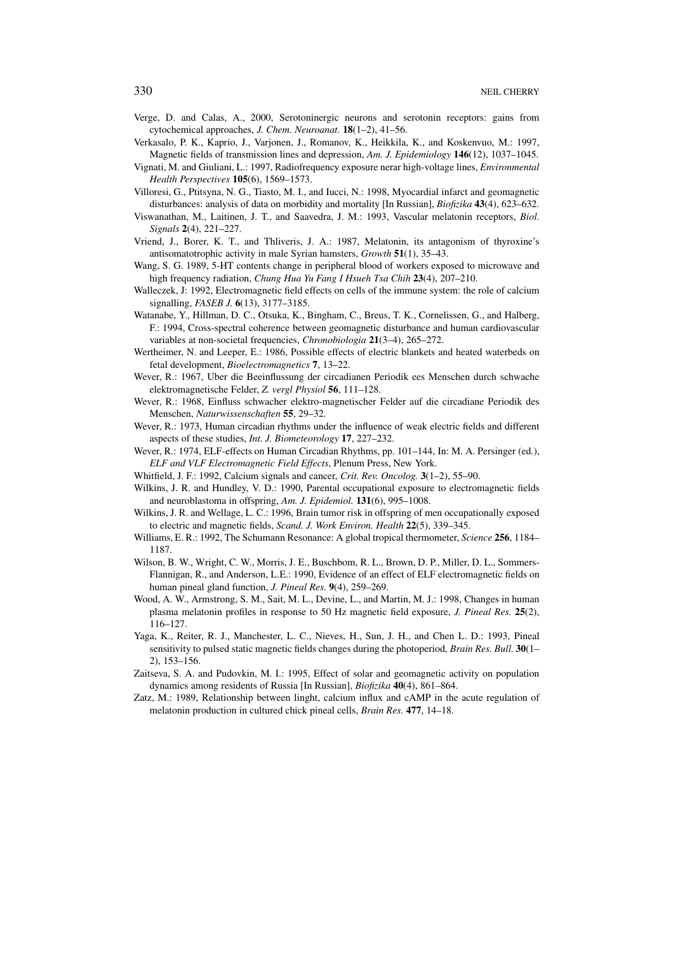- Verge, D. and Calas, A., 2000, Serotoninergic neurons and serotonin receptors: gains from cytochemical approaches, *J. Chem. Neuroanat.* **18**(1–2), 41–56.
- Verkasalo, P. K., Kaprio, J., Varjonen, J., Romanov, K., Heikkila, K., and Koskenvuo, M.: 1997, Magnetic fields of transmission lines and depression, *Am. J. Epidemiology* **146**(12), 1037–1045.
- Vignati, M. and Giuliani, L.: 1997, Radiofrequency exposure nerar high-voltage lines, *Environmental Health Perspectives* **105**(6), 1569–1573.
- Villoresi, G., Ptitsyna, N. G., Tiasto, M. I., and Iucci, N.: 1998, Myocardial infarct and geomagnetic disturbances: analysis of data on morbidity and mortality [In Russian], *Biofizika* **43**(4), 623–632.
- Viswanathan, M., Laitinen, J. T., and Saavedra, J. M.: 1993, Vascular melatonin receptors, *Biol. Signals* **2**(4), 221–227.
- Vriend, J., Borer, K. T., and Thliveris, J. A.: 1987, Melatonin, its antagonism of thyroxine's antisomatotrophic activity in male Syrian hamsters, *Growth* **51**(1), 35–43.
- Wang, S. G. 1989, 5-HT contents change in peripheral blood of workers exposed to microwave and high frequency radiation, *Chung Hua Yu Fang I Hsueh Tsa Chih* **23**(4), 207–210.
- Walleczek, J: 1992, Electromagnetic field effects on cells of the immune system: the role of calcium signalling, *FASEB J.* **6**(13), 3177–3185.
- Watanabe, Y., Hillman, D. C., Otsuka, K., Bingham, C., Breus, T. K., Cornelissen, G., and Halberg, F.: 1994, Cross-spectral coherence between geomagnetic disturbance and human cardiovascular variables at non-societal frequencies, *Chronobiologia* **21**(3–4), 265–272.
- Wertheimer, N. and Leeper, E.: 1986, Possible effects of electric blankets and heated waterbeds on fetal development, *Bioelectromagnetics* **7**, 13–22.
- Wever, R.: 1967, Uber die Beeinflussung der circadianen Periodik ees Menschen durch schwache elektromagnetische Felder, *Z. vergl Physiol* **56**, 111–128.
- Wever, R.: 1968, Einfluss schwacher elektro-magnetischer Felder auf die circadiane Periodik des Menschen, *Naturwissenschaften* **55**, 29–32.
- Wever, R.: 1973, Human circadian rhythms under the influence of weak electric fields and different aspects of these studies, *Int. J. Biometeorology* **17**, 227–232.
- Wever, R.: 1974, ELF-effects on Human Circadian Rhythms, pp. 101–144, In: M. A. Persinger (ed.), *ELF and VLF Electromagnetic Field Effects*, Plenum Press, New York.
- Whitfield, J. F.: 1992, Calcium signals and cancer, *Crit. Rev. Oncolog.* **3**(1–2), 55–90.
- Wilkins, J. R. and Hundley, V. D.: 1990, Parental occupational exposure to electromagnetic fields and neuroblastoma in offspring, *Am. J. Epidemiol.* **131**(6), 995–1008.
- Wilkins, J. R. and Wellage, L. C.: 1996, Brain tumor risk in offspring of men occupationally exposed to electric and magnetic fields, *Scand. J. Work Environ. Health* **22**(5), 339–345.
- Williams, E. R.: 1992, The Schumann Resonance: A global tropical thermometer, *Science* **256**, 1184– 1187.
- Wilson, B. W., Wright, C. W., Morris, J. E., Buschbom, R. L., Brown, D. P., Miller, D. L., Sommers-Flannigan, R., and Anderson, L.E.: 1990, Evidence of an effect of ELF electromagnetic fields on human pineal gland function, *J. Pineal Res.* **9**(4), 259–269.
- Wood, A. W., Armstrong, S. M., Sait, M. L., Devine, L., and Martin, M. J.: 1998, Changes in human plasma melatonin profiles in response to 50 Hz magnetic field exposure, *J. Pineal Res.* **25**(2), 116–127.
- Yaga, K., Reiter, R. J., Manchester, L. C., Nieves, H., Sun, J. H., and Chen L. D.: 1993, Pineal sensitivity to pulsed static magnetic fields changes during the photoperiod, *Brain Res. Bull.* **30**(1– 2), 153–156.
- Zaitseva, S. A. and Pudovkin, M. I.: 1995, Effect of solar and geomagnetic activity on population dynamics among residents of Russia [In Russian], *Biofizika* **40**(4), 861–864.
- Zatz, M.: 1989, Relationship between linght, calcium influx and cAMP in the acute regulation of melatonin production in cultured chick pineal cells, *Brain Res.* **477**, 14–18.